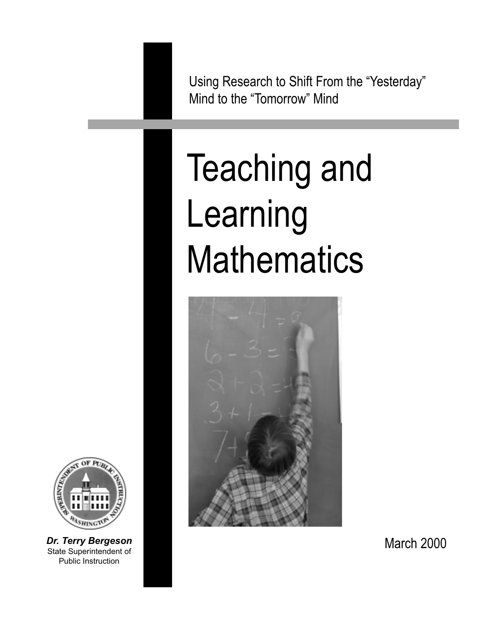Using Research to Shift From the "Yesterday" Mind to the "Tomorrow" Mind

# Teaching and Learning **Mathematics**





*Dr. Terry Bergeson* State Superintendent of Public Instruction

March 2000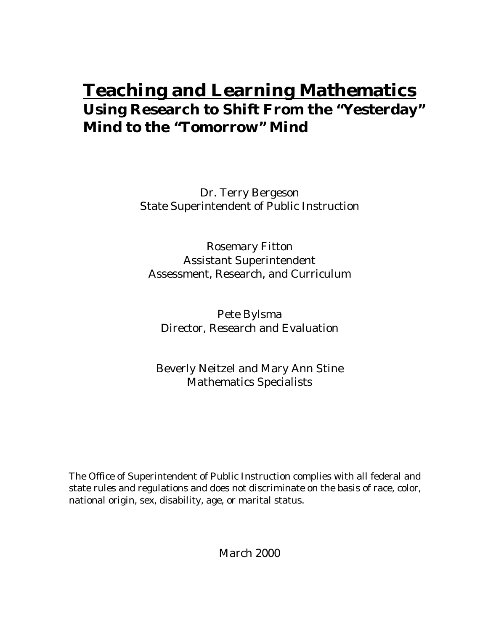# **Teaching and Learning Mathematics Using Research to Shift From the "Yesterday" Mind to the "Tomorrow" Mind**

Dr. Terry Bergeson State Superintendent of Public Instruction

Rosemary Fitton Assistant Superintendent Assessment, Research, and Curriculum

Pete Bylsma Director, Research and Evaluation

Beverly Neitzel and Mary Ann Stine Mathematics Specialists

The Office of Superintendent of Public Instruction complies with all federal and state rules and regulations and does not discriminate on the basis of race, color, national origin, sex, disability, age, or marital status.

March 2000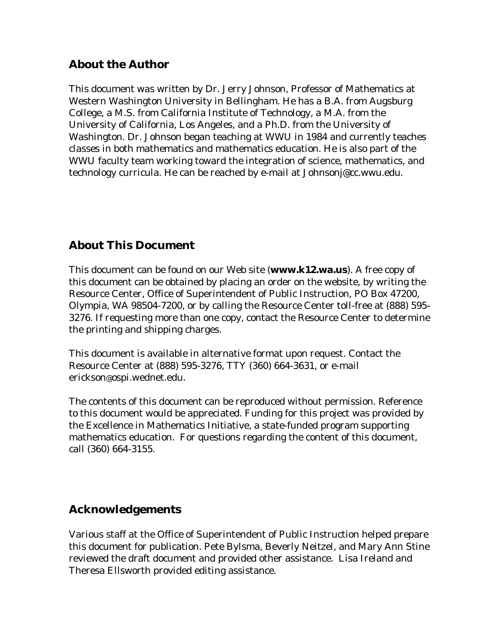#### **About the Author**

This document was written by Dr. Jerry Johnson, Professor of Mathematics at Western Washington University in Bellingham. He has a B.A. from Augsburg College, a M.S. from California Institute of Technology, a M.A. from the University of California, Los Angeles, and a Ph.D. from the University of Washington. Dr. Johnson began teaching at WWU in 1984 and currently teaches classes in both mathematics and mathematics education. He is also part of the WWU faculty team working toward the integration of science, mathematics, and technology curricula. He can be reached by e-mail at Johnsonj@cc.wwu.edu.

#### **About This Document**

This document can be found on our Web site (**www.k12.wa.us**). A free copy of this document can be obtained by placing an order on the website, by writing the Resource Center, Office of Superintendent of Public Instruction, PO Box 47200, Olympia, WA 98504-7200, or by calling the Resource Center toll-free at (888) 595- 3276. If requesting more than one copy, contact the Resource Center to determine the printing and shipping charges.

This document is available in alternative format upon request. Contact the Resource Center at (888) 595-3276, TTY (360) 664-3631, or e-mail erickson@ospi.wednet.edu.

The contents of this document can be reproduced without permission. Reference to this document would be appreciated. Funding for this project was provided by the Excellence in Mathematics Initiative, a state-funded program supporting mathematics education. For questions regarding the content of this document, call (360) 664-3155.

#### **Acknowledgements**

Various staff at the Office of Superintendent of Public Instruction helped prepare this document for publication. Pete Bylsma, Beverly Neitzel, and Mary Ann Stine reviewed the draft document and provided other assistance. Lisa Ireland and Theresa Ellsworth provided editing assistance.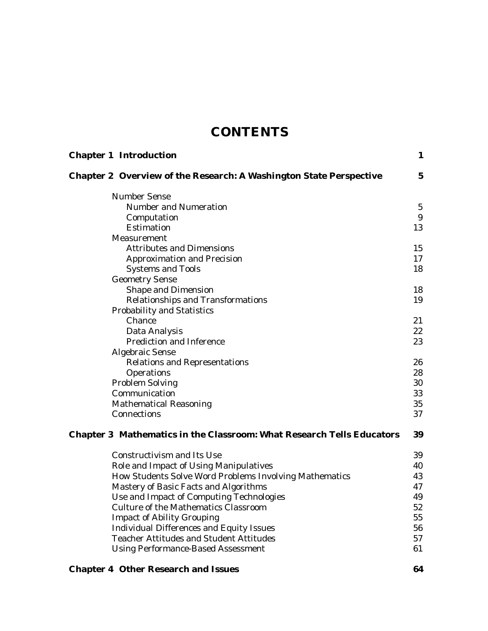## **CONTENTS**

| <b>Chapter 1 Introduction</b>                                                |                 |  |
|------------------------------------------------------------------------------|-----------------|--|
| <b>Chapter 2 Overview of the Research: A Washington State Perspective</b>    | $5\phantom{.0}$ |  |
| <b>Number Sense</b>                                                          |                 |  |
| <b>Number and Numeration</b>                                                 | $\mathbf 5$     |  |
| Computation                                                                  | 9               |  |
| Estimation                                                                   | 13              |  |
| Measurement                                                                  |                 |  |
| <b>Attributes and Dimensions</b>                                             | 15              |  |
| <b>Approximation and Precision</b>                                           | 17              |  |
| <b>Systems and Tools</b>                                                     | 18              |  |
| <b>Geometry Sense</b>                                                        |                 |  |
| <b>Shape and Dimension</b>                                                   | 18              |  |
| Relationships and Transformations                                            | 19              |  |
| <b>Probability and Statistics</b>                                            |                 |  |
| Chance                                                                       | 21              |  |
| Data Analysis                                                                | 22              |  |
| Prediction and Inference                                                     | 23              |  |
| <b>Algebraic Sense</b>                                                       |                 |  |
| <b>Relations and Representations</b>                                         | 26              |  |
| Operations                                                                   | 28              |  |
| <b>Problem Solving</b>                                                       | 30              |  |
| Communication                                                                | 33              |  |
| <b>Mathematical Reasoning</b>                                                | 35              |  |
| Connections                                                                  | 37              |  |
| <b>Chapter 3 Mathematics in the Classroom: What Research Tells Educators</b> | 39              |  |
| <b>Constructivism and Its Use</b>                                            | 39              |  |
| Role and Impact of Using Manipulatives                                       | 40              |  |
| How Students Solve Word Problems Involving Mathematics                       | 43              |  |
| Mastery of Basic Facts and Algorithms                                        | 47              |  |
| Use and Impact of Computing Technologies                                     | 49              |  |
| <b>Culture of the Mathematics Classroom</b>                                  | 52              |  |
| <b>Impact of Ability Grouping</b>                                            | 55              |  |
| <b>Individual Differences and Equity Issues</b>                              | 56              |  |
| <b>Teacher Attitudes and Student Attitudes</b>                               | 57              |  |
| <b>Using Performance-Based Assessment</b>                                    | 61              |  |
|                                                                              |                 |  |

#### **Chapter 4 Other Research and Issues 64**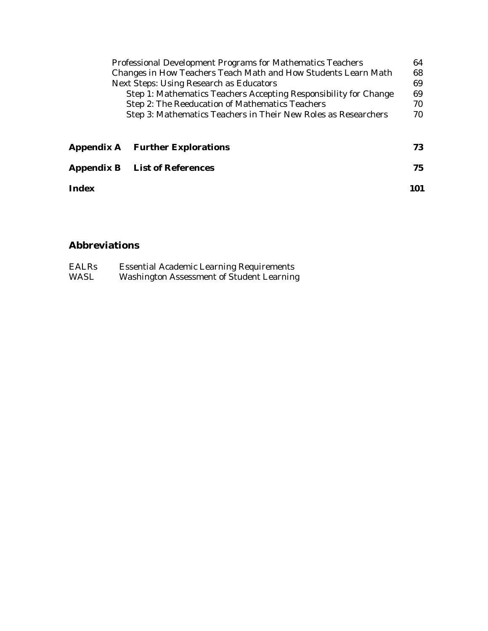| Professional Development Programs for Mathematics Teachers     |                                                                  |     |  |
|----------------------------------------------------------------|------------------------------------------------------------------|-----|--|
| Changes in How Teachers Teach Math and How Students Learn Math |                                                                  |     |  |
|                                                                | Next Steps: Using Research as Educators                          | 69  |  |
|                                                                | Step 1: Mathematics Teachers Accepting Responsibility for Change | 69  |  |
|                                                                | Step 2: The Reeducation of Mathematics Teachers                  | 70  |  |
|                                                                | Step 3: Mathematics Teachers in Their New Roles as Researchers   | 70  |  |
|                                                                |                                                                  |     |  |
|                                                                | Appendix A Further Explorations                                  | 73  |  |
|                                                                | Appendix B List of References                                    | 75  |  |
| Index                                                          |                                                                  | 101 |  |

#### **Abbreviations**

| <b>EALRs</b> | <b>Essential Academic Learning Requirements</b> |
|--------------|-------------------------------------------------|
| WASL         | Washington Assessment of Student Learning       |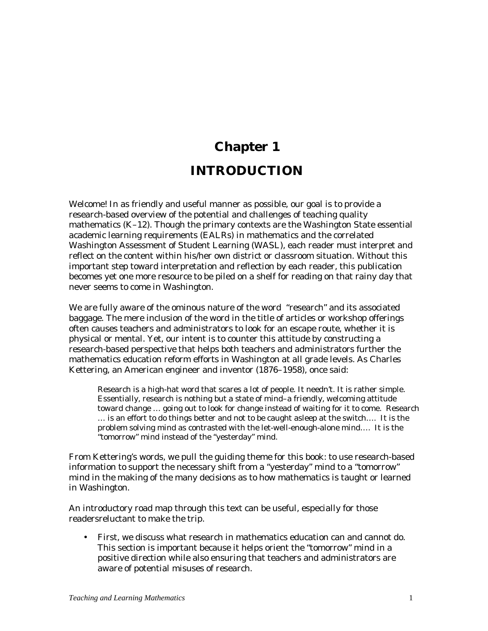# **Chapter 1 INTRODUCTION**

Welcome! In as friendly and useful manner as possible, our goal is to provide a research-based overview of the potential and challenges of teaching quality mathematics (K–12). Though the primary contexts are the Washington State essential academic learning requirements (EALRs) in mathematics and the correlated Washington Assessment of Student Learning (WASL), each reader must interpret and reflect on the content within his/her own district or classroom situation. Without this important step toward interpretation and reflection by each reader, this publication becomes yet one more resource to be piled on a shelf for reading on that rainy day that never seems to come in Washington.

We are fully aware of the ominous nature of the word "research" and its associated baggage. The mere inclusion of the word in the title of articles or workshop offerings often causes teachers and administrators to look for an escape route, whether it is physical or mental. Yet, our intent is to counter this attitude by constructing a research-based perspective that helps both teachers and administrators further the mathematics education reform efforts in Washington at all grade levels. As Charles Kettering, an American engineer and inventor (1876–1958), once said:

Research is a high-hat word that scares a lot of people. It needn't. It is rather simple. Essentially, research is nothing but a state of mind–a friendly, welcoming attitude toward change … going out to look for change instead of waiting for it to come. Research … is an effort to do things better and not to be caught asleep at the switch…. It is the problem solving mind as contrasted with the let-well-enough-alone mind…. It is the "tomorrow" mind instead of the "yesterday" mind.

From Kettering's words, we pull the guiding theme for this book: to use research-based information to support the necessary shift from a "yesterday" mind to a "tomorrow" mind in the making of the many decisions as to how mathematics is taught or learned in Washington.

An introductory road map through this text can be useful, especially for those readersreluctant to make the trip.

• First, we discuss what research in mathematics education can and cannot do. This section is important because it helps orient the "tomorrow" mind in a positive direction while also ensuring that teachers and administrators are aware of potential misuses of research.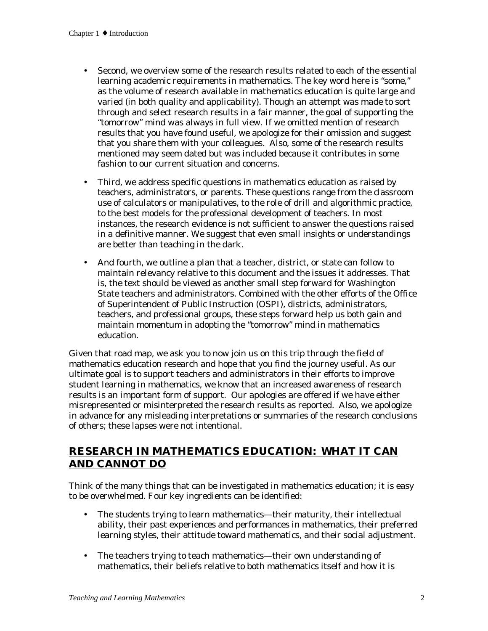- Second, we overview some of the research results related to each of the essential learning academic requirements in mathematics. The key word here is "some," as the volume of research available in mathematics education is quite large and varied (in both quality and applicability). Though an attempt was made to sort through and select research results in a fair manner, the goal of supporting the "tomorrow" mind was always in full view. If we omitted mention of research results that you have found useful, we apologize for their omission and suggest that you share them with your colleagues. Also, some of the research results mentioned may seem dated but was included because it contributes in some fashion to our current situation and concerns.
- Third, we address specific questions in mathematics education as raised by teachers, administrators, or parents. These questions range from the classroom use of calculators or manipulatives, to the role of drill and algorithmic practice, to the best models for the professional development of teachers. In most instances, the research evidence is not sufficient to answer the questions raised in a definitive manner. We suggest that even small insights or understandings are better than teaching in the dark.
- And fourth, we outline a plan that a teacher, district, or state can follow to maintain relevancy relative to this document and the issues it addresses. That is, the text should be viewed as another small step forward for Washington State teachers and administrators. Combined with the other efforts of the Office of Superintendent of Public Instruction (OSPI), districts, administrators, teachers, and professional groups, these steps forward help us both gain and maintain momentum in adopting the "tomorrow" mind in mathematics education.

Given that road map, we ask you to now join us on this trip through the field of mathematics education research and hope that you find the journey useful. As our ultimate goal is to support teachers and administrators in their efforts to improve student learning in mathematics, we know that an increased awareness of research results is an important form of support. Our apologies are offered if we have either misrepresented or misinterpreted the research results as reported. Also, we apologize in advance for any misleading interpretations or summaries of the research conclusions of others; these lapses were not intentional.

#### **RESEARCH IN MATHEMATICS EDUCATION: WHAT IT CAN AND CANNOT DO**

Think of the many things that can be investigated in mathematics education; it is easy to be overwhelmed. Four key ingredients can be identified:

- The students trying to learn mathematics—their maturity, their intellectual ability, their past experiences and performances in mathematics, their preferred learning styles, their attitude toward mathematics, and their social adjustment.
- The teachers trying to teach mathematics—their own understanding of mathematics, their beliefs relative to both mathematics itself and how it is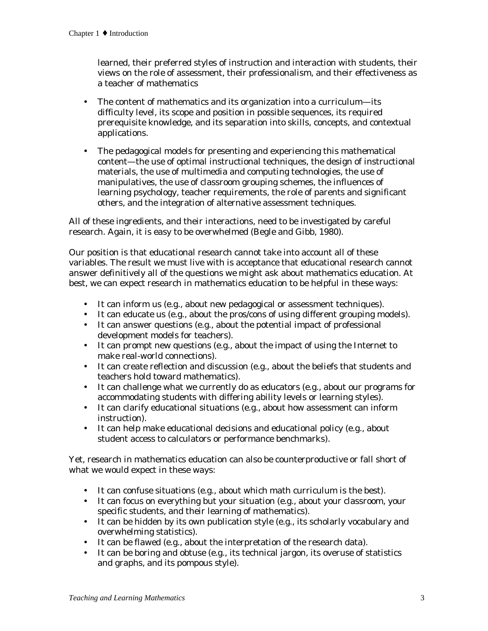learned, their preferred styles of instruction and interaction with students, their views on the role of assessment, their professionalism, and their effectiveness as a teacher of mathematics

- The content of mathematics and its organization into a curriculum—its difficulty level, its scope and position in possible sequences, its required prerequisite knowledge, and its separation into skills, concepts, and contextual applications.
- The pedagogical models for presenting and experiencing this mathematical content—the use of optimal instructional techniques, the design of instructional materials, the use of multimedia and computing technologies, the use of manipulatives, the use of classroom grouping schemes, the influences of learning psychology, teacher requirements, the role of parents and significant others, and the integration of alternative assessment techniques.

All of these ingredients, and their interactions, need to be investigated by careful research. Again, it is easy to be overwhelmed (Begle and Gibb, 1980).

Our position is that educational research cannot take into account all of these variables. The result we must live with is acceptance that educational research cannot answer definitively all of the questions we might ask about mathematics education. At best, we can expect research in mathematics education to be helpful in these ways:

- It can inform us (e.g., about new pedagogical or assessment techniques).
- It can educate us (e.g., about the pros/cons of using different grouping models).
- It can answer questions (e.g., about the potential impact of professional development models for teachers).
- It can prompt new questions (e.g., about the impact of using the Internet to make real-world connections).
- It can create reflection and discussion (e.g., about the beliefs that students and teachers hold toward mathematics).
- It can challenge what we currently do as educators (e.g., about our programs for accommodating students with differing ability levels or learning styles).
- It can clarify educational situations (e.g., about how assessment can inform instruction).
- It can help make educational decisions and educational policy (e.g., about student access to calculators or performance benchmarks).

Yet, research in mathematics education can also be counterproductive or fall short of what we would expect in these ways:

- It can confuse situations (e.g., about which math curriculum is the best).
- It can focus on everything but your situation (e.g., about your classroom, your specific students, and their learning of mathematics).
- It can be hidden by its own publication style (e.g., its scholarly vocabulary and overwhelming statistics).
- It can be flawed (e.g., about the interpretation of the research data).
- It can be boring and obtuse (e.g., its technical jargon, its overuse of statistics and graphs, and its pompous style).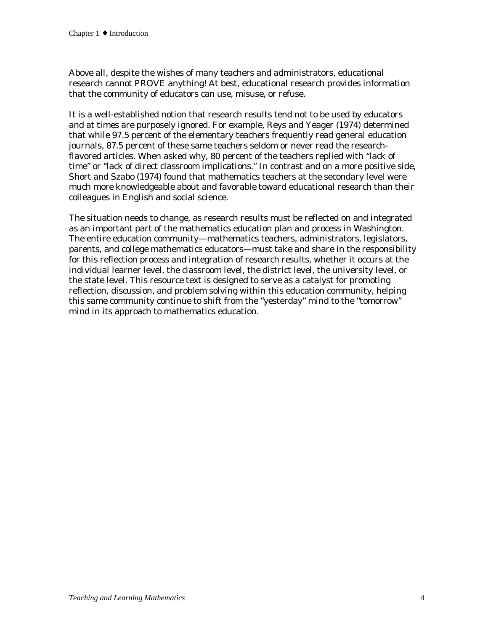Above all, despite the wishes of many teachers and administrators, educational research cannot PROVE anything! At best, educational research provides information that the community of educators can use, misuse, or refuse.

It is a well-established notion that research results tend not to be used by educators and at times are purposely ignored. For example, Reys and Yeager (1974) determined that while 97.5 percent of the elementary teachers frequently read general education journals, 87.5 percent of these same teachers seldom or never read the researchflavored articles. When asked why, 80 percent of the teachers replied with "lack of time" or "lack of direct classroom implications." In contrast and on a more positive side, Short and Szabo (1974) found that mathematics teachers at the secondary level were much more knowledgeable about and favorable toward educational research than their colleagues in English and social science.

The situation needs to change, as research results must be reflected on and integrated as an important part of the mathematics education plan and process in Washington. The entire education community—mathematics teachers, administrators, legislators, parents, and college mathematics educators—must take and share in the responsibility for this reflection process and integration of research results, whether it occurs at the individual learner level, the classroom level, the district level, the university level, or the state level. This resource text is designed to serve as a catalyst for promoting reflection, discussion, and problem solving within this education community, helping this same community continue to shift from the "yesterday" mind to the "tomorrow" mind in its approach to mathematics education.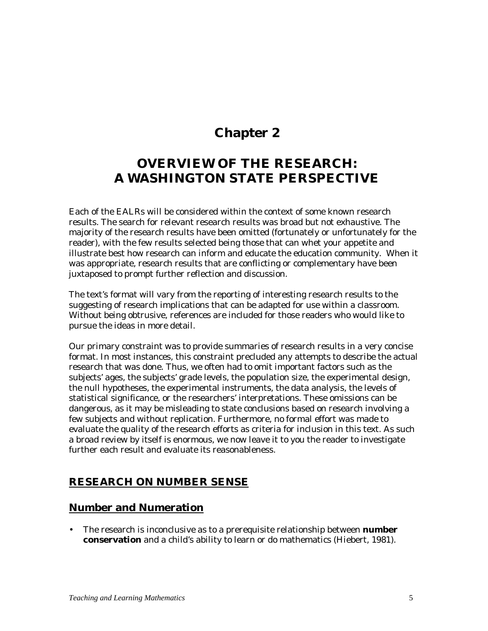## **Chapter 2**

### **OVERVIEW OF THE RESEARCH: A WASHINGTON STATE PERSPECTIVE**

Each of the EALRs will be considered within the context of some known research results. The search for relevant research results was broad but not exhaustive. The majority of the research results have been omitted (fortunately or unfortunately for the reader), with the few results selected being those that can whet your appetite and illustrate best how research can inform and educate the education community. When it was appropriate, research results that are conflicting or complementary have been juxtaposed to prompt further reflection and discussion.

The text's format will vary from the reporting of interesting research results to the suggesting of research implications that can be adapted for use within a classroom. Without being obtrusive, references are included for those readers who would like to pursue the ideas in more detail.

Our primary constraint was to provide summaries of research results in a very concise format. In most instances, this constraint precluded any attempts to describe the actual research that was done. Thus, we often had to omit important factors such as the subjects' ages, the subjects' grade levels, the population size, the experimental design, the null hypotheses, the experimental instruments, the data analysis, the levels of statistical significance, or the researchers' interpretations. These omissions can be dangerous, as it may be misleading to state conclusions based on research involving a few subjects and without replication. Furthermore, no formal effort was made to evaluate the quality of the research efforts as criteria for inclusion in this text. As such a broad review by itself is enormous, we now leave it to you the reader to investigate further each result and evaluate its reasonableness.

#### **RESEARCH ON NUMBER SENSE**

#### **Number and Numeration**

• The research is inconclusive as to a prerequisite relationship between **number conservation** and a child's ability to learn or do mathematics (Hiebert, 1981).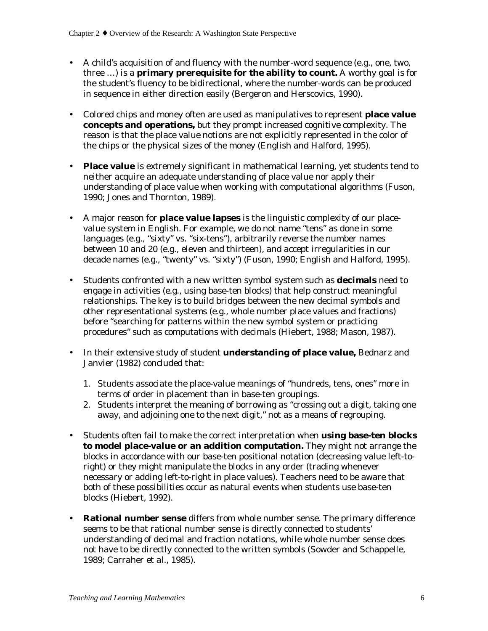- A child's acquisition of and fluency with the number-word sequence (e.g., one, two, three …) is a **primary prerequisite for the ability to count.** A worthy goal is for the student's fluency to be bidirectional, where the number-words can be produced in sequence in either direction easily (Bergeron and Herscovics, 1990).
- Colored chips and money often are used as manipulatives to represent **place value concepts and operations,** but they prompt increased cognitive complexity. The reason is that the place value notions are not explicitly represented in the color of the chips or the physical sizes of the money (English and Halford, 1995).
- **Place value** is extremely significant in mathematical learning, yet students tend to neither acquire an adequate understanding of place value nor apply their understanding of place value when working with computational algorithms (Fuson, 1990; Jones and Thornton, 1989).
- A major reason for **place value lapses** is the linguistic complexity of our placevalue system in English. For example, we do not name "tens" as done in some languages (e.g., "sixty" vs. "six-tens"), arbitrarily reverse the number names between 10 and 20 (e.g., eleven and thirteen), and accept irregularities in our decade names (e.g., "twenty" vs. "sixty") (Fuson, 1990; English and Halford, 1995).
- Students confronted with a new written symbol system such as **decimals** need to engage in activities (e.g., using base-ten blocks) that help construct meaningful relationships. The key is to build bridges between the new decimal symbols and other representational systems (e.g., whole number place values and fractions) before "searching for patterns within the new symbol system or practicing procedures" such as computations with decimals (Hiebert, 1988; Mason, 1987).
- In their extensive study of student **understanding of place value,** Bednarz and Janvier (1982) concluded that:
	- 1. Students associate the place-value meanings of "hundreds, tens, ones" more in terms of order in placement than in base-ten groupings.
	- 2. Students interpret the meaning of borrowing as "crossing out a digit, taking one away, and adjoining one to the next digit," not as a means of regrouping.
- Students often fail to make the correct interpretation when **using base-ten blocks to model place-value or an addition computation.** They might not arrange the blocks in accordance with our base-ten positional notation (decreasing value left-toright) or they might manipulate the blocks in any order (trading whenever necessary or adding left-to-right in place values). Teachers need to be aware that both of these possibilities occur as natural events when students use base-ten blocks (Hiebert, 1992).
- **Rational number sense** differs from whole number sense. The primary difference seems to be that rational number sense is directly connected to students' understanding of decimal and fraction notations, while whole number sense does not have to be directly connected to the written symbols (Sowder and Schappelle, 1989; Carraher et al., 1985).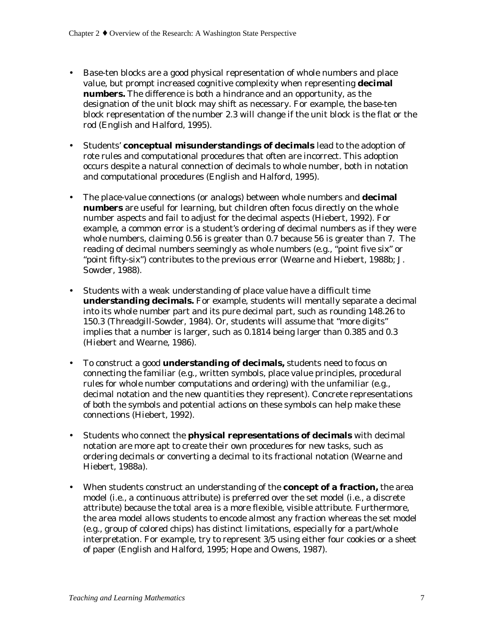- Base-ten blocks are a good physical representation of whole numbers and place value, but prompt increased cognitive complexity when representing **decimal numbers.** The difference is both a hindrance and an opportunity, as the designation of the unit block may shift as necessary. For example, the base-ten block representation of the number 2.3 will change if the unit block is the flat or the rod (English and Halford, 1995).
- Students' **conceptual misunderstandings of decimals** lead to the adoption of rote rules and computational procedures that often are incorrect. This adoption occurs despite a natural connection of decimals to whole number, both in notation and computational procedures (English and Halford, 1995).
- The place-value connections (or analogs) between whole numbers and **decimal numbers** are useful for learning, but children often focus directly on the whole number aspects and fail to adjust for the decimal aspects (Hiebert, 1992). For example, a common error is a student's ordering of decimal numbers as if they were whole numbers, claiming 0.56 is greater than 0.7 because 56 is greater than 7. The reading of decimal numbers seemingly as whole numbers (e.g., "point five six" or "point fifty-six") contributes to the previous error (Wearne and Hiebert, 1988b; J. Sowder, 1988).
- Students with a weak understanding of place value have a difficult time **understanding decimals.** For example, students will mentally separate a decimal into its whole number part and its pure decimal part, such as rounding 148.26 to 150.3 (Threadgill-Sowder, 1984). Or, students will assume that "more digits" implies that a number is larger, such as 0.1814 being larger than 0.385 and 0.3 (Hiebert and Wearne, 1986).
- To construct a good **understanding of decimals,** students need to focus on connecting the familiar (e.g., written symbols, place value principles, procedural rules for whole number computations and ordering) with the unfamiliar (e.g., decimal notation and the new quantities they represent). Concrete representations of both the symbols and potential actions on these symbols can help make these connections (Hiebert, 1992).
- Students who connect the **physical representations of decimals** with decimal notation are more apt to create their own procedures for new tasks, such as ordering decimals or converting a decimal to its fractional notation (Wearne and Hiebert, 1988a).
- When students construct an understanding of the **concept of a fraction,** the area model (i.e., a continuous attribute) is preferred over the set model (i.e., a discrete attribute) because the total area is a more flexible, visible attribute. Furthermore, the area model allows students to encode almost any fraction whereas the set model (e.g., group of colored chips) has distinct limitations, especially for a part/whole interpretation. For example, try to represent 3/5 using either four cookies or a sheet of paper (English and Halford, 1995; Hope and Owens, 1987).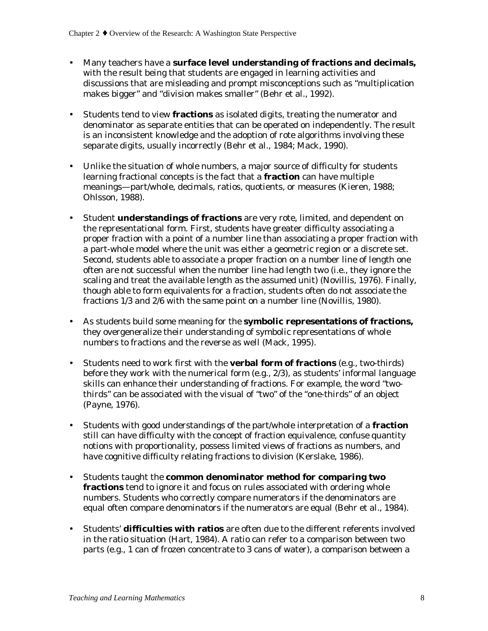- Many teachers have a **surface level understanding of fractions and decimals,** with the result being that students are engaged in learning activities and discussions that are misleading and prompt misconceptions such as "multiplication makes bigger" and "division makes smaller" (Behr et al., 1992).
- Students tend to view **fractions** as isolated digits, treating the numerator and denominator as separate entities that can be operated on independently. The result is an inconsistent knowledge and the adoption of rote algorithms involving these separate digits, usually incorrectly (Behr et al., 1984; Mack, 1990).
- Unlike the situation of whole numbers, a major source of difficulty for students learning fractional concepts is the fact that a **fraction** can have multiple meanings—part/whole, decimals, ratios, quotients, or measures (Kieren, 1988; Ohlsson, 1988).
- Student **understandings of fractions** are very rote, limited, and dependent on the representational form. First, students have greater difficulty associating a proper fraction with a point of a number line than associating a proper fraction with a part-whole model where the unit was either a geometric region or a discrete set. Second, students able to associate a proper fraction on a number line of length one often are not successful when the number line had length two (i.e., they ignore the scaling and treat the available length as the assumed unit) (Novillis, 1976). Finally, though able to form equivalents for a fraction, students often do not associate the fractions 1/3 and 2/6 with the same point on a number line (Novillis, 1980).
- As students build some meaning for the **symbolic representations of fractions,** they overgeneralize their understanding of symbolic representations of whole numbers to fractions and the reverse as well (Mack, 1995).
- Students need to work first with the **verbal form of fractions** (e.g., two-thirds) before they work with the numerical form (e.g., 2/3), as students' informal language skills can enhance their understanding of fractions. For example, the word "twothirds" can be associated with the visual of "two" of the "one-thirds" of an object (Payne, 1976).
- Students with good understandings of the part/whole interpretation of a **fraction** still can have difficulty with the concept of fraction equivalence, confuse quantity notions with proportionality, possess limited views of fractions as numbers, and have cognitive difficulty relating fractions to division (Kerslake, 1986).
- Students taught the **common denominator method for comparing two fractions** tend to ignore it and focus on rules associated with ordering whole numbers. Students who correctly compare numerators if the denominators are equal often compare denominators if the numerators are equal (Behr et al., 1984).
- Students' **difficulties with ratios** are often due to the different referents involved in the ratio situation (Hart, 1984). A ratio can refer to a comparison between two parts (e.g., 1 can of frozen concentrate to 3 cans of water), a comparison between a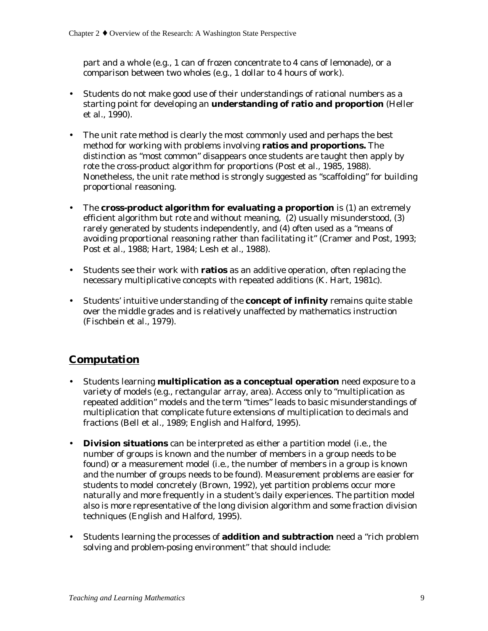part and a whole (e.g., 1 can of frozen concentrate to 4 cans of lemonade), or a comparison between two wholes (e.g., 1 dollar to 4 hours of work).

- Students do not make good use of their understandings of rational numbers as a starting point for developing an **understanding of ratio and proportion** (Heller et al., 1990).
- The unit rate method is clearly the most commonly used and perhaps the best method for working with problems involving **ratios and proportions.** The distinction as "most common" disappears once students are taught then apply by rote the cross-product algorithm for proportions (Post et al., 1985, 1988). Nonetheless, the unit rate method is strongly suggested as "scaffolding" for building proportional reasoning.
- The **cross-product algorithm for evaluating a proportion** is (1) an extremely efficient algorithm but rote and without meaning, (2) usually misunderstood, (3) rarely generated by students independently, and (4) often used as a "means of avoiding proportional reasoning rather than facilitating it" (Cramer and Post, 1993; Post et al., 1988; Hart, 1984; Lesh et al., 1988).
- Students see their work with **ratios** as an additive operation, often replacing the necessary multiplicative concepts with repeated additions (K. Hart, 1981c).
- Students' intuitive understanding of the **concept of infinity** remains quite stable over the middle grades and is relatively unaffected by mathematics instruction (Fischbein et al., 1979).

#### **Computation**

- Students learning **multiplication as a conceptual operation** need exposure to a variety of models (e.g., rectangular array, area). Access only to "multiplication as repeated addition" models and the term "times" leads to basic misunderstandings of multiplication that complicate future extensions of multiplication to decimals and fractions (Bell et al., 1989; English and Halford, 1995).
- **Division situations** can be interpreted as either a partition model (i.e., the number of groups is known and the number of members in a group needs to be found) or a measurement model (i.e., the number of members in a group is known and the number of groups needs to be found). Measurement problems are easier for students to model concretely (Brown, 1992), yet partition problems occur more naturally and more frequently in a student's daily experiences. The partition model also is more representative of the long division algorithm and some fraction division techniques (English and Halford, 1995).
- Students learning the processes of **addition and subtraction** need a "rich problem solving and problem-posing environment" that should include: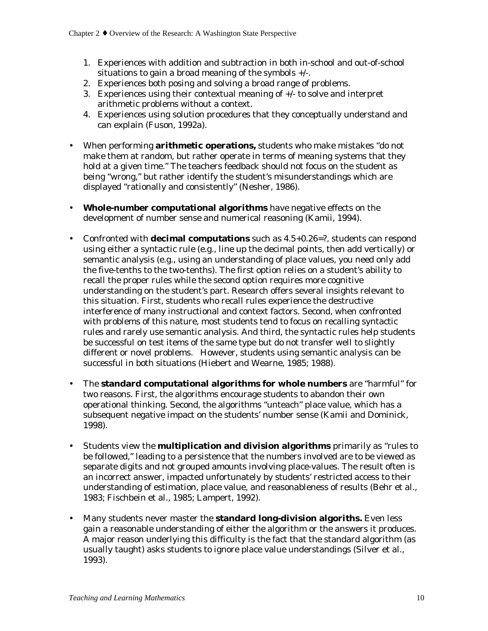- 1. Experiences with addition and subtraction in both in-school and out-of-school situations to gain a broad meaning of the symbols +/-.
- 2. Experiences both posing and solving a broad range of problems.
- 3. Experiences using their contextual meaning of  $+/-$  to solve and interpret arithmetic problems without a context.
- 4. Experiences using solution procedures that they conceptually understand and can explain (Fuson, 1992a).
- When performing **arithmetic operations,** students who make mistakes "do not make them at random, but rather operate in terms of meaning systems that they hold at a given time." The teachers feedback should not focus on the student as being "wrong," but rather identify the student's misunderstandings which are displayed "rationally and consistently" (Nesher, 1986).
- **Whole-number computational algorithms** have negative effects on the development of number sense and numerical reasoning (Kamii, 1994).
- Confronted with **decimal computations** such as 4.5+0.26=?, students can respond using either a syntactic rule (e.g., line up the decimal points, then add vertically) or semantic analysis (e.g., using an understanding of place values, you need only add the five-tenths to the two-tenths). The first option relies on a student's ability to recall the proper rules while the second option requires more cognitive understanding on the student's part. Research offers several insights relevant to this situation. First, students who recall rules experience the destructive interference of many instructional and context factors. Second, when confronted with problems of this nature, most students tend to focus on recalling syntactic rules and rarely use semantic analysis. And third, the syntactic rules help students be successful on test items of the same type but do not transfer well to slightly different or novel problems. However, students using semantic analysis can be successful in both situations (Hiebert and Wearne, 1985; 1988).
- The **standard computational algorithms for whole numbers** are "harmful" for two reasons. First, the algorithms encourage students to abandon their own operational thinking. Second, the algorithms "unteach" place value, which has a subsequent negative impact on the students' number sense (Kamii and Dominick, 1998).
- Students view the **multiplication and division algorithms** primarily as "rules to be followed," leading to a persistence that the numbers involved are to be viewed as separate digits and not grouped amounts involving place-values. The result often is an incorrect answer, impacted unfortunately by students' restricted access to their understanding of estimation, place value, and reasonableness of results (Behr et al., 1983; Fischbein et al., 1985; Lampert, 1992).
- Many students never master the **standard long-division algoriths.** Even less gain a reasonable understanding of either the algorithm or the answers it produces. A major reason underlying this difficulty is the fact that the standard algorithm (as usually taught) asks students to ignore place value understandings (Silver et al., 1993).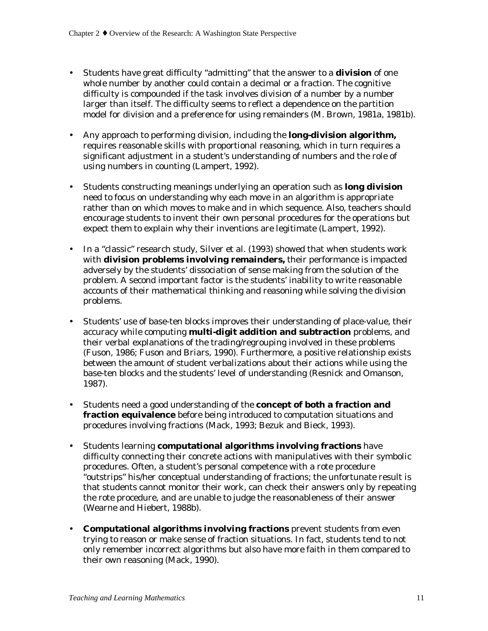- Students have great difficulty "admitting" that the answer to a **division** of one whole number by another could contain a decimal or a fraction. The cognitive difficulty is compounded if the task involves division of a number by a number larger than itself. The difficulty seems to reflect a dependence on the partition model for division and a preference for using remainders (M. Brown, 1981a, 1981b).
- Any approach to performing division, including the **long-division algorithm,** requires reasonable skills with proportional reasoning, which in turn requires a significant adjustment in a student's understanding of numbers and the role of using numbers in counting (Lampert, 1992).
- Students constructing meanings underlying an operation such as **long division** need to focus on understanding why each move in an algorithm is appropriate rather than on which moves to make and in which sequence. Also, teachers should encourage students to invent their own personal procedures for the operations but expect them to explain why their inventions are legitimate (Lampert, 1992).
- In a "classic" research study, Silver et al. (1993) showed that when students work with **division problems involving remainders,** their performance is impacted adversely by the students' dissociation of sense making from the solution of the problem. A second important factor is the students' inability to write reasonable accounts of their mathematical thinking and reasoning while solving the division problems.
- Students' use of base-ten blocks improves their understanding of place-value, their accuracy while computing **multi-digit addition and subtraction** problems, and their verbal explanations of the trading/regrouping involved in these problems (Fuson, 1986; Fuson and Briars, 1990). Furthermore, a positive relationship exists between the amount of student verbalizations about their actions while using the base-ten blocks and the students' level of understanding (Resnick and Omanson, 1987).
- Students need a good understanding of the **concept of both a fraction and fraction equivalence** before being introduced to computation situations and procedures involving fractions (Mack, 1993; Bezuk and Bieck, 1993).
- Students learning **computational algorithms involving fractions** have difficulty connecting their concrete actions with manipulatives with their symbolic procedures. Often, a student's personal competence with a rote procedure "outstrips" his/her conceptual understanding of fractions; the unfortunate result is that students cannot monitor their work, can check their answers only by repeating the rote procedure, and are unable to judge the reasonableness of their answer (Wearne and Hiebert, 1988b).
- **Computational algorithms involving fractions** prevent students from even trying to reason or make sense of fraction situations. In fact, students tend to not only remember incorrect algorithms but also have more faith in them compared to their own reasoning (Mack, 1990).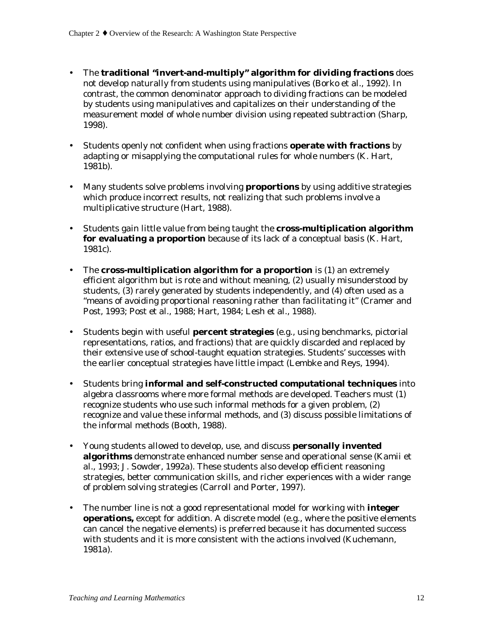- The **traditional "invert-and-multiply" algorithm for dividing fractions** does not develop naturally from students using manipulatives (Borko et al., 1992). In contrast, the common denominator approach to dividing fractions can be modeled by students using manipulatives and capitalizes on their understanding of the measurement model of whole number division using repeated subtraction (Sharp, 1998).
- Students openly not confident when using fractions **operate with fractions** by adapting or misapplying the computational rules for whole numbers (K. Hart, 1981b).
- Many students solve problems involving **proportions** by using additive strategies which produce incorrect results, not realizing that such problems involve a multiplicative structure (Hart, 1988).
- Students gain little value from being taught the **cross-multiplication algorithm for evaluating a proportion** because of its lack of a conceptual basis (K. Hart, 1981c).
- The **cross-multiplication algorithm for a proportion** is (1) an extremely efficient algorithm but is rote and without meaning, (2) usually misunderstood by students, (3) rarely generated by students independently, and (4) often used as a "means of avoiding proportional reasoning rather than facilitating it" (Cramer and Post, 1993; Post et al., 1988; Hart, 1984; Lesh et al., 1988).
- Students begin with useful **percent strategies** (e.g., using benchmarks, pictorial representations, ratios, and fractions) that are quickly discarded and replaced by their extensive use of school-taught equation strategies. Students' successes with the earlier conceptual strategies have little impact (Lembke and Reys, 1994).
- Students bring **informal and self-constructed computational techniques** into algebra classrooms where more formal methods are developed. Teachers must (1) recognize students who use such informal methods for a given problem, (2) recognize and value these informal methods, and (3) discuss possible limitations of the informal methods (Booth, 1988).
- Young students allowed to develop, use, and discuss **personally invented algorithms** demonstrate enhanced number sense and operational sense (Kamii et al., 1993; J. Sowder, 1992a). These students also develop efficient reasoning strategies, better communication skills, and richer experiences with a wider range of problem solving strategies (Carroll and Porter, 1997).
- The number line is not a good representational model for working with **integer operations,** except for addition. A discrete model (e.g., where the positive elements can cancel the negative elements) is preferred because it has documented success with students and it is more consistent with the actions involved (Kuchemann, 1981a).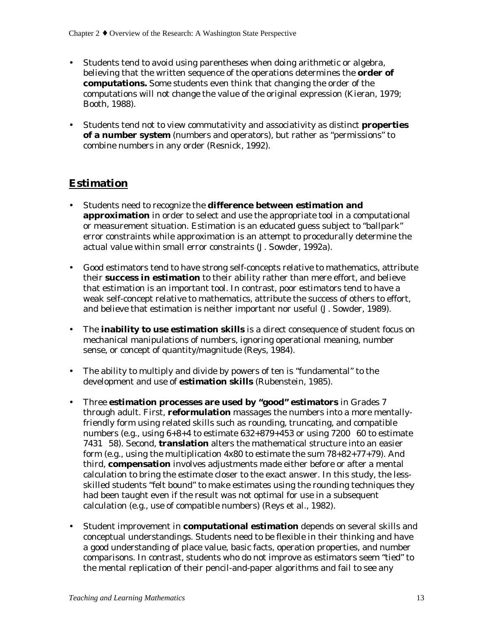- Students tend to avoid using parentheses when doing arithmetic or algebra, believing that the written sequence of the operations determines the **order of computations.** Some students even think that changing the order of the computations will not change the value of the original expression (Kieran, 1979; Booth, 1988).
- Students tend not to view commutativity and associativity as distinct **properties of a number system** (numbers and operators), but rather as "permissions" to combine numbers in any order (Resnick, 1992).

#### **Estimation**

- Students need to recognize the **difference between estimation and approximation** in order to select and use the appropriate tool in a computational or measurement situation. Estimation is an educated guess subject to "ballpark" error constraints while approximation is an attempt to procedurally determine the actual value within small error constraints (J. Sowder, 1992a).
- Good estimators tend to have strong self-concepts relative to mathematics, attribute their **success in estimation** to their ability rather than mere effort, and believe that estimation is an important tool. In contrast, poor estimators tend to have a weak self-concept relative to mathematics, attribute the success of others to effort, and believe that estimation is neither important nor useful (J. Sowder, 1989).
- The **inability to use estimation skills** is a direct consequence of student focus on mechanical manipulations of numbers, ignoring operational meaning, number sense, or concept of quantity/magnitude (Reys, 1984).
- The ability to multiply and divide by powers of ten is "fundamental" to the development and use of **estimation skills** (Rubenstein, 1985).
- Three **estimation processes are used by "good" estimators** in Grades 7 through adult. First, **reformulation** massages the numbers into a more mentallyfriendly form using related skills such as rounding, truncating, and compatible numbers (e.g., using  $6+8+4$  to estimate  $632+879+453$  or using  $7200$   $60$  to estimate 7431 58). Second, **translation** alters the mathematical structure into an easier form (e.g., using the multiplication 4x80 to estimate the sum 78+82+77+79). And third, **compensation** involves adjustments made either before or after a mental calculation to bring the estimate closer to the exact answer. In this study, the lessskilled students "felt bound" to make estimates using the rounding techniques they had been taught even if the result was not optimal for use in a subsequent calculation (e.g., use of compatible numbers) (Reys et al., 1982).
- Student improvement in **computational estimation** depends on several skills and conceptual understandings. Students need to be flexible in their thinking and have a good understanding of place value, basic facts, operation properties, and number comparisons. In contrast, students who do not improve as estimators seem "tied" to the mental replication of their pencil-and-paper algorithms and fail to see any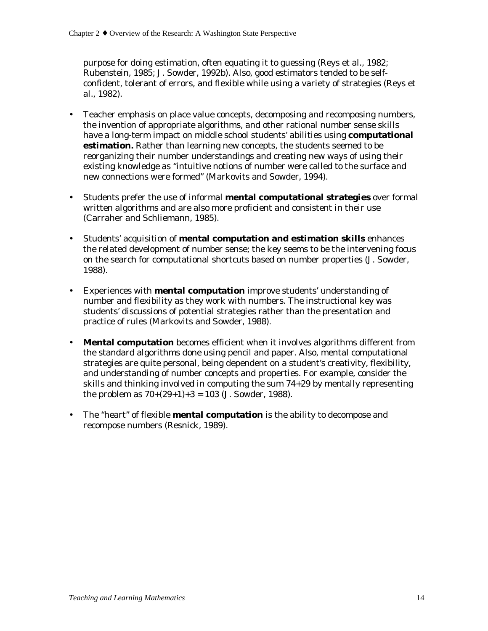purpose for doing estimation, often equating it to guessing (Reys et al., 1982; Rubenstein, 1985; J. Sowder, 1992b). Also, good estimators tended to be selfconfident, tolerant of errors, and flexible while using a variety of strategies (Reys et al., 1982).

- Teacher emphasis on place value concepts, decomposing and recomposing numbers, the invention of appropriate algorithms, and other rational number sense skills have a long-term impact on middle school students' abilities using **computational estimation.** Rather than learning new concepts, the students seemed to be reorganizing their number understandings and creating new ways of using their existing knowledge as "intuitive notions of number were called to the surface and new connections were formed" (Markovits and Sowder, 1994).
- Students prefer the use of informal **mental computational strategies** over formal written algorithms and are also more proficient and consistent in their use (Carraher and Schliemann, 1985).
- Students' acquisition of **mental computation and estimation skills** enhances the related development of number sense; the key seems to be the intervening focus on the search for computational shortcuts based on number properties (J. Sowder, 1988).
- Experiences with **mental computation** improve students' understanding of number and flexibility as they work with numbers. The instructional key was students' discussions of potential strategies rather than the presentation and practice of rules (Markovits and Sowder, 1988).
- **Mental computation** becomes efficient when it involves algorithms different from the standard algorithms done using pencil and paper. Also, mental computational strategies are quite personal, being dependent on a student's creativity, flexibility, and understanding of number concepts and properties. For example, consider the skills and thinking involved in computing the sum 74+29 by mentally representing the problem as  $70+(29+1)+3 = 103$  (J. Sowder, 1988).
- The "heart" of flexible **mental computation** is the ability to decompose and recompose numbers (Resnick, 1989).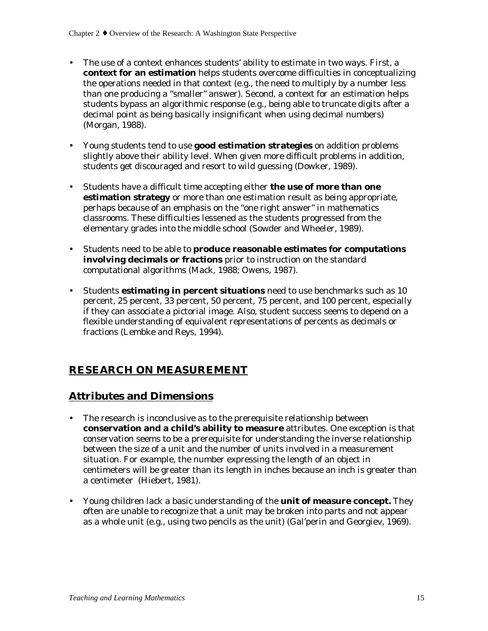- The use of a context enhances students' ability to estimate in two ways. First, a **context for an estimation** helps students overcome difficulties in conceptualizing the operations needed in that context (e.g., the need to multiply by a number less than one producing a "smaller" answer). Second, a context for an estimation helps students bypass an algorithmic response (e.g., being able to truncate digits after a decimal point as being basically insignificant when using decimal numbers) (Morgan, 1988).
- Young students tend to use **good estimation strategies** on addition problems slightly above their ability level. When given more difficult problems in addition, students get discouraged and resort to wild guessing (Dowker, 1989).
- Students have a difficult time accepting either **the use of more than one estimation strategy** or more than one estimation result as being appropriate, perhaps because of an emphasis on the "one right answer" in mathematics classrooms. These difficulties lessened as the students progressed from the elementary grades into the middle school (Sowder and Wheeler, 1989).
- Students need to be able to **produce reasonable estimates for computations involving decimals or fractions** prior to instruction on the standard computational algorithms (Mack, 1988; Owens, 1987).
- Students **estimating in percent situations** need to use benchmarks such as 10 percent, 25 percent, 33 percent, 50 percent, 75 percent, and 100 percent, especially if they can associate a pictorial image. Also, student success seems to depend on a flexible understanding of equivalent representations of percents as decimals or fractions (Lembke and Reys, 1994).

#### **RESEARCH ON MEASUREMENT**

#### **Attributes and Dimensions**

- The research is inconclusive as to the prerequisite relationship between **conservation and a child's ability to measure** attributes. One exception is that conservation seems to be a prerequisite for understanding the inverse relationship between the size of a unit and the number of units involved in a measurement situation. For example, the number expressing the length of an object in centimeters will be greater than its length in inches because an inch is greater than a centimeter (Hiebert, 1981).
- Young children lack a basic understanding of the **unit of measure concept.** They often are unable to recognize that a unit may be broken into parts and not appear as a whole unit (e.g., using two pencils as the unit) (Gal'perin and Georgiev, 1969).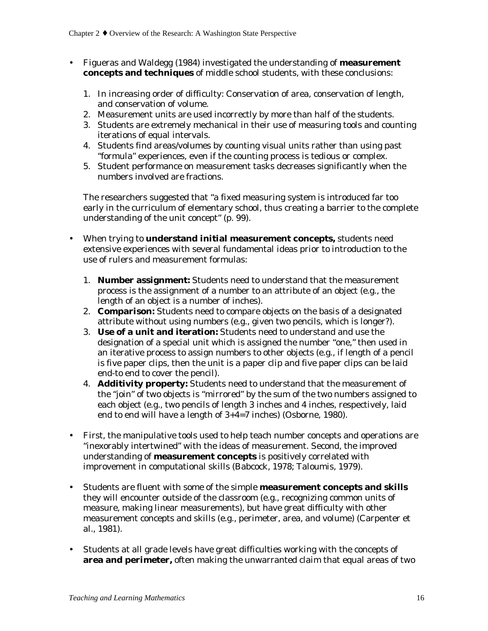- Figueras and Waldegg (1984) investigated the understanding of **measurement concepts and techniques** of middle school students, with these conclusions:
	- 1. In increasing order of difficulty: Conservation of area, conservation of length, and conservation of volume.
	- 2. Measurement units are used incorrectly by more than half of the students.
	- 3. Students are extremely mechanical in their use of measuring tools and counting iterations of equal intervals.
	- 4. Students find areas/volumes by counting visual units rather than using past "formula" experiences, even if the counting process is tedious or complex.
	- 5. Student performance on measurement tasks decreases significantly when the numbers involved are fractions.

The researchers suggested that "a fixed measuring system is introduced far too early in the curriculum of elementary school, thus creating a barrier to the complete understanding of the unit concept" (p. 99).

- When trying to **understand initial measurement concepts,** students need extensive experiences with several fundamental ideas prior to introduction to the use of rulers and measurement formulas:
	- 1. **Number assignment:** Students need to understand that the measurement process is the assignment of a number to an attribute of an object (e.g., the length of an object is a number of inches).
	- 2. **Comparison:** Students need to compare objects on the basis of a designated attribute without using numbers (e.g., given two pencils, which is longer?).
	- 3. **Use of a unit and iteration:** Students need to understand and use the designation of a special unit which is assigned the number "one," then used in an iterative process to assign numbers to other objects (e.g., if length of a pencil is five paper clips, then the unit is a paper clip and five paper clips can be laid end-to end to cover the pencil).
	- 4. **Additivity property:** Students need to understand that the measurement of the "join" of two objects is "mirrored" by the sum of the two numbers assigned to each object (e.g., two pencils of length 3 inches and 4 inches, respectively, laid end to end will have a length of 3+4=7 inches) (Osborne, 1980).
- First, the manipulative tools used to help teach number concepts and operations are "inexorably intertwined" with the ideas of measurement. Second, the improved understanding of **measurement concepts** is positively correlated with improvement in computational skills (Babcock, 1978; Taloumis, 1979).
- Students are fluent with some of the simple **measurement concepts and skills** they will encounter outside of the classroom (e.g., recognizing common units of measure, making linear measurements), but have great difficulty with other measurement concepts and skills (e.g., perimeter, area, and volume) (Carpenter et al., 1981).
- Students at all grade levels have great difficulties working with the concepts of **area and perimeter,** often making the unwarranted claim that equal areas of two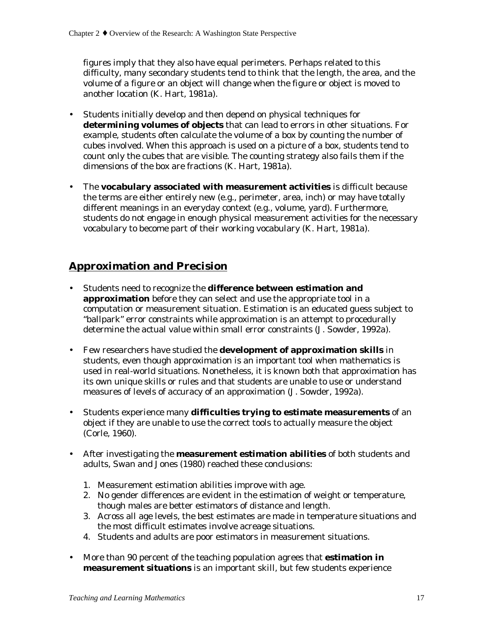figures imply that they also have equal perimeters. Perhaps related to this difficulty, many secondary students tend to think that the length, the area, and the volume of a figure or an object will change when the figure or object is moved to another location (K. Hart, 1981a).

- Students initially develop and then depend on physical techniques for **determining volumes of objects** that can lead to errors in other situations. For example, students often calculate the volume of a box by counting the number of cubes involved. When this approach is used on a picture of a box, students tend to count only the cubes that are visible. The counting strategy also fails them if the dimensions of the box are fractions (K. Hart, 1981a).
- The **vocabulary associated with measurement activities** is difficult because the terms are either entirely new (e.g., perimeter, area, inch) or may have totally different meanings in an everyday context (e.g., volume, yard). Furthermore, students do not engage in enough physical measurement activities for the necessary vocabulary to become part of their working vocabulary (K. Hart, 1981a).

#### **Approximation and Precision**

- Students need to recognize the **difference between estimation and approximation** before they can select and use the appropriate tool in a computation or measurement situation. Estimation is an educated guess subject to "ballpark" error constraints while approximation is an attempt to procedurally determine the actual value within small error constraints (J. Sowder, 1992a).
- Few researchers have studied the **development of approximation skills** in students, even though approximation is an important tool when mathematics is used in real-world situations. Nonetheless, it is known both that approximation has its own unique skills or rules and that students are unable to use or understand measures of levels of accuracy of an approximation (J. Sowder, 1992a).
- Students experience many **difficulties trying to estimate measurements** of an object if they are unable to use the correct tools to actually measure the object (Corle, 1960).
- After investigating the **measurement estimation abilities** of both students and adults, Swan and Jones (1980) reached these conclusions:
	- 1. Measurement estimation abilities improve with age.
	- 2. No gender differences are evident in the estimation of weight or temperature, though males are better estimators of distance and length.
	- 3. Across all age levels, the best estimates are made in temperature situations and the most difficult estimates involve acreage situations.
	- 4. Students and adults are poor estimators in measurement situations.
- More than 90 percent of the teaching population agrees that **estimation in measurement situations** is an important skill, but few students experience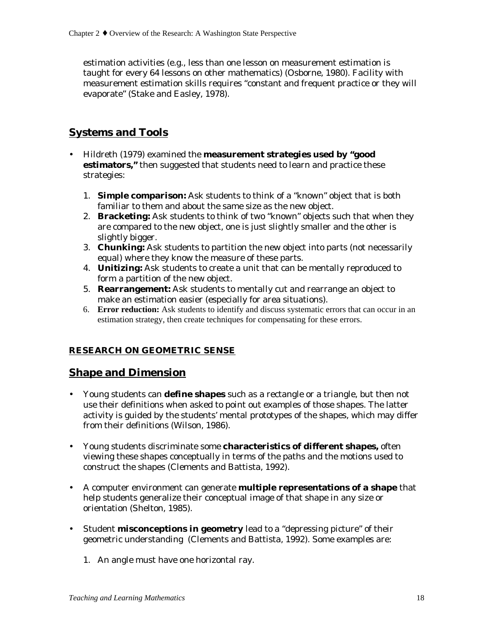estimation activities (e.g., less than one lesson on measurement estimation is taught for every 64 lessons on other mathematics) (Osborne, 1980). Facility with measurement estimation skills requires "constant and frequent practice or they will evaporate" (Stake and Easley, 1978).

#### **Systems and Tools**

- Hildreth (1979) examined the **measurement strategies used by "good estimators,"** then suggested that students need to learn and practice these strategies:
	- 1. **Simple comparison:** Ask students to think of a "known" object that is both familiar to them and about the same size as the new object.
	- 2. **Bracketing:** Ask students to think of two "known" objects such that when they are compared to the new object, one is just slightly smaller and the other is slightly bigger.
	- 3. **Chunking:** Ask students to partition the new object into parts (not necessarily equal) where they know the measure of these parts.
	- 4. **Unitizing:** Ask students to create a unit that can be mentally reproduced to form a partition of the new object.
	- 5. **Rearrangement:** Ask students to mentally cut and rearrange an object to make an estimation easier (especially for area situations).
	- 6. **Error reduction:** Ask students to identify and discuss systematic errors that can occur in an estimation strategy, then create techniques for compensating for these errors.

#### **RESEARCH ON GEOMETRIC SENSE**

#### **Shape and Dimension**

- Young students can **define shapes** such as a rectangle or a triangle, but then not use their definitions when asked to point out examples of those shapes. The latter activity is guided by the students' mental prototypes of the shapes, which may differ from their definitions (Wilson, 1986).
- Young students discriminate some **characteristics of different shapes,** often viewing these shapes conceptually in terms of the paths and the motions used to construct the shapes (Clements and Battista, 1992).
- A computer environment can generate **multiple representations of a shape** that help students generalize their conceptual image of that shape in any size or orientation (Shelton, 1985).
- Student **misconceptions in geometry** lead to a "depressing picture" of their geometric understanding (Clements and Battista, 1992). Some examples are:
	- 1. An angle must have one horizontal ray.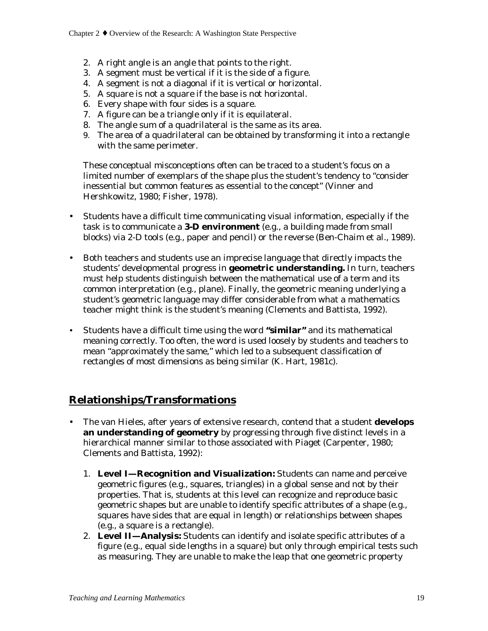- 2. A right angle is an angle that points to the right.
- 3. A segment must be vertical if it is the side of a figure.
- 4. A segment is not a diagonal if it is vertical or horizontal.
- 5. A square is not a square if the base is not horizontal.
- 6. Every shape with four sides is a square.
- 7. A figure can be a triangle only if it is equilateral.
- 8. The angle sum of a quadrilateral is the same as its area.
- 9. The area of a quadrilateral can be obtained by transforming it into a rectangle with the same perimeter.

These conceptual misconceptions often can be traced to a student's focus on a limited number of exemplars of the shape plus the student's tendency to "consider inessential but common features as essential to the concept" (Vinner and Hershkowitz, 1980; Fisher, 1978).

- Students have a difficult time communicating visual information, especially if the task is to communicate a **3-D environment** (e.g., a building made from small blocks) via 2-D tools (e.g., paper and pencil) or the reverse (Ben-Chaim et al., 1989).
- Both teachers and students use an imprecise language that directly impacts the students' developmental progress in **geometric understanding.** In turn, teachers must help students distinguish between the mathematical use of a term and its common interpretation (e.g., plane). Finally, the geometric meaning underlying a student's geometric language may differ considerable from what a mathematics teacher might think is the student's meaning (Clements and Battista, 1992).
- Students have a difficult time using the word **"similar"** and its mathematical meaning correctly. Too often, the word is used loosely by students and teachers to mean "approximately the same," which led to a subsequent classification of rectangles of most dimensions as being similar (K. Hart, 1981c).

#### **Relationships/Transformations**

- The van Hieles, after years of extensive research, contend that a student **develops an understanding of geometry** by progressing through five distinct levels in a hierarchical manner similar to those associated with Piaget (Carpenter, 1980; Clements and Battista, 1992):
	- 1. **Level I—Recognition and Visualization:** Students can name and perceive geometric figures (e.g., squares, triangles) in a global sense and not by their properties. That is, students at this level can recognize and reproduce basic geometric shapes but are unable to identify specific attributes of a shape (e.g., squares have sides that are equal in length) or relationships between shapes (e.g., a square is a rectangle).
	- 2. **Level II—Analysis:** Students can identify and isolate specific attributes of a figure (e.g., equal side lengths in a square) but only through empirical tests such as measuring. They are unable to make the leap that one geometric property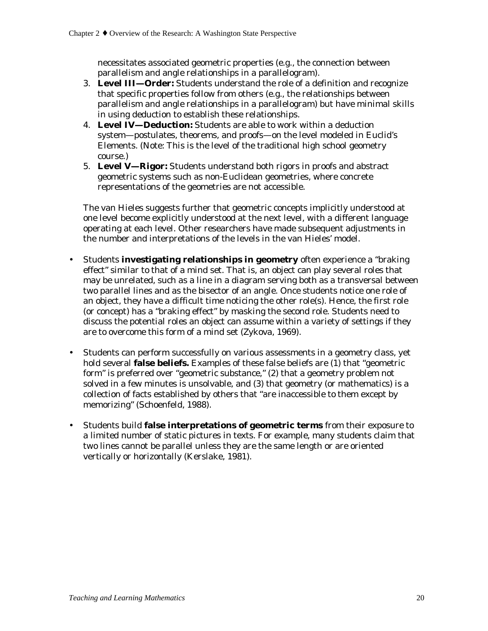necessitates associated geometric properties (e.g., the connection between parallelism and angle relationships in a parallelogram).

- 3. **Level III—Order:** Students understand the role of a definition and recognize that specific properties follow from others (e.g., the relationships between parallelism and angle relationships in a parallelogram) but have minimal skills in using deduction to establish these relationships.
- 4. **Level IV—Deduction:** Students are able to work within a deduction system—postulates, theorems, and proofs—on the level modeled in Euclid's Elements. (Note: This is the level of the traditional high school geometry course.)
- 5. **Level V—Rigor:** Students understand both rigors in proofs and abstract geometric systems such as non-Euclidean geometries, where concrete representations of the geometries are not accessible.

The van Hieles suggests further that geometric concepts implicitly understood at one level become explicitly understood at the next level, with a different language operating at each level. Other researchers have made subsequent adjustments in the number and interpretations of the levels in the van Hieles' model.

- Students **investigating relationships in geometry** often experience a "braking effect" similar to that of a mind set. That is, an object can play several roles that may be unrelated, such as a line in a diagram serving both as a transversal between two parallel lines and as the bisector of an angle. Once students notice one role of an object, they have a difficult time noticing the other role(s). Hence, the first role (or concept) has a "braking effect" by masking the second role. Students need to discuss the potential roles an object can assume within a variety of settings if they are to overcome this form of a mind set (Zykova, 1969).
- Students can perform successfully on various assessments in a geometry class, yet hold several **false beliefs.** Examples of these false beliefs are (1) that "geometric form" is preferred over "geometric substance," (2) that a geometry problem not solved in a few minutes is unsolvable, and (3) that geometry (or mathematics) is a collection of facts established by others that "are inaccessible to them except by memorizing" (Schoenfeld, 1988).
- Students build **false interpretations of geometric terms** from their exposure to a limited number of static pictures in texts. For example, many students claim that two lines cannot be parallel unless they are the same length or are oriented vertically or horizontally (Kerslake, 1981).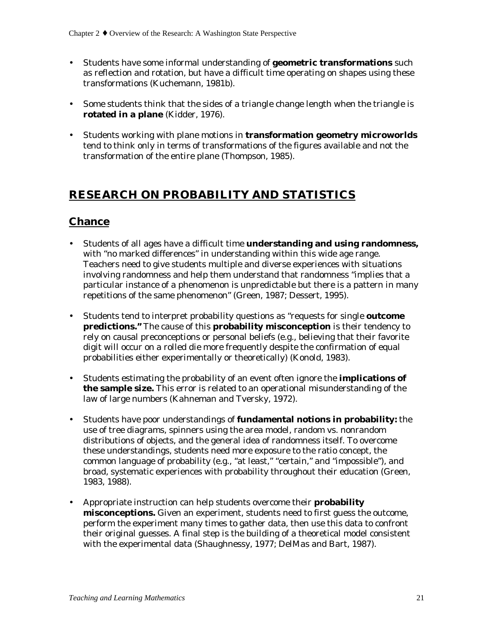- Students have some informal understanding of **geometric transformations** such as reflection and rotation, but have a difficult time operating on shapes using these transformations (Kuchemann, 1981b).
- Some students think that the sides of a triangle change length when the triangle is **rotated in a plane** (Kidder, 1976).
- Students working with plane motions in **transformation geometry microworlds** tend to think only in terms of transformations of the figures available and not the transformation of the entire plane (Thompson, 1985).

#### **RESEARCH ON PROBABILITY AND STATISTICS**

#### **Chance**

- Students of all ages have a difficult time **understanding and using randomness,** with "no marked differences" in understanding within this wide age range. Teachers need to give students multiple and diverse experiences with situations involving randomness and help them understand that randomness "implies that a particular instance of a phenomenon is unpredictable but there is a pattern in many repetitions of the same phenomenon" (Green, 1987; Dessert, 1995).
- Students tend to interpret probability questions as "requests for single **outcome predictions."** The cause of this **probability misconception** is their tendency to rely on causal preconceptions or personal beliefs (e.g., believing that their favorite digit will occur on a rolled die more frequently despite the confirmation of equal probabilities either experimentally or theoretically) (Konold, 1983).
- Students estimating the probability of an event often ignore the **implications of the sample size.** This error is related to an operational misunderstanding of the law of large numbers (Kahneman and Tversky, 1972).
- Students have poor understandings of **fundamental notions in probability:** the use of tree diagrams, spinners using the area model, random vs. nonrandom distributions of objects, and the general idea of randomness itself. To overcome these understandings, students need more exposure to the ratio concept, the common language of probability (e.g., "at least," "certain," and "impossible"), and broad, systematic experiences with probability throughout their education (Green, 1983, 1988).
- Appropriate instruction can help students overcome their **probability misconceptions.** Given an experiment, students need to first guess the outcome, perform the experiment many times to gather data, then use this data to confront their original guesses. A final step is the building of a theoretical model consistent with the experimental data (Shaughnessy, 1977; DelMas and Bart, 1987).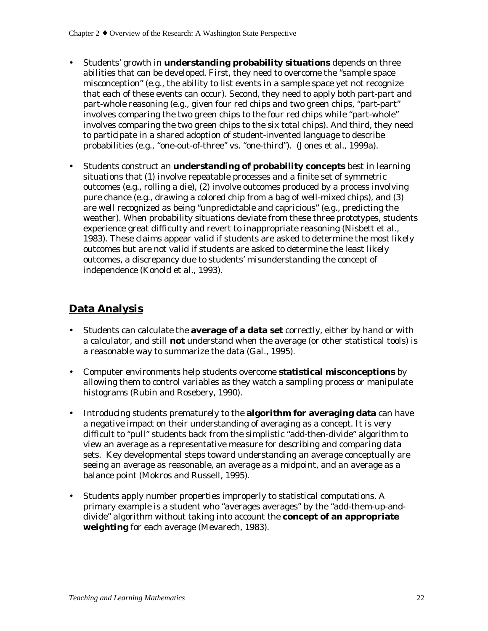- Students' growth in **understanding probability situations** depends on three abilities that can be developed. First, they need to overcome the "sample space misconception" (e.g., the ability to list events in a sample space yet not recognize that each of these events can occur). Second, they need to apply both part-part and part-whole reasoning (e.g., given four red chips and two green chips, "part-part" involves comparing the two green chips to the four red chips while "part-whole" involves comparing the two green chips to the six total chips). And third, they need to participate in a shared adoption of student-invented language to describe probabilities (e.g., "one-out-of-three" vs. "one-third"). (Jones et al., 1999a).
- Students construct an **understanding of probability concepts** best in learning situations that (1) involve repeatable processes and a finite set of symmetric outcomes (e.g., rolling a die), (2) involve outcomes produced by a process involving pure chance (e.g., drawing a colored chip from a bag of well-mixed chips), and (3) are well recognized as being "unpredictable and capricious" (e.g., predicting the weather). When probability situations deviate from these three prototypes, students experience great difficulty and revert to inappropriate reasoning (Nisbett et al., 1983). These claims appear valid if students are asked to determine the most likely outcomes but are not valid if students are asked to determine the least likely outcomes, a discrepancy due to students' misunderstanding the concept of independence (Konold et al., 1993).

#### **Data Analysis**

- Students can calculate the **average of a data set** correctly, either by hand or with a calculator, and still **not** understand when the average (or other statistical tools) is a reasonable way to summarize the data (Gal., 1995).
- Computer environments help students overcome **statistical misconceptions** by allowing them to control variables as they watch a sampling process or manipulate histograms (Rubin and Rosebery, 1990).
- Introducing students prematurely to the **algorithm for averaging data** can have a negative impact on their understanding of averaging as a concept. It is very difficult to "pull" students back from the simplistic "add-then-divide" algorithm to view an average as a representative measure for describing and comparing data sets. Key developmental steps toward understanding an average conceptually are seeing an average as reasonable, an average as a midpoint, and an average as a balance point (Mokros and Russell, 1995).
- Students apply number properties improperly to statistical computations. A primary example is a student who "averages averages" by the "add-them-up-anddivide" algorithm without taking into account the **concept of an appropriate weighting** for each average (Mevarech, 1983).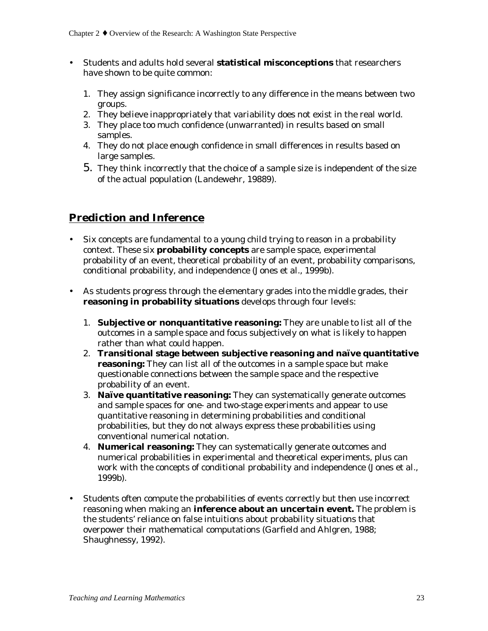- Students and adults hold several **statistical misconceptions** that researchers have shown to be quite common:
	- 1. They assign significance incorrectly to any difference in the means between two groups.
	- 2. They believe inappropriately that variability does not exist in the real world.
	- 3. They place too much confidence (unwarranted) in results based on small samples.
	- 4. They do not place enough confidence in small differences in results based on large samples.
	- 5. They think incorrectly that the choice of a sample size is independent of the size of the actual population (Landewehr, 19889).

#### **Prediction and Inference**

- Six concepts are fundamental to a young child trying to reason in a probability context. These six **probability concepts** are sample space, experimental probability of an event, theoretical probability of an event, probability comparisons, conditional probability, and independence (Jones et al., 1999b).
- As students progress through the elementary grades into the middle grades, their **reasoning in probability situations** develops through four levels:
	- 1. **Subjective or nonquantitative reasoning:** They are unable to list all of the outcomes in a sample space and focus subjectively on what is likely to happen rather than what could happen.
	- 2. **Transitional stage between subjective reasoning and naïve quantitative reasoning:** They can list all of the outcomes in a sample space but make questionable connections between the sample space and the respective probability of an event.
	- 3. **Naïve quantitative reasoning:** They can systematically generate outcomes and sample spaces for one- and two-stage experiments and appear to use quantitative reasoning in determining probabilities and conditional probabilities, but they do not always express these probabilities using conventional numerical notation.
	- 4. **Numerical reasoning:** They can systematically generate outcomes and numerical probabilities in experimental and theoretical experiments, plus can work with the concepts of conditional probability and independence (Jones et al., 1999b).
- Students often compute the probabilities of events correctly but then use incorrect reasoning when making an **inference about an uncertain event.** The problem is the students' reliance on false intuitions about probability situations that overpower their mathematical computations (Garfield and Ahlgren, 1988; Shaughnessy, 1992).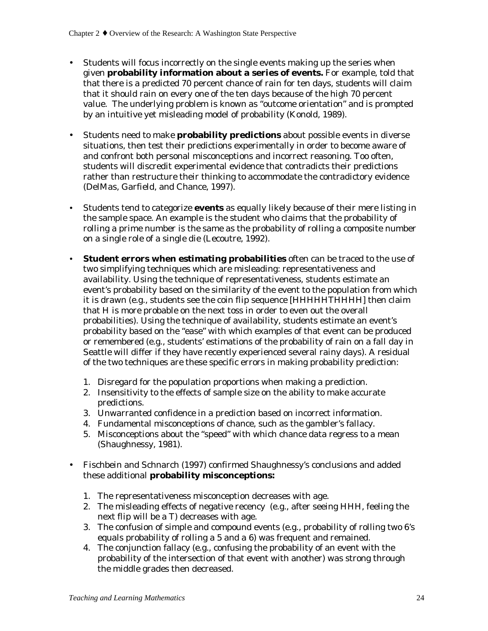- Students will focus incorrectly on the single events making up the series when given **probability information about a series of events.** For example, told that that there is a predicted 70 percent chance of rain for ten days, students will claim that it should rain on every one of the ten days because of the high 70 percent value. The underlying problem is known as "outcome orientation" and is prompted by an intuitive yet misleading model of probability (Konold, 1989).
- Students need to make **probability predictions** about possible events in diverse situations, then test their predictions experimentally in order to become aware of and confront both personal misconceptions and incorrect reasoning. Too often, students will discredit experimental evidence that contradicts their predictions rather than restructure their thinking to accommodate the contradictory evidence (DelMas, Garfield, and Chance, 1997).
- Students tend to categorize **events** as equally likely because of their mere listing in the sample space. An example is the student who claims that the probability of rolling a prime number is the same as the probability of rolling a composite number on a single role of a single die (Lecoutre, 1992).
- **Student errors when estimating probabilities** often can be traced to the use of two simplifying techniques which are misleading: representativeness and availability. Using the technique of representativeness, students estimate an event's probability based on the similarity of the event to the population from which it is drawn (e.g., students see the coin flip sequence [HHHHHTHHHH] then claim that H is more probable on the next toss in order to even out the overall probabilities). Using the technique of availability, students estimate an event's probability based on the "ease" with which examples of that event can be produced or remembered (e.g., students' estimations of the probability of rain on a fall day in Seattle will differ if they have recently experienced several rainy days). A residual of the two techniques are these specific errors in making probability prediction:
	- 1. Disregard for the population proportions when making a prediction.
	- 2. Insensitivity to the effects of sample size on the ability to make accurate predictions.
	- 3. Unwarranted confidence in a prediction based on incorrect information.
	- 4. Fundamental misconceptions of chance, such as the gambler's fallacy.
	- 5. Misconceptions about the "speed" with which chance data regress to a mean (Shaughnessy, 1981).
- Fischbein and Schnarch (1997) confirmed Shaughnessy's conclusions and added these additional **probability misconceptions:**
	- 1. The representativeness misconception decreases with age.
	- 2. The misleading effects of negative recency (e.g., after seeing HHH, feeling the next flip will be a T) decreases with age.
	- 3. The confusion of simple and compound events (e.g., probability of rolling two 6's equals probability of rolling a 5 and a 6) was frequent and remained.
	- 4. The conjunction fallacy (e.g., confusing the probability of an event with the probability of the intersection of that event with another) was strong through the middle grades then decreased.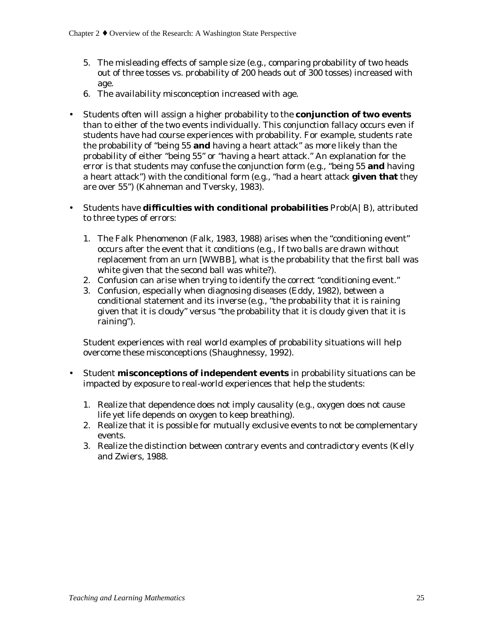- 5. The misleading effects of sample size (e.g., comparing probability of two heads out of three tosses vs. probability of 200 heads out of 300 tosses) increased with age.
- 6. The availability misconception increased with age.
- Students often will assign a higher probability to the **conjunction of two events** than to either of the two events individually. This conjunction fallacy occurs even if students have had course experiences with probability. For example, students rate the probability of "being 55 **and** having a heart attack" as more likely than the probability of either "being 55" or "having a heart attack." An explanation for the error is that students may confuse the conjunction form (e.g., "being 55 **and** having a heart attack") with the conditional form (e.g., "had a heart attack **given that** they are over 55") (Kahneman and Tversky, 1983).
- Students have **difficulties with conditional probabilities** Prob(A|B), attributed to three types of errors:
	- 1. The Falk Phenomenon (Falk, 1983, 1988) arises when the "conditioning event" occurs after the event that it conditions (e.g., If two balls are drawn without replacement from an urn [WWBB], what is the probability that the first ball was white given that the second ball was white?).
	- 2. Confusion can arise when trying to identify the correct "conditioning event."
	- 3. Confusion, especially when diagnosing diseases (Eddy, 1982), between a conditional statement and its inverse (e.g., "the probability that it is raining given that it is cloudy" versus "the probability that it is cloudy given that it is raining").

Student experiences with real world examples of probability situations will help overcome these misconceptions (Shaughnessy, 1992).

- Student **misconceptions of independent events** in probability situations can be impacted by exposure to real-world experiences that help the students:
	- 1. Realize that dependence does not imply causality (e.g., oxygen does not cause life yet life depends on oxygen to keep breathing).
	- 2. Realize that it is possible for mutually exclusive events to not be complementary events.
	- 3. Realize the distinction between contrary events and contradictory events (Kelly and Zwiers, 1988.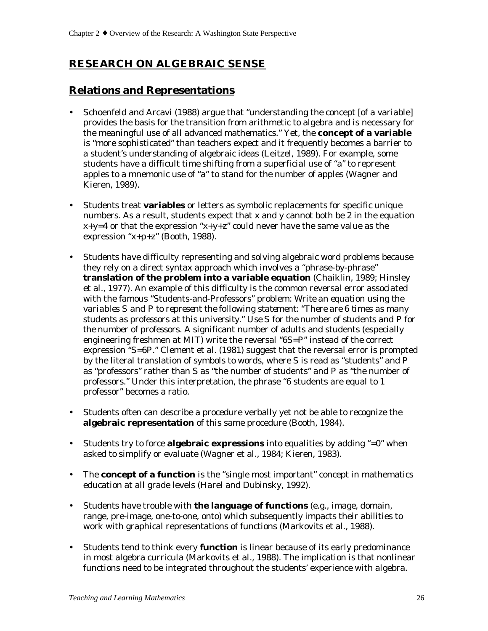#### **RESEARCH ON ALGEBRAIC SENSE**

#### **Relations and Representations**

- Schoenfeld and Arcavi (1988) argue that "understanding the concept [of a variable] provides the basis for the transition from arithmetic to algebra and is necessary for the meaningful use of all advanced mathematics." Yet, the **concept of a variable** is "more sophisticated" than teachers expect and it frequently becomes a barrier to a student's understanding of algebraic ideas (Leitzel, 1989). For example, some students have a difficult time shifting from a superficial use of "a" to represent apples to a mnemonic use of "a" to stand for the number of apples (Wagner and Kieren, 1989).
- Students treat **variables** or letters as symbolic replacements for specific unique numbers. As a result, students expect that x and y cannot both be  $\overline{2}$  in the equation  $x+y=4$  or that the expression " $x+y+z$ " could never have the same value as the expression "x+p+z" (Booth, 1988).
- Students have difficulty representing and solving algebraic word problems because they rely on a direct syntax approach which involves a "phrase-by-phrase" **translation of the problem into a variable equation** (Chaiklin, 1989; Hinsley et al., 1977). An example of this difficulty is the common reversal error associated with the famous "Students-and-Professors" problem: *Write an equation using the variables S and P to represent the following statement: "There are 6 times as many students as professors at this university." Use S for the number of students and P for the number of professors.* A significant number of adults and students (especially engineering freshmen at MIT) write the reversal "6S=P" instead of the correct expression "S=6P." Clement et al. (1981) suggest that the reversal error is prompted by the literal translation of symbols to words, where S is read as "students" and P as "professors" rather than S as "the number of students" and P as "the number of professors." Under this interpretation, the phrase "6 students are equal to 1 professor" becomes a ratio.
- Students often can describe a procedure verbally yet not be able to recognize the **algebraic representation** of this same procedure (Booth, 1984).
- Students try to force **algebraic expressions** into equalities by adding "=0" when asked to simplify or evaluate (Wagner et al., 1984; Kieren, 1983).
- The **concept of a function** is the "single most important" concept in mathematics education at all grade levels (Harel and Dubinsky, 1992).
- Students have trouble with **the language of functions** (e.g., image, domain, range, pre-image, one-to-one, onto) which subsequently impacts their abilities to work with graphical representations of functions (Markovits et al., 1988).
- Students tend to think every **function** is linear because of its early predominance in most algebra curricula (Markovits et al., 1988). The implication is that nonlinear functions need to be integrated throughout the students' experience with algebra.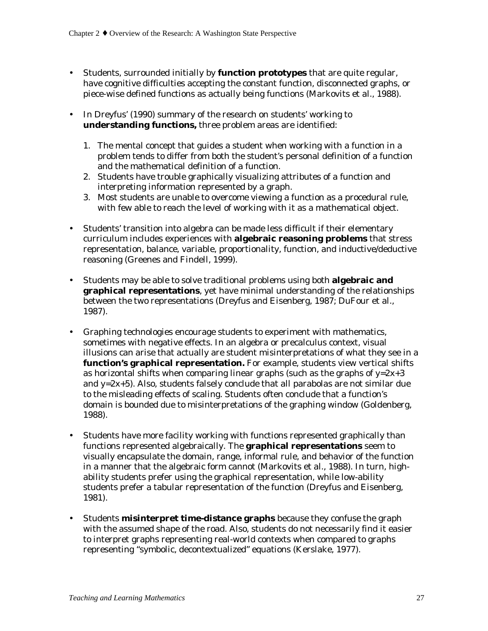- Students, surrounded initially by **function prototypes** that are quite regular, have cognitive difficulties accepting the constant function, disconnected graphs, or piece-wise defined functions as actually being functions (Markovits et al., 1988).
- In Dreyfus' (1990) summary of the research on students' working to **understanding functions,** three problem areas are identified:
	- 1. The mental concept that guides a student when working with a function in a problem tends to differ from both the student's personal definition of a function and the mathematical definition of a function.
	- 2. Students have trouble graphically visualizing attributes of a function and interpreting information represented by a graph.
	- 3. Most students are unable to overcome viewing a function as a procedural rule, with few able to reach the level of working with it as a mathematical object.
- Students' transition into algebra can be made less difficult if their elementary curriculum includes experiences with **algebraic reasoning problems** that stress representation, balance, variable, proportionality, function, and inductive/deductive reasoning (Greenes and Findell, 1999).
- Students may be able to solve traditional problems using both **algebraic and graphical representations**, yet have minimal understanding of the relationships between the two representations (Dreyfus and Eisenberg, 1987; DuFour et al., 1987).
- Graphing technologies encourage students to experiment with mathematics, sometimes with negative effects. In an algebra or precalculus context, visual illusions can arise that actually are student misinterpretations of what they see in a **function's graphical representation.** For example, students view vertical shifts as horizontal shifts when comparing linear graphs (such as the graphs of  $y=2x+3$ ) and y=2x+5). Also, students falsely conclude that all parabolas are not similar due to the misleading effects of scaling. Students often conclude that a function's domain is bounded due to misinterpretations of the graphing window (Goldenberg, 1988).
- Students have more facility working with functions represented graphically than functions represented algebraically. The **graphical representations** seem to visually encapsulate the domain, range, informal rule, and behavior of the function in a manner that the algebraic form cannot (Markovits et al., 1988). In turn, highability students prefer using the graphical representation, while low-ability students prefer a tabular representation of the function (Dreyfus and Eisenberg, 1981).
- Students **misinterpret time-distance graphs** because they confuse the graph with the assumed shape of the road. Also, students do not necessarily find it easier to interpret graphs representing real-world contexts when compared to graphs representing "symbolic, decontextualized" equations (Kerslake, 1977).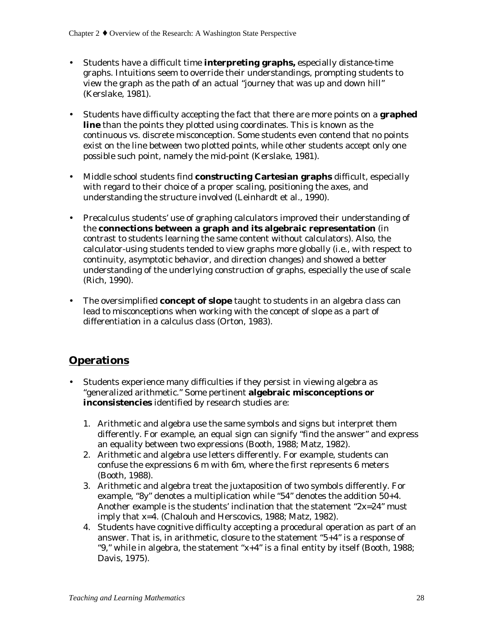- Students have a difficult time **interpreting graphs,** especially distance-time graphs. Intuitions seem to override their understandings, prompting students to view the graph as the path of an actual "journey that was up and down hill" (Kerslake, 1981).
- Students have difficulty accepting the fact that there are more points on a **graphed line** than the points they plotted using coordinates. This is known as the continuous vs. discrete misconception. Some students even contend that no points exist on the line between two plotted points, while other students accept only one possible such point, namely the mid-point (Kerslake, 1981).
- Middle school students find **constructing Cartesian graphs** difficult, especially with regard to their choice of a proper scaling, positioning the axes, and understanding the structure involved (Leinhardt et al., 1990).
- Precalculus students' use of graphing calculators improved their understanding of the **connections between a graph and its algebraic representation** (in contrast to students learning the same content without calculators). Also, the calculator-using students tended to view graphs more globally (i.e., with respect to continuity, asymptotic behavior, and direction changes) and showed a better understanding of the underlying construction of graphs, especially the use of scale (Rich, 1990).
- The oversimplified **concept of slope** taught to students in an algebra class can lead to misconceptions when working with the concept of slope as a part of differentiation in a calculus class (Orton, 1983).

#### **Operations**

- Students experience many difficulties if they persist in viewing algebra as "generalized arithmetic." Some pertinent **algebraic misconceptions or inconsistencies** identified by research studies are:
	- 1. Arithmetic and algebra use the same symbols and signs but interpret them differently. For example, an equal sign can signify "find the answer" and express an equality between two expressions (Booth, 1988; Matz, 1982).
	- 2. Arithmetic and algebra use letters differently. For example, students can confuse the expressions 6 m with 6m, where the first represents 6 meters (Booth, 1988).
	- 3. Arithmetic and algebra treat the juxtaposition of two symbols differently. For example, "8y" denotes a multiplication while "54" denotes the addition 50+4. Another example is the students' inclination that the statement "2x=24" must imply that x=4. (Chalouh and Herscovics, 1988; Matz, 1982).
	- 4. Students have cognitive difficulty accepting a procedural operation as part of an answer. That is, in arithmetic, closure to the statement "5+4" is a response of "9," while in algebra, the statement " $x+4$ " is a final entity by itself (Booth, 1988; Davis, 1975).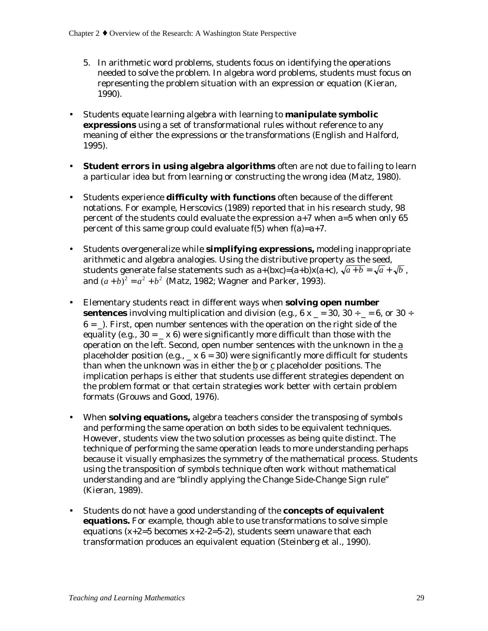- 5. In arithmetic word problems, students focus on identifying the operations needed to solve the problem. In algebra word problems, students must focus on representing the problem situation with an expression or equation (Kieran, 1990).
- Students equate learning algebra with learning to **manipulate symbolic expressions** using a set of transformational rules without reference to any meaning of either the expressions or the transformations (English and Halford, 1995).
- **Student errors in using algebra algorithms** often are not due to failing to learn a particular idea but from learning or constructing the wrong idea (Matz, 1980).
- Students experience **difficulty with functions** often because of the different notations. For example, Herscovics (1989) reported that in his research study, 98 percent of the students could evaluate the expression a+7 when a=5 when only 65 percent of this same group could evaluate  $f(5)$  when  $f(a)=a+7$ .
- Students overgeneralize while **simplifying expressions,** modeling inappropriate arithmetic and algebra analogies. Using the distributive property as the seed, students generate false statements such as  $a+(bxc)=(a+b)x(a+c)$ ,  $\sqrt{a+b}=\sqrt{a}+\sqrt{b}$ , and  $(a + b)^2 = a^2 + b^2$  (Matz, 1982; Wagner and Parker, 1993).
- Elementary students react in different ways when **solving open number sentences** involving multiplication and division (e.g.,  $6x = 30$ ,  $30 \div 6 = 6$ , or  $30 \div 6 = 6$  $6 =$   $\Box$ ). First, open number sentences with the operation on the right side of the equality (e.g.,  $30 = x 6$ ) were significantly more difficult than those with the operation on the left. Second, open number sentences with the unknown in the a placeholder position (e.g.,  $\bar{x}$  6 = 30) were significantly more difficult for students than when the unknown was in either the b or c placeholder positions. The implication perhaps is either that students use different strategies dependent on the problem format or that certain strategies work better with certain problem formats (Grouws and Good, 1976).
- When **solving equations,** algebra teachers consider the transposing of symbols and performing the same operation on both sides to be equivalent techniques. However, students view the two solution processes as being quite distinct. The technique of performing the same operation leads to more understanding perhaps because it visually emphasizes the symmetry of the mathematical process. Students using the transposition of symbols technique often work without mathematical understanding and are "blindly applying the Change Side-Change Sign rule" (Kieran, 1989).
- Students do not have a good understanding of the **concepts of equivalent equations.** For example, though able to use transformations to solve simple equations  $(x+2=5$  becomes  $x+2-2=5-2$ ), students seem unaware that each transformation produces an equivalent equation (Steinberg et al., 1990).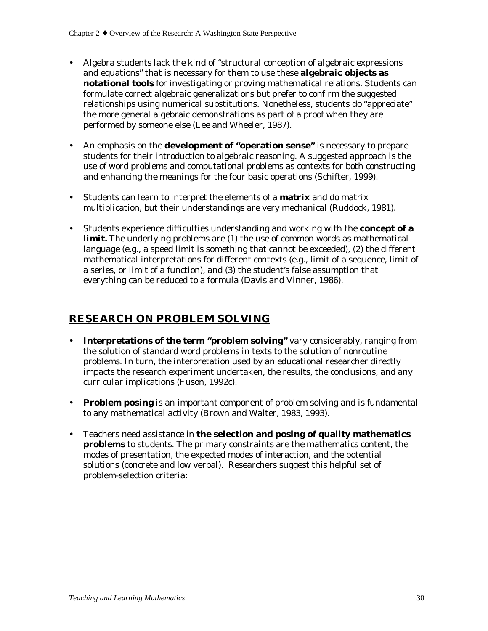- Algebra students lack the kind of "structural conception of algebraic expressions and equations" that is necessary for them to use these **algebraic objects as notational tools** for investigating or proving mathematical relations. Students can formulate correct algebraic generalizations but prefer to confirm the suggested relationships using numerical substitutions. Nonetheless, students do "appreciate" the more general algebraic demonstrations as part of a proof when they are performed by someone else (Lee and Wheeler, 1987).
- An emphasis on the **development of "operation sense"** is necessary to prepare students for their introduction to algebraic reasoning. A suggested approach is the use of word problems and computational problems as contexts for both constructing and enhancing the meanings for the four basic operations (Schifter, 1999).
- Students can learn to interpret the elements of a **matrix** and do matrix multiplication, but their understandings are very mechanical (Ruddock, 1981).
- Students experience difficulties understanding and working with the **concept of a limit.** The underlying problems are (1) the use of common words as mathematical language (e.g., a speed limit is something that cannot be exceeded), (2) the different mathematical interpretations for different contexts (e.g., limit of a sequence, limit of a series, or limit of a function), and (3) the student's false assumption that everything can be reduced to a formula (Davis and Vinner, 1986).

#### **RESEARCH ON PROBLEM SOLVING**

- **Interpretations of the term "problem solving"** vary considerably, ranging from the solution of standard word problems in texts to the solution of nonroutine problems. In turn, the interpretation used by an educational researcher directly impacts the research experiment undertaken, the results, the conclusions, and any curricular implications (Fuson, 1992c).
- **Problem posing** is an important component of problem solving and is fundamental to any mathematical activity (Brown and Walter, 1983, 1993).
- Teachers need assistance in **the selection and posing of quality mathematics problems** to students. The primary constraints are the mathematics content, the modes of presentation, the expected modes of interaction, and the potential solutions (concrete and low verbal). Researchers suggest this helpful set of problem-selection criteria: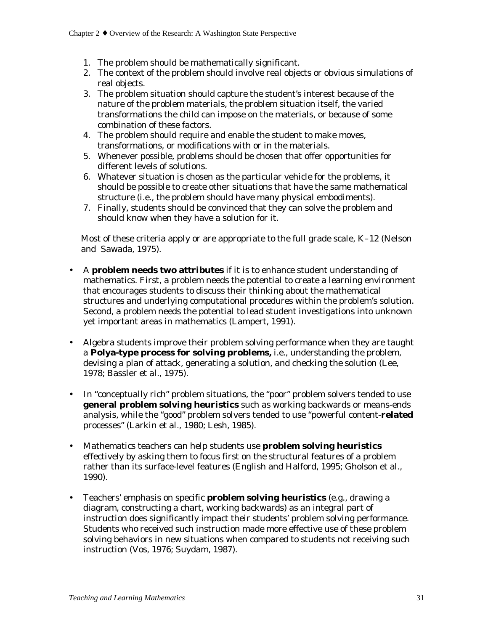- 1. The problem should be mathematically significant.
- 2. The context of the problem should involve real objects or obvious simulations of real objects.
- 3. The problem situation should capture the student's interest because of the nature of the problem materials, the problem situation itself, the varied transformations the child can impose on the materials, or because of some combination of these factors.
- 4. The problem should require and enable the student to make moves, transformations, or modifications with or in the materials.
- 5. Whenever possible, problems should be chosen that offer opportunities for different levels of solutions.
- 6. Whatever situation is chosen as the particular vehicle for the problems, it should be possible to create other situations that have the same mathematical structure (i.e., the problem should have many physical embodiments).
- 7. Finally, students should be convinced that they can solve the problem and should know when they have a solution for it.

Most of these criteria apply or are appropriate to the full grade scale, K–12 (Nelson and Sawada, 1975).

- A **problem needs two attributes** if it is to enhance student understanding of mathematics. First, a problem needs the potential to create a learning environment that encourages students to discuss their thinking about the mathematical structures and underlying computational procedures within the problem's solution. Second, a problem needs the potential to lead student investigations into unknown yet important areas in mathematics (Lampert, 1991).
- Algebra students improve their problem solving performance when they are taught a **Polya-type process for solving problems,** i.e., understanding the problem, devising a plan of attack, generating a solution, and checking the solution (Lee, 1978; Bassler et al., 1975).
- In "conceptually rich" problem situations, the "poor" problem solvers tended to use **general problem solving heuristics** such as working backwards or means-ends analysis, while the "good" problem solvers tended to use "powerful content-**related** processes" (Larkin et al., 1980; Lesh, 1985).
- Mathematics teachers can help students use **problem solving heuristics** effectively by asking them to focus first on the structural features of a problem rather than its surface-level features (English and Halford, 1995; Gholson et al., 1990).
- Teachers' emphasis on specific **problem solving heuristics** (e.g., drawing a diagram, constructing a chart, working backwards) as an integral part of instruction does significantly impact their students' problem solving performance. Students who received such instruction made more effective use of these problem solving behaviors in new situations when compared to students not receiving such instruction (Vos, 1976; Suydam, 1987).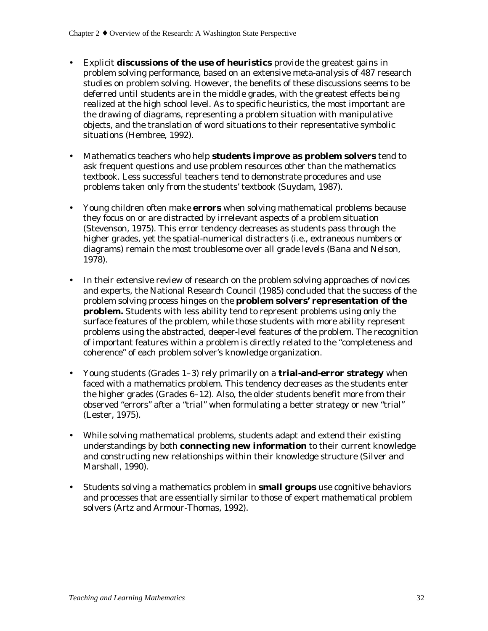- Explicit **discussions of the use of heuristics** provide the greatest gains in problem solving performance, based on an extensive meta-analysis of 487 research studies on problem solving. However, the benefits of these discussions seems to be deferred until students are in the middle grades, with the greatest effects being realized at the high school level. As to specific heuristics, the most important are the drawing of diagrams, representing a problem situation with manipulative objects, and the translation of word situations to their representative symbolic situations (Hembree, 1992).
- Mathematics teachers who help **students improve as problem solvers** tend to ask frequent questions and use problem resources other than the mathematics textbook. Less successful teachers tend to demonstrate procedures and use problems taken only from the students' textbook (Suydam, 1987).
- Young children often make **errors** when solving mathematical problems because they focus on or are distracted by irrelevant aspects of a problem situation (Stevenson, 1975). This error tendency decreases as students pass through the higher grades, yet the spatial-numerical distracters (i.e., extraneous numbers or diagrams) remain the most troublesome over all grade levels (Bana and Nelson, 1978).
- In their extensive review of research on the problem solving approaches of novices and experts, the National Research Council (1985) concluded that the success of the problem solving process hinges on the **problem solvers' representation of the problem.** Students with less ability tend to represent problems using only the surface features of the problem, while those students with more ability represent problems using the abstracted, deeper-level features of the problem. The recognition of important features within a problem is directly related to the "completeness and coherence" of each problem solver's knowledge organization.
- Young students (Grades 1–3) rely primarily on a **trial-and-error strategy** when faced with a mathematics problem. This tendency decreases as the students enter the higher grades (Grades 6–12). Also, the older students benefit more from their observed "errors" after a "trial" when formulating a better strategy or new "trial" (Lester, 1975).
- While solving mathematical problems, students adapt and extend their existing understandings by both **connecting new information** to their current knowledge and constructing new relationships within their knowledge structure (Silver and Marshall, 1990).
- Students solving a mathematics problem in **small groups** use cognitive behaviors and processes that are essentially similar to those of expert mathematical problem solvers (Artz and Armour-Thomas, 1992).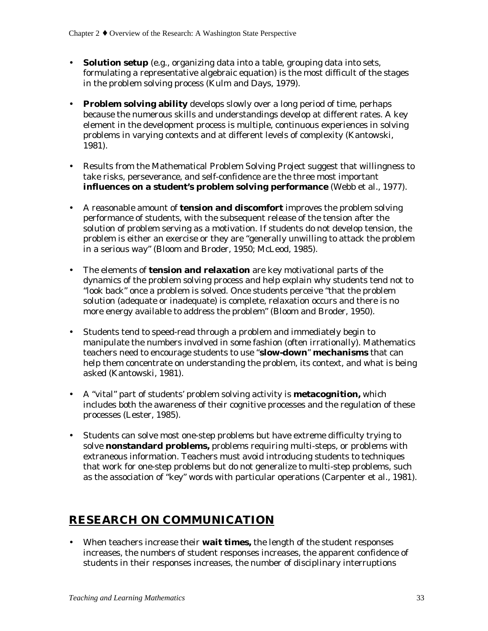- **Solution setup** (e.g., organizing data into a table, grouping data into sets, formulating a representative algebraic equation) is the most difficult of the stages in the problem solving process (Kulm and Days, 1979).
- **Problem solving ability** develops slowly over a long period of time, perhaps because the numerous skills and understandings develop at different rates. A key element in the development process is multiple, continuous experiences in solving problems in varying contexts and at different levels of complexity (Kantowski, 1981).
- Results from the Mathematical Problem Solving Project suggest that willingness to take risks, perseverance, and self-confidence are the three most important **influences on a student's problem solving performance** (Webb et al., 1977).
- A reasonable amount of **tension and discomfort** improves the problem solving performance of students, with the subsequent release of the tension after the solution of problem serving as a motivation. If students do not develop tension, the problem is either an exercise or they are "generally unwilling to attack the problem in a serious way" (Bloom and Broder, 1950; McLeod, 1985).
- The elements of **tension and relaxation** are key motivational parts of the dynamics of the problem solving process and help explain why students tend not to "look back" once a problem is solved. Once students perceive "that the problem solution (adequate or inadequate) is complete, relaxation occurs and there is no more energy available to address the problem" (Bloom and Broder, 1950).
- Students tend to speed-read through a problem and immediately begin to manipulate the numbers involved in some fashion (often irrationally). Mathematics teachers need to encourage students to use "**slow-down**" **mechanisms** that can help them concentrate on understanding the problem, its context, and what is being asked (Kantowski, 1981).
- A "vital" part of students' problem solving activity is **metacognition,** which includes both the awareness of their cognitive processes and the regulation of these processes (Lester, 1985).
- Students can solve most one-step problems but have extreme difficulty trying to solve **nonstandard problems,** problems requiring multi-steps, or problems with extraneous information. Teachers must avoid introducing students to techniques that work for one-step problems but do not generalize to multi-step problems, such as the association of "key" words with particular operations (Carpenter et al., 1981).

## **RESEARCH ON COMMUNICATION**

• When teachers increase their **wait times,** the length of the student responses increases, the numbers of student responses increases, the apparent confidence of students in their responses increases, the number of disciplinary interruptions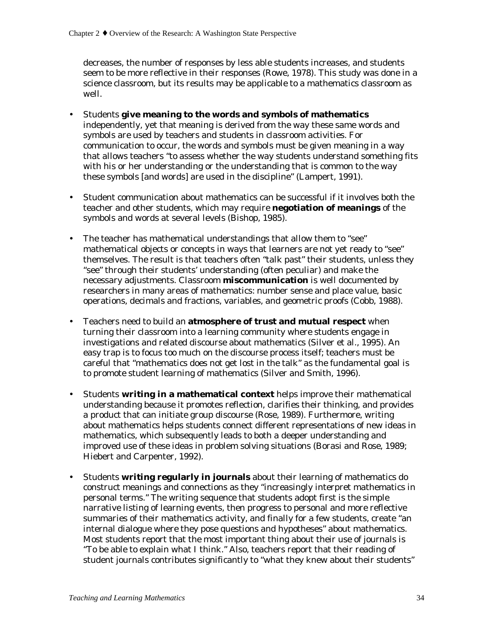decreases, the number of responses by less able students increases, and students seem to be more reflective in their responses (Rowe, 1978). This study was done in a science classroom, but its results may be applicable to a mathematics classroom as well.

- Students **give meaning to the words and symbols of mathematics** independently, yet that meaning is derived from the way these same words and symbols are used by teachers and students in classroom activities. For communication to occur, the words and symbols must be given meaning in a way that allows teachers "to assess whether the way students understand something fits with his or her understanding or the understanding that is common to the way these symbols [and words] are used in the discipline" (Lampert, 1991).
- Student communication about mathematics can be successful if it involves both the teacher and other students, which may require **negotiation of meanings** of the symbols and words at several levels (Bishop, 1985).
- The teacher has mathematical understandings that allow them to "see" mathematical objects or concepts in ways that learners are not yet ready to "see" themselves. The result is that teachers often "talk past" their students, unless they "see" through their students' understanding (often peculiar) and make the necessary adjustments. Classroom **miscommunication** is well documented by researchers in many areas of mathematics: number sense and place value, basic operations, decimals and fractions, variables, and geometric proofs (Cobb, 1988).
- Teachers need to build an **atmosphere of trust and mutual respect** when turning their classroom into a learning community where students engage in investigations and related discourse about mathematics (Silver et al., 1995). An easy trap is to focus too much on the discourse process itself; teachers must be careful that "mathematics does not get lost in the talk" as the fundamental goal is to promote student learning of mathematics (Silver and Smith, 1996).
- Students **writing in a mathematical context** helps improve their mathematical understanding because it promotes reflection, clarifies their thinking, and provides a product that can initiate group discourse (Rose, 1989). Furthermore, writing about mathematics helps students connect different representations of new ideas in mathematics, which subsequently leads to both a deeper understanding and improved use of these ideas in problem solving situations (Borasi and Rose, 1989; Hiebert and Carpenter, 1992).
- Students **writing regularly in journals** about their learning of mathematics do construct meanings and connections as they "increasingly interpret mathematics in personal terms." The writing sequence that students adopt first is the simple narrative listing of learning events, then progress to personal and more reflective summaries of their mathematics activity, and finally for a few students, create "an internal dialogue where they pose questions and hypotheses" about mathematics. Most students report that the most important thing about their use of journals is "To be able to explain what I think." Also, teachers report that their reading of student journals contributes significantly to "what they knew about their students"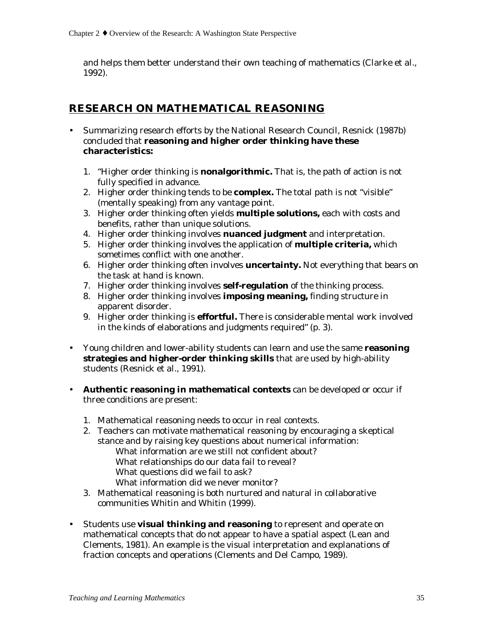and helps them better understand their own teaching of mathematics (Clarke et al., 1992).

#### **RESEARCH ON MATHEMATICAL REASONING**

- Summarizing research efforts by the National Research Council, Resnick (1987b) concluded that **reasoning and higher order thinking have these characteristics:**
	- 1. "Higher order thinking is **nonalgorithmic.** That is, the path of action is not fully specified in advance.
	- 2. Higher order thinking tends to be **complex.** The total path is not "visible" (mentally speaking) from any vantage point.
	- 3. Higher order thinking often yields **multiple solutions,** each with costs and benefits, rather than unique solutions.
	- 4. Higher order thinking involves **nuanced judgment** and interpretation.
	- 5. Higher order thinking involves the application of **multiple criteria,** which sometimes conflict with one another.
	- 6. Higher order thinking often involves **uncertainty.** Not everything that bears on the task at hand is known.
	- 7. Higher order thinking involves **self-regulation** of the thinking process.
	- 8. Higher order thinking involves **imposing meaning,** finding structure in apparent disorder.
	- 9. Higher order thinking is **effortful.** There is considerable mental work involved in the kinds of elaborations and judgments required" (p. 3).
- Young children and lower-ability students can learn and use the same **reasoning strategies and higher-order thinking skills** that are used by high-ability students (Resnick et al., 1991).
- **Authentic reasoning in mathematical contexts** can be developed or occur if three conditions are present:
	- 1. Mathematical reasoning needs to occur in real contexts.
	- 2. Teachers can motivate mathematical reasoning by encouraging a skeptical stance and by raising key questions about numerical information: What information are we still not confident about? What relationships do our data fail to reveal? What questions did we fail to ask? What information did we never monitor?
	- 3. Mathematical reasoning is both nurtured and natural in collaborative communities Whitin and Whitin (1999).
- Students use **visual thinking and reasoning** to represent and operate on mathematical concepts that do not appear to have a spatial aspect (Lean and Clements, 1981). An example is the visual interpretation and explanations of fraction concepts and operations (Clements and Del Campo, 1989).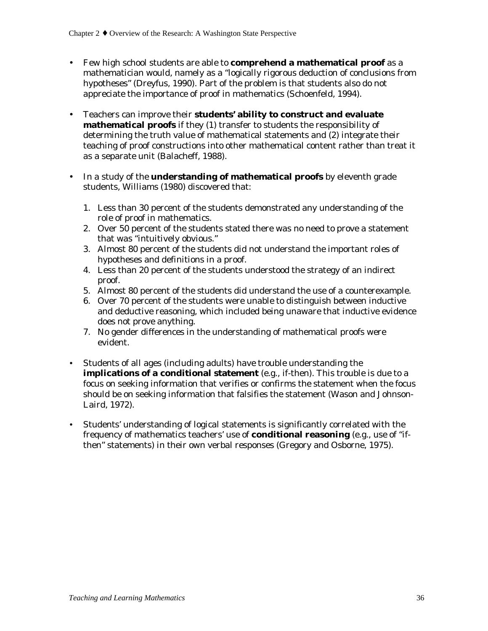- Few high school students are able to **comprehend a mathematical proof** as a mathematician would, namely as a "logically rigorous deduction of conclusions from hypotheses" (Dreyfus, 1990). Part of the problem is that students also do not appreciate the importance of proof in mathematics (Schoenfeld, 1994).
- Teachers can improve their **students' ability to construct and evaluate mathematical proofs** if they (1) transfer to students the responsibility of determining the truth value of mathematical statements and (2) integrate their teaching of proof constructions into other mathematical content rather than treat it as a separate unit (Balacheff, 1988).
- In a study of the **understanding of mathematical proofs** by eleventh grade students, Williams (1980) discovered that:
	- 1. Less than 30 percent of the students demonstrated any understanding of the role of proof in mathematics.
	- 2. Over 50 percent of the students stated there was no need to prove a statement that was "intuitively obvious."
	- 3. Almost 80 percent of the students did not understand the important roles of hypotheses and definitions in a proof.
	- 4. Less than 20 percent of the students understood the strategy of an indirect proof.
	- 5. Almost 80 percent of the students did understand the use of a counterexample.
	- 6. Over 70 percent of the students were unable to distinguish between inductive and deductive reasoning, which included being unaware that inductive evidence does not prove anything.
	- 7. No gender differences in the understanding of mathematical proofs were evident.
- Students of all ages (including adults) have trouble understanding the **implications of a conditional statement** (e.g., if-then). This trouble is due to a focus on seeking information that verifies or confirms the statement when the focus should be on seeking information that falsifies the statement (Wason and Johnson-Laird, 1972).
- Students' understanding of logical statements is significantly correlated with the frequency of mathematics teachers' use of **conditional reasoning** (e.g., use of "ifthen" statements) in their own verbal responses (Gregory and Osborne, 1975).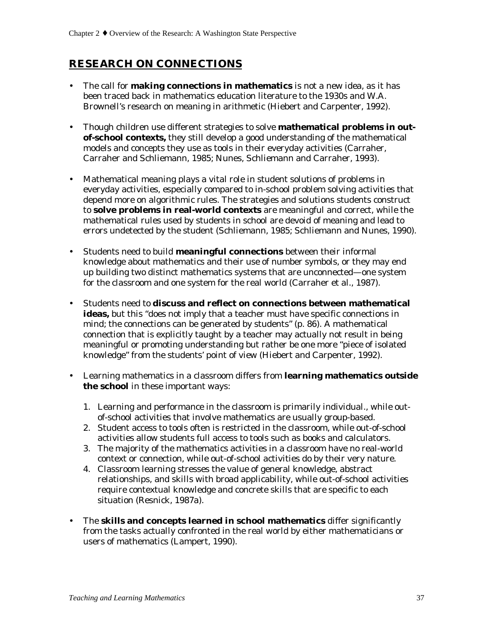#### **RESEARCH ON CONNECTIONS**

- The call for **making connections in mathematics** is not a new idea, as it has been traced back in mathematics education literature to the 1930s and W.A. Brownell's research on meaning in arithmetic (Hiebert and Carpenter, 1992).
- Though children use different strategies to solve **mathematical problems in outof-school contexts,** they still develop a good understanding of the mathematical models and concepts they use as tools in their everyday activities (Carraher, Carraher and Schliemann, 1985; Nunes, Schliemann and Carraher, 1993).
- Mathematical meaning plays a vital role in student solutions of problems in everyday activities, especially compared to in-school problem solving activities that depend more on algorithmic rules. The strategies and solutions students construct to **solve problems in real-world contexts** are meaningful and correct, while the mathematical rules used by students in school are devoid of meaning and lead to errors undetected by the student (Schliemann, 1985; Schliemann and Nunes, 1990).
- Students need to build **meaningful connections** between their informal knowledge about mathematics and their use of number symbols, or they may end up building two distinct mathematics systems that are unconnected—one system for the classroom and one system for the real world (Carraher et al., 1987).
- Students need to **discuss and reflect on connections between mathematical ideas,** but this "does not imply that a teacher must have specific connections in mind; the connections can be generated by students" (p. 86). A mathematical connection that is explicitly taught by a teacher may actually not result in being meaningful or promoting understanding but rather be one more "piece of isolated knowledge" from the students' point of view (Hiebert and Carpenter, 1992).
- Learning mathematics in a classroom differs from **learning mathematics outside the school** in these important ways:
	- 1. Learning and performance in the classroom is primarily individual., while outof-school activities that involve mathematics are usually group-based.
	- 2. Student access to tools often is restricted in the classroom, while out-of-school activities allow students full access to tools such as books and calculators.
	- 3. The majority of the mathematics activities in a classroom have no real-world context or connection, while out-of-school activities do by their very nature.
	- 4. Classroom learning stresses the value of general knowledge, abstract relationships, and skills with broad applicability, while out-of-school activities require contextual knowledge and concrete skills that are specific to each situation (Resnick, 1987a).
- The **skills and concepts learned in school mathematics** differ significantly from the tasks actually confronted in the real world by either mathematicians or users of mathematics (Lampert, 1990).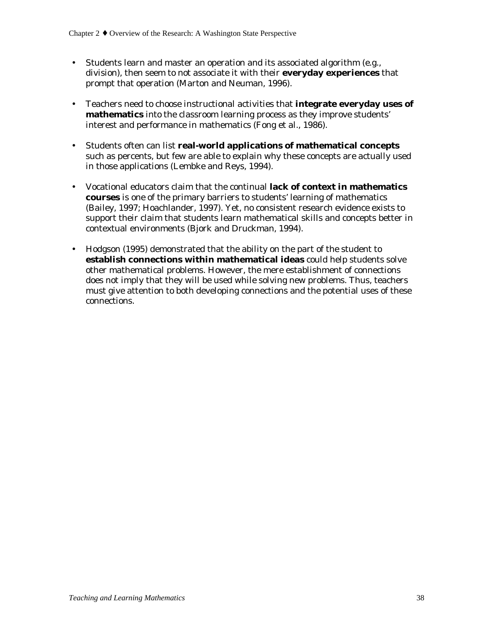- Students learn and master an operation and its associated algorithm (e.g., division), then seem to not associate it with their **everyday experiences** that prompt that operation (Marton and Neuman, 1996).
- Teachers need to choose instructional activities that **integrate everyday uses of mathematics** into the classroom learning process as they improve students' interest and performance in mathematics (Fong et al., 1986).
- Students often can list **real-world applications of mathematical concepts** such as percents, but few are able to explain why these concepts are actually used in those applications (Lembke and Reys, 1994).
- Vocational educators claim that the continual **lack of context in mathematics courses** is one of the primary barriers to students' learning of mathematics (Bailey, 1997; Hoachlander, 1997). Yet, no consistent research evidence exists to support their claim that students learn mathematical skills and concepts better in contextual environments (Bjork and Druckman, 1994).
- Hodgson (1995) demonstrated that the ability on the part of the student to **establish connections within mathematical ideas** could help students solve other mathematical problems. However, the mere establishment of connections does not imply that they will be used while solving new problems. Thus, teachers must give attention to both developing connections and the potential uses of these connections.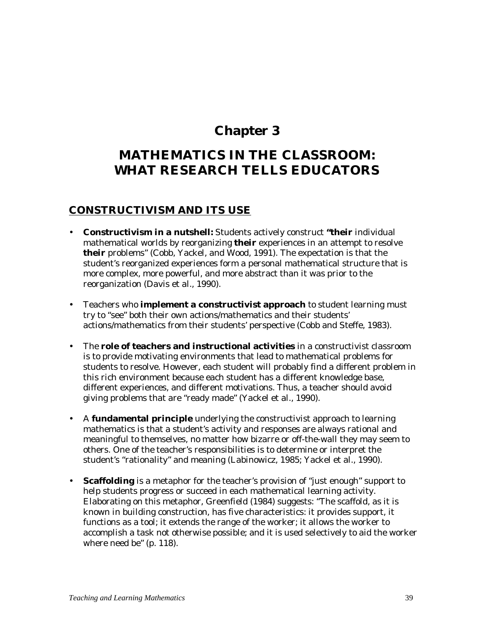## **Chapter 3**

# **MATHEMATICS IN THE CLASSROOM: WHAT RESEARCH TELLS EDUCATORS**

#### **CONSTRUCTIVISM AND ITS USE**

- **Constructivism in a nutshell:** Students actively construct **"their** individual mathematical worlds by reorganizing **their** experiences in an attempt to resolve **their** problems" (Cobb, Yackel, and Wood, 1991). The expectation is that the student's reorganized experiences form a personal mathematical structure that is more complex, more powerful, and more abstract than it was prior to the reorganization (Davis et al., 1990).
- Teachers who **implement a constructivist approach** to student learning must try to "see" both their own actions/mathematics and their students' actions/mathematics from their students' perspective (Cobb and Steffe, 1983).
- The **role of teachers and instructional activities** in a constructivist classroom is to provide motivating environments that lead to mathematical problems for students to resolve. However, each student will probably find a different problem in this rich environment because each student has a different knowledge base, different experiences, and different motivations. Thus, a teacher should avoid giving problems that are "ready made" (Yackel et al., 1990).
- A **fundamental principle** underlying the constructivist approach to learning mathematics is that a student's activity and responses are always rational and meaningful to themselves, no matter how bizarre or off-the-wall they may seem to others. One of the teacher's responsibilities is to determine or interpret the student's "rationality" and meaning (Labinowicz, 1985; Yackel et al., 1990).
- **Scaffolding** is a metaphor for the teacher's provision of "just enough" support to help students progress or succeed in each mathematical learning activity. Elaborating on this metaphor, Greenfield (1984) suggests: "The scaffold, as it is known in building construction, has five characteristics: it provides support, it functions as a tool; it extends the range of the worker; it allows the worker to accomplish a task not otherwise possible; and it is used selectively to aid the worker where need be" (p. 118).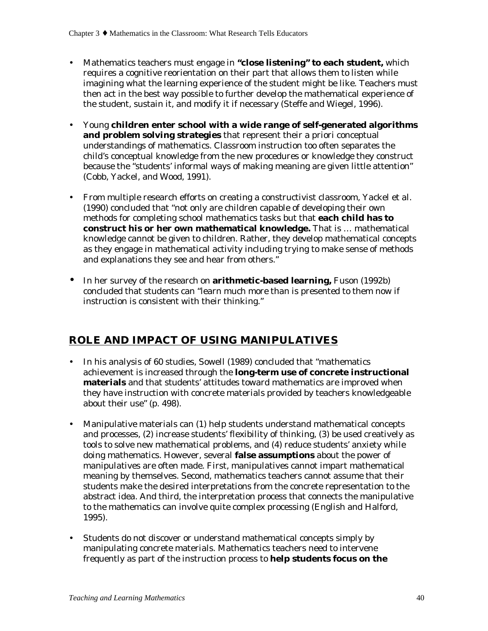- Mathematics teachers must engage in **"close listening" to each student,** which requires a cognitive reorientation on their part that allows them to listen while imagining what the learning experience of the student might be like. Teachers must then act in the best way possible to further develop the mathematical experience of the student, sustain it, and modify it if necessary (Steffe and Wiegel, 1996).
- Young **children enter school with a wide range of self-generated algorithms and problem solving strategies** that represent their a priori conceptual understandings of mathematics. Classroom instruction too often separates the child's conceptual knowledge from the new procedures or knowledge they construct because the "students' informal ways of making meaning are given little attention" (Cobb, Yackel, and Wood, 1991).
- From multiple research efforts on creating a constructivist classroom, Yackel et al. (1990) concluded that "not only are children capable of developing their own methods for completing school mathematics tasks but that **each child has to construct his or her own mathematical knowledge.** That is … mathematical knowledge cannot be given to children. Rather, they develop mathematical concepts as they engage in mathematical activity including trying to make sense of methods and explanations they see and hear from others."
- In her survey of the research on **arithmetic-based learning,** Fuson (1992b) concluded that students can "learn much more than is presented to them now if instruction is consistent with their thinking."

## **ROLE AND IMPACT OF USING MANIPULATIVES**

- In his analysis of 60 studies, Sowell (1989) concluded that "mathematics achievement is increased through the **long-term use of concrete instructional materials** and that students' attitudes toward mathematics are improved when they have instruction with concrete materials provided by teachers knowledgeable about their use" (p. 498).
- Manipulative materials can (1) help students understand mathematical concepts and processes, (2) increase students' flexibility of thinking, (3) be used creatively as tools to solve new mathematical problems, and (4) reduce students' anxiety while doing mathematics. However, several **false assumptions** about the power of manipulatives are often made. First, manipulatives cannot impart mathematical meaning by themselves. Second, mathematics teachers cannot assume that their students make the desired interpretations from the concrete representation to the abstract idea. And third, the interpretation process that connects the manipulative to the mathematics can involve quite complex processing (English and Halford, 1995).
- Students do not discover or understand mathematical concepts simply by manipulating concrete materials. Mathematics teachers need to intervene frequently as part of the instruction process to **help students focus on the**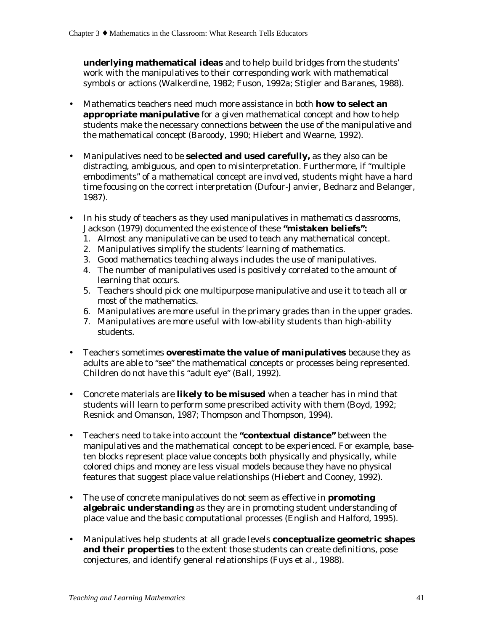**underlying mathematical ideas** and to help build bridges from the students' work with the manipulatives to their corresponding work with mathematical symbols or actions (Walkerdine, 1982; Fuson, 1992a; Stigler and Baranes, 1988).

- Mathematics teachers need much more assistance in both **how to select an appropriate manipulative** for a given mathematical concept and how to help students make the necessary connections between the use of the manipulative and the mathematical concept (Baroody, 1990; Hiebert and Wearne, 1992).
- Manipulatives need to be **selected and used carefully,** as they also can be distracting, ambiguous, and open to misinterpretation. Furthermore, if "multiple embodiments" of a mathematical concept are involved, students might have a hard time focusing on the correct interpretation (Dufour-Janvier, Bednarz and Belanger, 1987).
- In his study of teachers as they used manipulatives in mathematics classrooms, Jackson (1979) documented the existence of these **"mistaken beliefs":**
	- 1. Almost any manipulative can be used to teach any mathematical concept.
	- 2. Manipulatives simplify the students' learning of mathematics.
	- 3. Good mathematics teaching always includes the use of manipulatives.
	- 4. The number of manipulatives used is positively correlated to the amount of learning that occurs.
	- 5. Teachers should pick one multipurpose manipulative and use it to teach all or most of the mathematics.
	- 6. Manipulatives are more useful in the primary grades than in the upper grades.
	- 7. Manipulatives are more useful with low-ability students than high-ability students.
- Teachers sometimes **overestimate the value of manipulatives** because they as adults are able to "see" the mathematical concepts or processes being represented. Children do not have this "adult eye" (Ball, 1992).
- Concrete materials are **likely to be misused** when a teacher has in mind that students will learn to perform some prescribed activity with them (Boyd, 1992; Resnick and Omanson, 1987; Thompson and Thompson, 1994).
- Teachers need to take into account the **"contextual distance"** between the manipulatives and the mathematical concept to be experienced. For example, baseten blocks represent place value concepts both physically and physically, while colored chips and money are less visual models because they have no physical features that suggest place value relationships (Hiebert and Cooney, 1992).
- The use of concrete manipulatives do not seem as effective in **promoting algebraic understanding** as they are in promoting student understanding of place value and the basic computational processes (English and Halford, 1995).
- Manipulatives help students at all grade levels **conceptualize geometric shapes and their properties** to the extent those students can create definitions, pose conjectures, and identify general relationships (Fuys et al., 1988).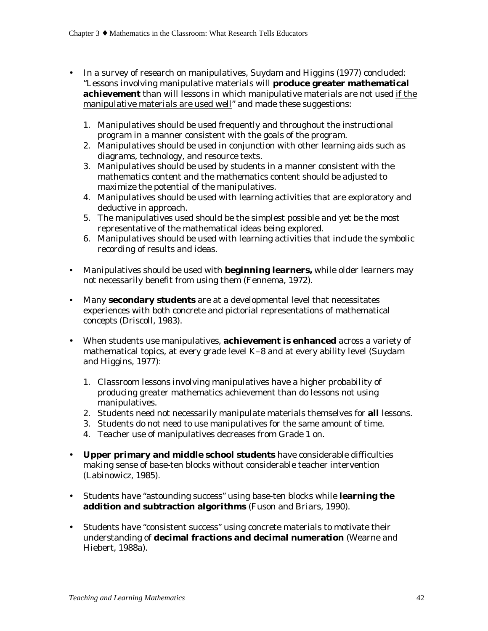- In a survey of research on manipulatives, Suydam and Higgins (1977) concluded: "Lessons involving manipulative materials will **produce greater mathematical achievement** than will lessons in which manipulative materials are not used if the manipulative materials are used well" and made these suggestions:
	- 1. Manipulatives should be used frequently and throughout the instructional program in a manner consistent with the goals of the program.
	- 2. Manipulatives should be used in conjunction with other learning aids such as diagrams, technology, and resource texts.
	- 3. Manipulatives should be used by students in a manner consistent with the mathematics content and the mathematics content should be adjusted to maximize the potential of the manipulatives.
	- 4. Manipulatives should be used with learning activities that are exploratory and deductive in approach.
	- 5. The manipulatives used should be the simplest possible and yet be the most representative of the mathematical ideas being explored.
	- 6. Manipulatives should be used with learning activities that include the symbolic recording of results and ideas.
- Manipulatives should be used with **beginning learners,** while older learners may not necessarily benefit from using them (Fennema, 1972).
- Many **secondary students** are at a developmental level that necessitates experiences with both concrete and pictorial representations of mathematical concepts (Driscoll, 1983).
- When students use manipulatives, **achievement is enhanced** across a variety of mathematical topics, at every grade level K–8 and at every ability level (Suydam and Higgins, 1977):
	- 1. Classroom lessons involving manipulatives have a higher probability of producing greater mathematics achievement than do lessons not using manipulatives.
	- 2. Students need not necessarily manipulate materials themselves for **all** lessons.
	- 3. Students do not need to use manipulatives for the same amount of time.
	- 4. Teacher use of manipulatives decreases from Grade 1 on.
- **Upper primary and middle school students** have considerable difficulties making sense of base-ten blocks without considerable teacher intervention (Labinowicz, 1985).
- Students have "astounding success" using base-ten blocks while **learning the addition and subtraction algorithms** (Fuson and Briars, 1990).
- Students have "consistent success" using concrete materials to motivate their understanding of **decimal fractions and decimal numeration** (Wearne and Hiebert, 1988a).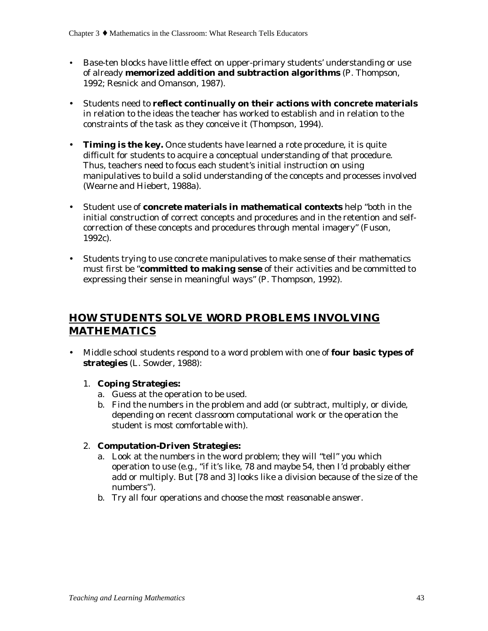- Base-ten blocks have little effect on upper-primary students' understanding or use of already **memorized addition and subtraction algorithms** (P. Thompson, 1992; Resnick and Omanson, 1987).
- Students need to **reflect continually on their actions with concrete materials** in relation to the ideas the teacher has worked to establish and in relation to the constraints of the task as they conceive it (Thompson, 1994).
- **Timing is the key.** Once students have learned a rote procedure, it is quite difficult for students to acquire a conceptual understanding of that procedure. Thus, teachers need to focus each student's initial instruction on using manipulatives to build a solid understanding of the concepts and processes involved (Wearne and Hiebert, 1988a).
- Student use of **concrete materials in mathematical contexts** help "both in the initial construction of correct concepts and procedures and in the retention and selfcorrection of these concepts and procedures through mental imagery" (Fuson, 1992c).
- Students trying to use concrete manipulatives to make sense of their mathematics must first be "**committed to making sense** of their activities and be committed to expressing their sense in meaningful ways" (P. Thompson, 1992).

#### **HOW STUDENTS SOLVE WORD PROBLEMS INVOLVING MATHEMATICS**

- Middle school students respond to a word problem with one of **four basic types of strategies** (L. Sowder, 1988):
	- 1. **Coping Strategies:**
		- a. Guess at the operation to be used.
		- b. Find the numbers in the problem and add (or subtract, multiply, or divide, depending on recent classroom computational work or the operation the student is most comfortable with).

#### 2. **Computation-Driven Strategies:**

- a. Look at the numbers in the word problem; they will "tell" you which operation to use (e.g., "if it's like, 78 and maybe 54, then I'd probably either add or multiply. But [78 and 3] looks like a division because of the size of the numbers").
- b. Try all four operations and choose the most reasonable answer.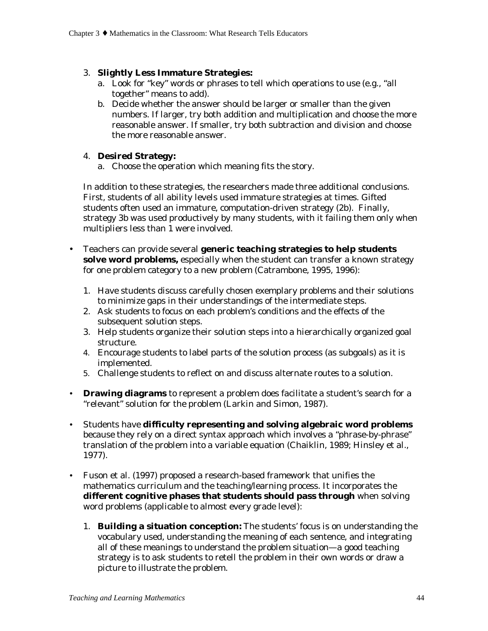#### 3. **Slightly Less Immature Strategies:**

- a. Look for "key" words or phrases to tell which operations to use (e.g., "all together" means to add).
- b. Decide whether the answer should be larger or smaller than the given numbers. If larger, try both addition and multiplication and choose the more reasonable answer. If smaller, try both subtraction and division and choose the more reasonable answer.

#### 4. **Desired Strategy:**

a. Choose the operation which meaning fits the story.

In addition to these strategies, the researchers made three additional conclusions. First, students of all ability levels used immature strategies at times. Gifted students often used an immature, computation-driven strategy (2b). Finally, strategy 3b was used productively by many students, with it failing them only when multipliers less than 1 were involved.

- Teachers can provide several **generic teaching strategies to help students solve word problems,** especially when the student can transfer a known strategy for one problem category to a new problem (Catrambone, 1995, 1996):
	- 1. Have students discuss carefully chosen exemplary problems and their solutions to minimize gaps in their understandings of the intermediate steps.
	- 2. Ask students to focus on each problem's conditions and the effects of the subsequent solution steps.
	- 3. Help students organize their solution steps into a hierarchically organized goal structure.
	- 4. Encourage students to label parts of the solution process (as subgoals) as it is implemented.
	- 5. Challenge students to reflect on and discuss alternate routes to a solution.
- **Drawing diagrams** to represent a problem does facilitate a student's search for a "relevant" solution for the problem (Larkin and Simon, 1987).
- Students have **difficulty representing and solving algebraic word problems** because they rely on a direct syntax approach which involves a "phrase-by-phrase" translation of the problem into a variable equation (Chaiklin, 1989; Hinsley et al., 1977).
- Fuson et al. (1997) proposed a research-based framework that unifies the mathematics curriculum and the teaching/learning process. It incorporates the **different cognitive phases that students should pass through** when solving word problems (applicable to almost every grade level):
	- 1. **Building a situation conception:** The students' focus is on understanding the vocabulary used, understanding the meaning of each sentence, and integrating all of these meanings to understand the problem situation—a good teaching strategy is to ask students to retell the problem in their own words or draw a picture to illustrate the problem.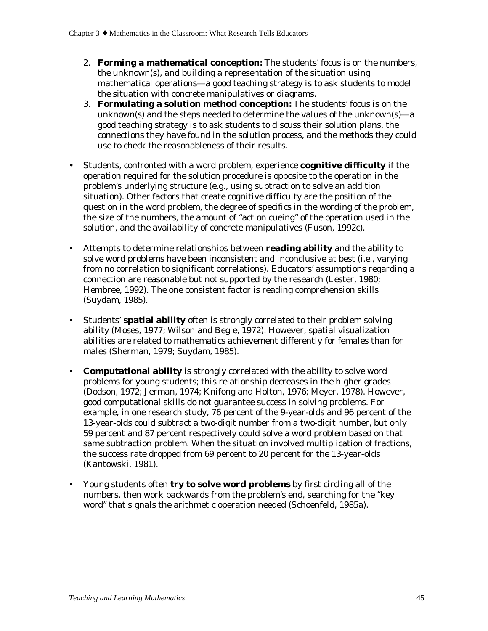- 2. **Forming a mathematical conception:** The students' focus is on the numbers, the unknown(s), and building a representation of the situation using mathematical operations—a good teaching strategy is to ask students to model the situation with concrete manipulatives or diagrams.
- 3. **Formulating a solution method conception:** The students' focus is on the unknown(s) and the steps needed to determine the values of the unknown(s)—a good teaching strategy is to ask students to discuss their solution plans, the connections they have found in the solution process, and the methods they could use to check the reasonableness of their results.
- Students, confronted with a word problem, experience **cognitive difficulty** if the operation required for the solution procedure is opposite to the operation in the problem's underlying structure (e.g., using subtraction to solve an addition situation). Other factors that create cognitive difficulty are the position of the question in the word problem, the degree of specifics in the wording of the problem, the size of the numbers, the amount of "action cueing" of the operation used in the solution, and the availability of concrete manipulatives (Fuson, 1992c).
- Attempts to determine relationships between **reading ability** and the ability to solve word problems have been inconsistent and inconclusive at best (i.e., varying from no correlation to significant correlations). Educators' assumptions regarding a connection are reasonable but not supported by the research (Lester, 1980; Hembree, 1992). The one consistent factor is reading comprehension skills (Suydam, 1985).
- Students' **spatial ability** often is strongly correlated to their problem solving ability (Moses, 1977; Wilson and Begle, 1972). However, spatial visualization abilities are related to mathematics achievement differently for females than for males (Sherman, 1979; Suydam, 1985).
- **Computational ability** is strongly correlated with the ability to solve word problems for young students; this relationship decreases in the higher grades (Dodson, 1972; Jerman, 1974; Knifong and Holton, 1976; Meyer, 1978). However, good computational skills do not guarantee success in solving problems. For example, in one research study, 76 percent of the 9-year-olds and 96 percent of the 13-year-olds could subtract a two-digit number from a two-digit number, but only 59 percent and 87 percent respectively could solve a word problem based on that same subtraction problem. When the situation involved multiplication of fractions, the success rate dropped from 69 percent to 20 percent for the 13-year-olds (Kantowski, 1981).
- Young students often **try to solve word problems** by first circling all of the numbers, then work backwards from the problem's end, searching for the "key word" that signals the arithmetic operation needed (Schoenfeld, 1985a).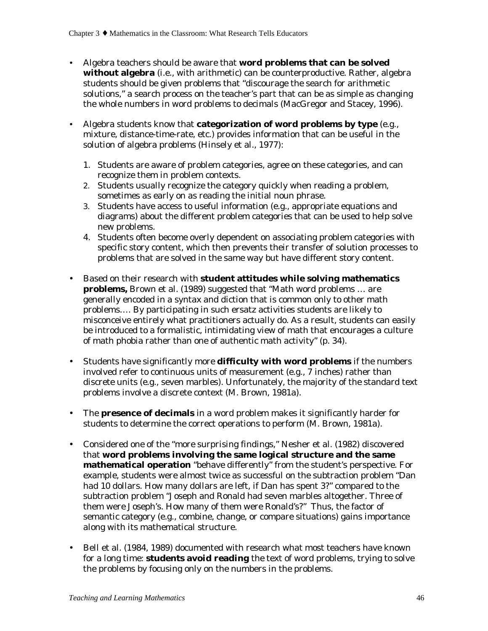- Algebra teachers should be aware that **word problems that can be solved without algebra** (i.e., with arithmetic) can be counterproductive. Rather, algebra students should be given problems that "discourage the search for arithmetic solutions," a search process on the teacher's part that can be as simple as changing the whole numbers in word problems to decimals (MacGregor and Stacey, 1996).
- Algebra students know that **categorization of word problems by type** (e.g., mixture, distance-time-rate, etc.) provides information that can be useful in the solution of algebra problems (Hinsely et al., 1977):
	- 1. Students are aware of problem categories, agree on these categories, and can recognize them in problem contexts.
	- 2. Students usually recognize the category quickly when reading a problem, sometimes as early on as reading the initial noun phrase.
	- 3. Students have access to useful information (e.g., appropriate equations and diagrams) about the different problem categories that can be used to help solve new problems.
	- 4. Students often become overly dependent on associating problem categories with specific story content, which then prevents their transfer of solution processes to problems that are solved in the same way but have different story content.
- Based on their research with **student attitudes while solving mathematics problems,** Brown et al. (1989) suggested that "Math word problems … are generally encoded in a syntax and diction that is common only to other math problems…. By participating in such ersatz activities students are likely to misconceive entirely what practitioners actually do. As a result, students can easily be introduced to a formalistic, intimidating view of math that encourages a culture of math phobia rather than one of authentic math activity" (p. 34).
- Students have significantly more **difficulty with word problems** if the numbers involved refer to continuous units of measurement (e.g., 7 inches) rather than discrete units (e.g., seven marbles). Unfortunately, the majority of the standard text problems involve a discrete context (M. Brown, 1981a).
- The **presence of decimals** in a word problem makes it significantly harder for students to determine the correct operations to perform (M. Brown, 1981a).
- Considered one of the "more surprising findings," Nesher et al. (1982) discovered that **word problems involving the same logical structure and the same mathematical operation** "behave differently" from the student's perspective. For example, students were almost twice as successful on the subtraction problem "Dan had 10 dollars. How many dollars are left, if Dan has spent 3?" compared to the subtraction problem "Joseph and Ronald had seven marbles altogether. Three of them were Joseph's. How many of them were Ronald's?" Thus, the factor of semantic category (e.g., combine, change, or compare situations) gains importance along with its mathematical structure.
- Bell et al. (1984, 1989) documented with research what most teachers have known for a long time: **students avoid reading** the text of word problems, trying to solve the problems by focusing only on the numbers in the problems.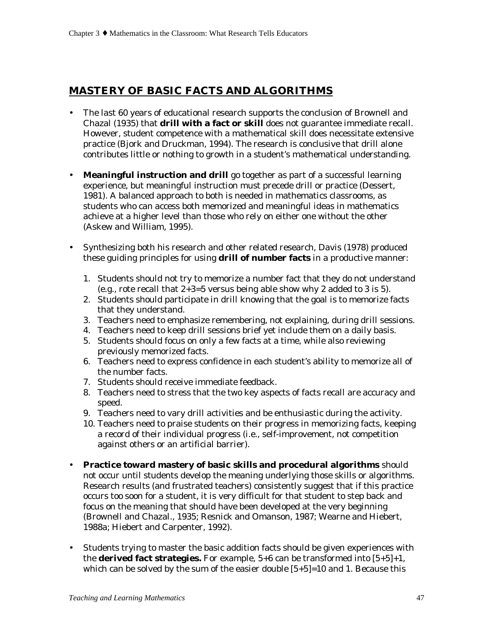#### **MASTERY OF BASIC FACTS AND ALGORITHMS**

- The last 60 years of educational research supports the conclusion of Brownell and Chazal (1935) that **drill with a fact or skill** does not guarantee immediate recall. However, student competence with a mathematical skill does necessitate extensive practice (Bjork and Druckman, 1994). The research is conclusive that drill alone contributes little or nothing to growth in a student's mathematical understanding.
- **Meaningful instruction and drill** go together as part of a successful learning experience, but meaningful instruction must precede drill or practice (Dessert, 1981). A balanced approach to both is needed in mathematics classrooms, as students who can access both memorized and meaningful ideas in mathematics achieve at a higher level than those who rely on either one without the other (Askew and William, 1995).
- Synthesizing both his research and other related research, Davis (1978) produced these guiding principles for using **drill of number facts** in a productive manner:
	- 1. Students should not try to memorize a number fact that they do not understand (e.g., rote recall that  $2+3=5$  versus being able show why 2 added to 3 is 5).
	- 2. Students should participate in drill knowing that the goal is to memorize facts that they understand.
	- 3. Teachers need to emphasize remembering, not explaining, during drill sessions.
	- 4. Teachers need to keep drill sessions brief yet include them on a daily basis.
	- 5. Students should focus on only a few facts at a time, while also reviewing previously memorized facts.
	- 6. Teachers need to express confidence in each student's ability to memorize all of the number facts.
	- 7. Students should receive immediate feedback.
	- 8. Teachers need to stress that the two key aspects of facts recall are accuracy and speed.
	- 9. Teachers need to vary drill activities and be enthusiastic during the activity.
	- 10. Teachers need to praise students on their progress in memorizing facts, keeping a record of their individual progress (i.e., self-improvement, not competition against others or an artificial barrier).
- **Practice toward mastery of basic skills and procedural algorithms** should not occur until students develop the meaning underlying those skills or algorithms. Research results (and frustrated teachers) consistently suggest that if this practice occurs too soon for a student, it is very difficult for that student to step back and focus on the meaning that should have been developed at the very beginning (Brownell and Chazal., 1935; Resnick and Omanson, 1987; Wearne and Hiebert, 1988a; Hiebert and Carpenter, 1992).
- Students trying to master the basic addition facts should be given experiences with the **derived fact strategies.** For example, 5+6 can be transformed into [5+5]+1, which can be solved by the sum of the easier double  $[5+5]=10$  and 1. Because this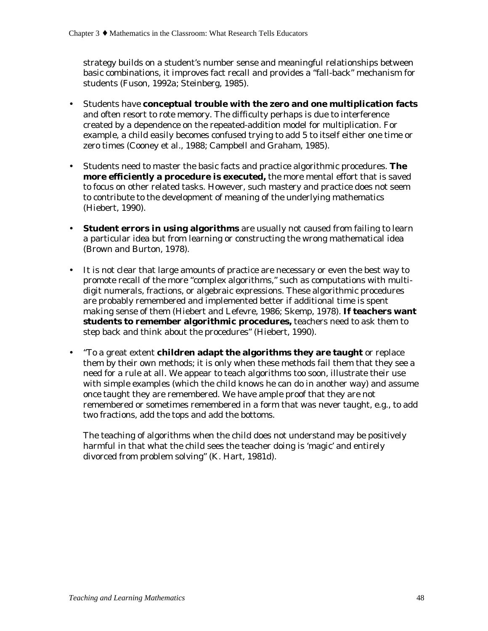strategy builds on a student's number sense and meaningful relationships between basic combinations, it improves fact recall and provides a "fall-back" mechanism for students (Fuson, 1992a; Steinberg, 1985).

- Students have **conceptual trouble with the zero and one multiplication facts** and often resort to rote memory. The difficulty perhaps is due to interference created by a dependence on the repeated-addition model for multiplication. For example, a child easily becomes confused trying to add 5 to itself either one time or zero times (Cooney et al., 1988; Campbell and Graham, 1985).
- Students need to master the basic facts and practice algorithmic procedures. **The more efficiently a procedure is executed,** the more mental effort that is saved to focus on other related tasks. However, such mastery and practice does not seem to contribute to the development of meaning of the underlying mathematics (Hiebert, 1990).
- **Student errors in using algorithms** are usually not caused from failing to learn a particular idea but from learning or constructing the wrong mathematical idea (Brown and Burton, 1978).
- It is not clear that large amounts of practice are necessary or even the best way to promote recall of the more "complex algorithms," such as computations with multidigit numerals, fractions, or algebraic expressions. These algorithmic procedures are probably remembered and implemented better if additional time is spent making sense of them (Hiebert and Lefevre, 1986; Skemp, 1978). **If teachers want students to remember algorithmic procedures,** teachers need to ask them to step back and think about the procedures" (Hiebert, 1990).
- "To a great extent **children adapt the algorithms they are taught** or replace them by their own methods; it is only when these methods fail them that they see a need for a rule at all. We appear to teach algorithms too soon, illustrate their use with simple examples (which the child knows he can do in another way) and assume once taught they are remembered. We have ample proof that they are not remembered or sometimes remembered in a form that was never taught, e.g., to add two fractions, add the tops and add the bottoms.

The teaching of algorithms when the child does not understand may be positively harmful in that what the child sees the teacher doing is 'magic' and entirely divorced from problem solving" (K. Hart, 1981d).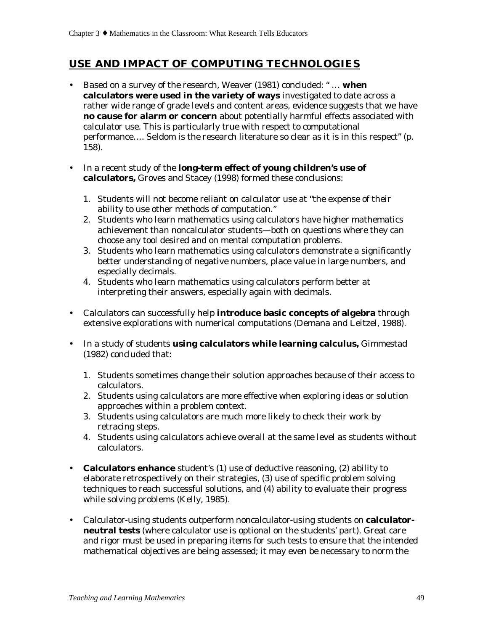#### **USE AND IMPACT OF COMPUTING TECHNOLOGIES**

- Based on a survey of the research, Weaver (1981) concluded: " … **when calculators were used in the variety of ways** investigated to date across a rather wide range of grade levels and content areas, evidence suggests that we have **no cause for alarm or concern** about potentially harmful effects associated with calculator use. This is particularly true with respect to computational performance…. Seldom is the research literature so clear as it is in this respect" (p. 158).
- In a recent study of the **long-term effect of young children's use of calculators,** Groves and Stacey (1998) formed these conclusions:
	- 1. Students will not become reliant on calculator use at "the expense of their ability to use other methods of computation."
	- 2. Students who learn mathematics using calculators have higher mathematics achievement than noncalculator students—both on questions where they can choose any tool desired and on mental computation problems.
	- 3. Students who learn mathematics using calculators demonstrate a significantly better understanding of negative numbers, place value in large numbers, and especially decimals.
	- 4. Students who learn mathematics using calculators perform better at interpreting their answers, especially again with decimals.
- Calculators can successfully help **introduce basic concepts of algebra** through extensive explorations with numerical computations (Demana and Leitzel, 1988).
- In a study of students **using calculators while learning calculus,** Gimmestad (1982) concluded that:
	- 1. Students sometimes change their solution approaches because of their access to calculators.
	- 2. Students using calculators are more effective when exploring ideas or solution approaches within a problem context.
	- 3. Students using calculators are much more likely to check their work by retracing steps.
	- 4. Students using calculators achieve overall at the same level as students without calculators.
- **Calculators enhance** student's (1) use of deductive reasoning, (2) ability to elaborate retrospectively on their strategies, (3) use of specific problem solving techniques to reach successful solutions, and (4) ability to evaluate their progress while solving problems (Kelly, 1985).
- Calculator-using students outperform noncalculator-using students on **calculatorneutral tests** (where calculator use is optional on the students' part). Great care and rigor must be used in preparing items for such tests to ensure that the intended mathematical objectives are being assessed; it may even be necessary to norm the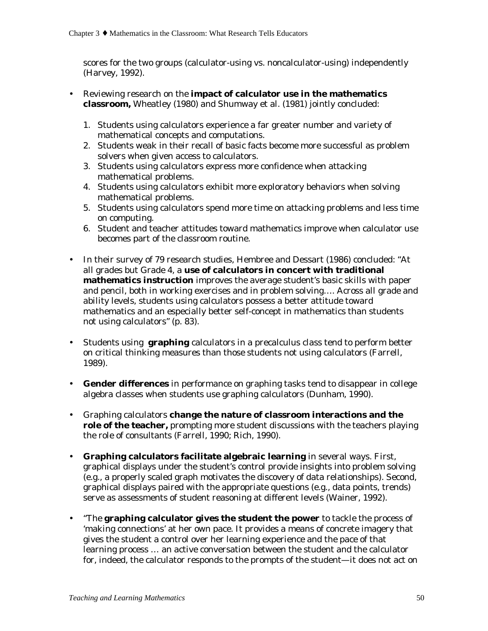scores for the two groups (calculator-using vs. noncalculator-using) independently (Harvey, 1992).

- Reviewing research on the **impact of calculator use in the mathematics classroom,** Wheatley (1980) and Shumway et al. (1981) jointly concluded:
	- 1. Students using calculators experience a far greater number and variety of mathematical concepts and computations.
	- 2. Students weak in their recall of basic facts become more successful as problem solvers when given access to calculators.
	- 3. Students using calculators express more confidence when attacking mathematical problems.
	- 4. Students using calculators exhibit more exploratory behaviors when solving mathematical problems.
	- 5. Students using calculators spend more time on attacking problems and less time on computing.
	- 6. Student and teacher attitudes toward mathematics improve when calculator use becomes part of the classroom routine.
- In their survey of 79 research studies, Hembree and Dessart (1986) concluded: "At all grades but Grade 4, a **use of calculators in concert with traditional mathematics instruction** improves the average student's basic skills with paper and pencil, both in working exercises and in problem solving…. Across all grade and ability levels, students using calculators possess a better attitude toward mathematics and an especially better self-concept in mathematics than students not using calculators" (p. 83).
- Students using **graphing** calculators in a precalculus class tend to perform better on critical thinking measures than those students not using calculators (Farrell, 1989).
- **Gender differences** in performance on graphing tasks tend to disappear in college algebra classes when students use graphing calculators (Dunham, 1990).
- Graphing calculators **change the nature of classroom interactions and the role of the teacher,** prompting more student discussions with the teachers playing the role of consultants (Farrell, 1990; Rich, 1990).
- **Graphing calculators facilitate algebraic learning** in several ways. First, graphical displays under the student's control provide insights into problem solving (e.g., a properly scaled graph motivates the discovery of data relationships). Second, graphical displays paired with the appropriate questions (e.g., data points, trends) serve as assessments of student reasoning at different levels (Wainer, 1992).
- "The **graphing calculator gives the student the power** to tackle the process of 'making connections' at her own pace. It provides a means of concrete imagery that gives the student a control over her learning experience and the pace of that learning process … an active conversation between the student and the calculator for, indeed, the calculator responds to the prompts of the student—it does not act on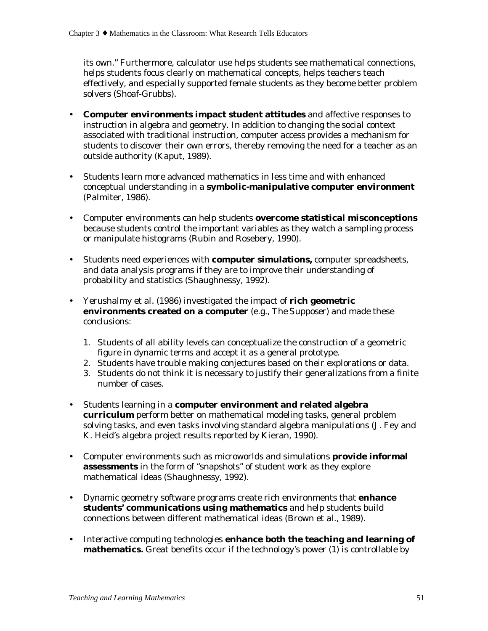its own." Furthermore, calculator use helps students see mathematical connections, helps students focus clearly on mathematical concepts, helps teachers teach effectively, and especially supported female students as they become better problem solvers (Shoaf-Grubbs).

- **Computer environments impact student attitudes** and affective responses to instruction in algebra and geometry. In addition to changing the social context associated with traditional instruction, computer access provides a mechanism for students to discover their own errors, thereby removing the need for a teacher as an outside authority (Kaput, 1989).
- Students learn more advanced mathematics in less time and with enhanced conceptual understanding in a **symbolic-manipulative computer environment** (Palmiter, 1986).
- Computer environments can help students **overcome statistical misconceptions** because students control the important variables as they watch a sampling process or manipulate histograms (Rubin and Rosebery, 1990).
- Students need experiences with **computer simulations,** computer spreadsheets, and data analysis programs if they are to improve their understanding of probability and statistics (Shaughnessy, 1992).
- Yerushalmy et al. (1986) investigated the impact of **rich geometric environments created on a computer** (e.g., *The Supposer*) and made these conclusions:
	- 1. Students of all ability levels can conceptualize the construction of a geometric figure in dynamic terms and accept it as a general prototype.
	- 2. Students have trouble making conjectures based on their explorations or data.
	- 3. Students do not think it is necessary to justify their generalizations from a finite number of cases.
- Students learning in a **computer environment and related algebra curriculum** perform better on mathematical modeling tasks, general problem solving tasks, and even tasks involving standard algebra manipulations (J. Fey and K. Heid's algebra project results reported by Kieran, 1990).
- Computer environments such as microworlds and simulations **provide informal assessments** in the form of "snapshots" of student work as they explore mathematical ideas (Shaughnessy, 1992).
- Dynamic geometry software programs create rich environments that **enhance students' communications using mathematics** and help students build connections between different mathematical ideas (Brown et al., 1989).
- Interactive computing technologies **enhance both the teaching and learning of mathematics.** Great benefits occur if the technology's power (1) is controllable by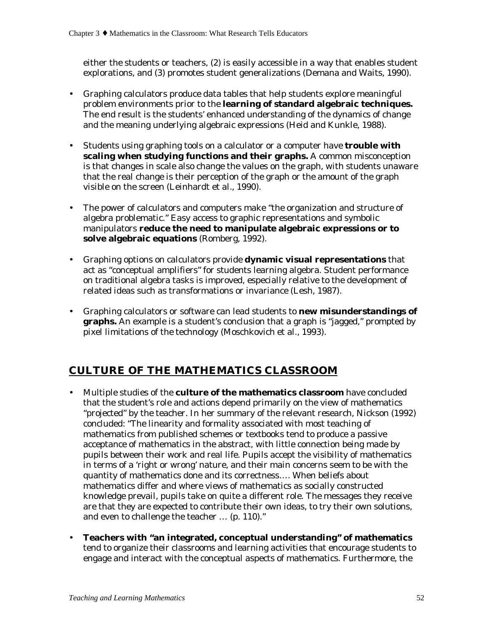either the students or teachers, (2) is easily accessible in a way that enables student explorations, and (3) promotes student generalizations (Demana and Waits, 1990).

- Graphing calculators produce data tables that help students explore meaningful problem environments prior to the **learning of standard algebraic techniques.** The end result is the students' enhanced understanding of the dynamics of change and the meaning underlying algebraic expressions (Heid and Kunkle, 1988).
- Students using graphing tools on a calculator or a computer have **trouble with scaling when studying functions and their graphs.** A common misconception is that changes in scale also change the values on the graph, with students unaware that the real change is their perception of the graph or the amount of the graph visible on the screen (Leinhardt et al., 1990).
- The power of calculators and computers make "the organization and structure of algebra problematic." Easy access to graphic representations and symbolic manipulators **reduce the need to manipulate algebraic expressions or to solve algebraic equations** (Romberg, 1992).
- Graphing options on calculators provide **dynamic visual representations** that act as "conceptual amplifiers" for students learning algebra. Student performance on traditional algebra tasks is improved, especially relative to the development of related ideas such as transformations or invariance (Lesh, 1987).
- Graphing calculators or software can lead students to **new misunderstandings of graphs.** An example is a student's conclusion that a graph is "jagged," prompted by pixel limitations of the technology (Moschkovich et al., 1993).

## **CULTURE OF THE MATHEMATICS CLASSROOM**

- Multiple studies of the **culture of the mathematics classroom** have concluded that the student's role and actions depend primarily on the view of mathematics "projected" by the teacher. In her summary of the relevant research, Nickson (1992) concluded: "The linearity and formality associated with most teaching of mathematics from published schemes or textbooks tend to produce a passive acceptance of mathematics in the abstract, with little connection being made by pupils between their work and real life. Pupils accept the visibility of mathematics in terms of a 'right or wrong' nature, and their main concerns seem to be with the quantity of mathematics done and its correctness…. When beliefs about mathematics differ and where views of mathematics as socially constructed knowledge prevail, pupils take on quite a different role. The messages they receive are that they are expected to contribute their own ideas, to try their own solutions, and even to challenge the teacher … (p. 110)."
- **Teachers with "an integrated, conceptual understanding" of mathematics** tend to organize their classrooms and learning activities that encourage students to engage and interact with the conceptual aspects of mathematics. Furthermore, the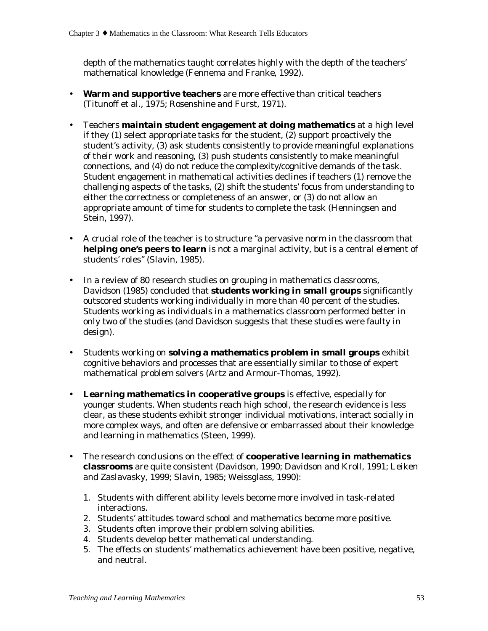depth of the mathematics taught correlates highly with the depth of the teachers' mathematical knowledge (Fennema and Franke, 1992).

- **Warm and supportive teachers** are more effective than critical teachers (Titunoff et al., 1975; Rosenshine and Furst, 1971).
- Teachers **maintain student engagement at doing mathematics** at a high level if they (1) select appropriate tasks for the student, (2) support proactively the student's activity, (3) ask students consistently to provide meaningful explanations of their work and reasoning, (3) push students consistently to make meaningful connections, and (4) do not reduce the complexity/cognitive demands of the task. Student engagement in mathematical activities declines if teachers (1) remove the challenging aspects of the tasks, (2) shift the students' focus from understanding to either the correctness or completeness of an answer, or (3) do not allow an appropriate amount of time for students to complete the task (Henningsen and Stein, 1997).
- A crucial role of the teacher is to structure "a pervasive norm in the classroom that **helping one's peers to learn** is not a marginal activity, but is a central element of students' roles" (Slavin, 1985).
- In a review of 80 research studies on grouping in mathematics classrooms, Davidson (1985) concluded that **students working in small groups** significantly outscored students working individually in more than 40 percent of the studies. Students working as individuals in a mathematics classroom performed better in only two of the studies (and Davidson suggests that these studies were faulty in design).
- Students working on **solving a mathematics problem in small groups** exhibit cognitive behaviors and processes that are essentially similar to those of expert mathematical problem solvers (Artz and Armour-Thomas, 1992).
- **Learning mathematics in cooperative groups** is effective, especially for younger students. When students reach high school, the research evidence is less clear, as these students exhibit stronger individual motivations, interact socially in more complex ways, and often are defensive or embarrassed about their knowledge and learning in mathematics (Steen, 1999).
- The research conclusions on the effect of **cooperative learning in mathematics classrooms** are quite consistent (Davidson, 1990; Davidson and Kroll, 1991; Leiken and Zaslavasky, 1999; Slavin, 1985; Weissglass, 1990):
	- 1. Students with different ability levels become more involved in task-related interactions.
	- 2. Students' attitudes toward school and mathematics become more positive.
	- 3. Students often improve their problem solving abilities.
	- 4. Students develop better mathematical understanding.
	- 5. The effects on students' mathematics achievement have been positive, negative, and neutral.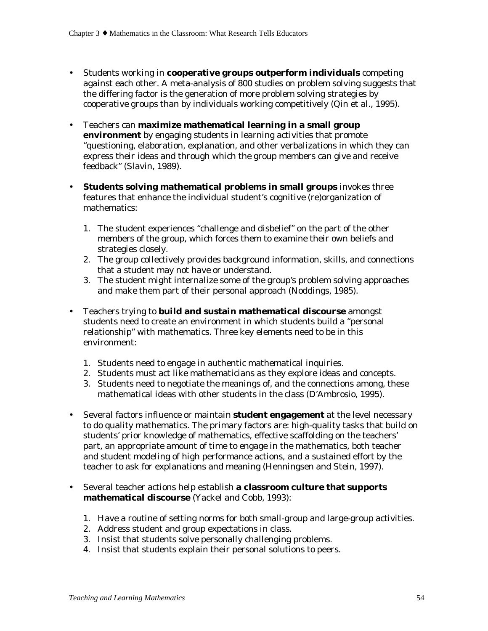- Students working in **cooperative groups outperform individuals** competing against each other. A meta-analysis of 800 studies on problem solving suggests that the differing factor is the generation of more problem solving strategies by cooperative groups than by individuals working competitively (Qin et al., 1995).
- Teachers can **maximize mathematical learning in a small group environment** by engaging students in learning activities that promote "questioning, elaboration, explanation, and other verbalizations in which they can express their ideas and through which the group members can give and receive feedback" (Slavin, 1989).
- **Students solving mathematical problems in small groups** invokes three features that enhance the individual student's cognitive (re)organization of mathematics:
	- 1. The student experiences "challenge and disbelief" on the part of the other members of the group, which forces them to examine their own beliefs and strategies closely.
	- 2. The group collectively provides background information, skills, and connections that a student may not have or understand.
	- 3. The student might internalize some of the group's problem solving approaches and make them part of their personal approach (Noddings, 1985).
- Teachers trying to **build and sustain mathematical discourse** amongst students need to create an environment in which students build a "personal relationship" with mathematics. Three key elements need to be in this environment:
	- 1. Students need to engage in authentic mathematical inquiries.
	- 2. Students must act like mathematicians as they explore ideas and concepts.
	- 3. Students need to negotiate the meanings of, and the connections among, these mathematical ideas with other students in the class (D'Ambrosio, 1995).
- Several factors influence or maintain **student engagement** at the level necessary to do quality mathematics. The primary factors are: high-quality tasks that build on students' prior knowledge of mathematics, effective scaffolding on the teachers' part, an appropriate amount of time to engage in the mathematics, both teacher and student modeling of high performance actions, and a sustained effort by the teacher to ask for explanations and meaning (Henningsen and Stein, 1997).
- Several teacher actions help establish **a classroom culture that supports mathematical discourse** (Yackel and Cobb, 1993):
	- 1. Have a routine of setting norms for both small-group and large-group activities.
	- 2. Address student and group expectations in class.
	- 3. Insist that students solve personally challenging problems.
	- 4. Insist that students explain their personal solutions to peers.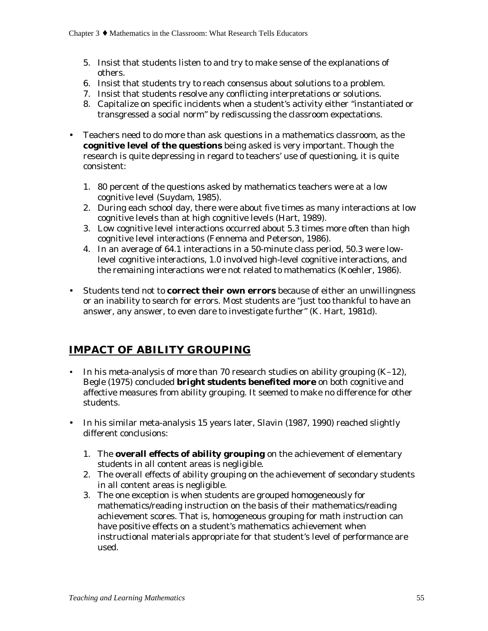- 5. Insist that students listen to and try to make sense of the explanations of others.
- 6. Insist that students try to reach consensus about solutions to a problem.
- 7. Insist that students resolve any conflicting interpretations or solutions.
- 8. Capitalize on specific incidents when a student's activity either "instantiated or transgressed a social norm" by rediscussing the classroom expectations.
- Teachers need to do more than ask questions in a mathematics classroom, as the **cognitive level of the questions** being asked is very important. Though the research is quite depressing in regard to teachers' use of questioning, it is quite consistent:
	- 1. 80 percent of the questions asked by mathematics teachers were at a low cognitive level (Suydam, 1985).
	- 2. During each school day, there were about five times as many interactions at low cognitive levels than at high cognitive levels (Hart, 1989).
	- 3. Low cognitive level interactions occurred about 5.3 times more often than high cognitive level interactions (Fennema and Peterson, 1986).
	- 4. In an average of 64.1 interactions in a 50-minute class period, 50.3 were lowlevel cognitive interactions, 1.0 involved high-level cognitive interactions, and the remaining interactions were not related to mathematics (Koehler, 1986).
- Students tend not to **correct their own errors** because of either an unwillingness or an inability to search for errors. Most students are "just too thankful to have an answer, any answer, to even dare to investigate further" (K. Hart, 1981d).

## **IMPACT OF ABILITY GROUPING**

- In his meta-analysis of more than 70 research studies on ability grouping  $(K-12)$ , Begle (1975) concluded **bright students benefited more** on both cognitive and affective measures from ability grouping. It seemed to make no difference for other students.
- In his similar meta-analysis 15 years later, Slavin (1987, 1990) reached slightly different conclusions:
	- 1. The **overall effects of ability grouping** on the achievement of elementary students in all content areas is negligible.
	- 2. The overall effects of ability grouping on the achievement of secondary students in all content areas is negligible.
	- 3. The one exception is when students are grouped homogeneously for mathematics/reading instruction on the basis of their mathematics/reading achievement scores. That is, homogeneous grouping for math instruction can have positive effects on a student's mathematics achievement when instructional materials appropriate for that student's level of performance are used.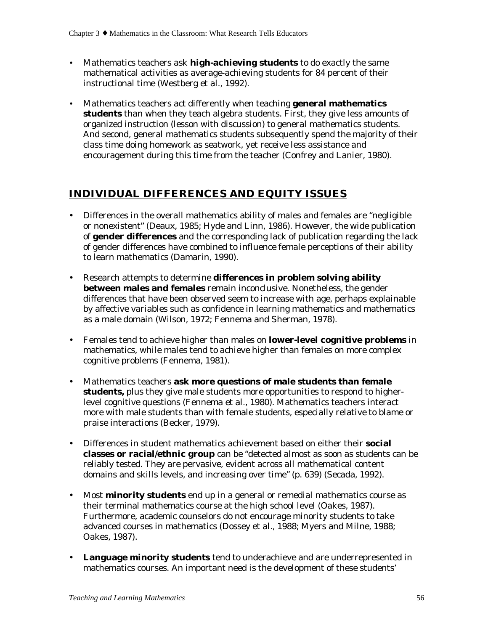- Mathematics teachers ask **high-achieving students** to do exactly the same mathematical activities as average-achieving students for 84 percent of their instructional time (Westberg et al., 1992).
- Mathematics teachers act differently when teaching **general mathematics students** than when they teach algebra students. First, they give less amounts of organized instruction (lesson with discussion) to general mathematics students. And second, general mathematics students subsequently spend the majority of their class time doing homework as seatwork, yet receive less assistance and encouragement during this time from the teacher (Confrey and Lanier, 1980).

#### **INDIVIDUAL DIFFERENCES AND EQUITY ISSUES**

- Differences in the overall mathematics ability of males and females are "negligible or nonexistent" (Deaux, 1985; Hyde and Linn, 1986). However, the wide publication of **gender differences** and the corresponding lack of publication regarding the lack of gender differences have combined to influence female perceptions of their ability to learn mathematics (Damarin, 1990).
- Research attempts to determine **differences in problem solving ability between males and females** remain inconclusive. Nonetheless, the gender differences that have been observed seem to increase with age, perhaps explainable by affective variables such as confidence in learning mathematics and mathematics as a male domain (Wilson, 1972; Fennema and Sherman, 1978).
- Females tend to achieve higher than males on **lower-level cognitive problems** in mathematics, while males tend to achieve higher than females on more complex cognitive problems (Fennema, 1981).
- Mathematics teachers **ask more questions of male students than female students,** plus they give male students more opportunities to respond to higherlevel cognitive questions (Fennema et al., 1980). Mathematics teachers interact more with male students than with female students, especially relative to blame or praise interactions (Becker, 1979).
- Differences in student mathematics achievement based on either their **social classes or racial/ethnic group** can be "detected almost as soon as students can be reliably tested. They are pervasive, evident across all mathematical content domains and skills levels, and increasing over time" (p. 639) (Secada, 1992).
- Most **minority students** end up in a general or remedial mathematics course as their terminal mathematics course at the high school level (Oakes, 1987). Furthermore, academic counselors do not encourage minority students to take advanced courses in mathematics (Dossey et al., 1988; Myers and Milne, 1988; Oakes, 1987).
- **Language minority students** tend to underachieve and are underrepresented in mathematics courses. An important need is the development of these students'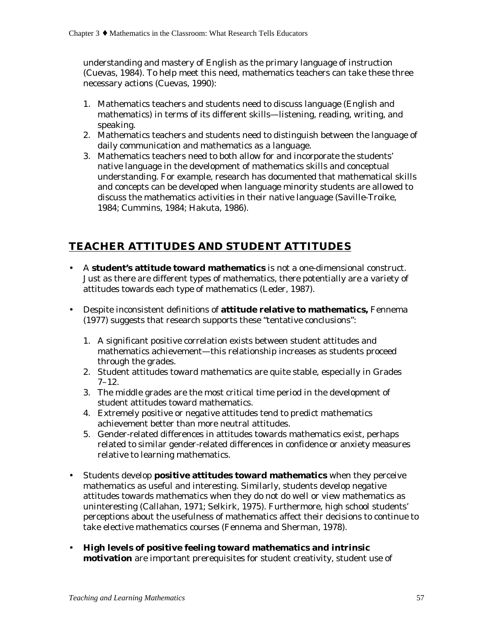understanding and mastery of English as the primary language of instruction (Cuevas, 1984). To help meet this need, mathematics teachers can take these three necessary actions (Cuevas, 1990):

- 1. Mathematics teachers and students need to discuss language (English and mathematics) in terms of its different skills—listening, reading, writing, and speaking.
- 2. Mathematics teachers and students need to distinguish between the language of daily communication and mathematics as a language.
- 3. Mathematics teachers need to both allow for and incorporate the students' native language in the development of mathematics skills and conceptual understanding. For example, research has documented that mathematical skills and concepts can be developed when language minority students are allowed to discuss the mathematics activities in their native language (Saville-Troike, 1984; Cummins, 1984; Hakuta, 1986).

#### **TEACHER ATTITUDES AND STUDENT ATTITUDES**

- A **student's attitude toward mathematics** is not a one-dimensional construct. Just as there are different types of mathematics, there potentially are a variety of attitudes towards each type of mathematics (Leder, 1987).
- Despite inconsistent definitions of **attitude relative to mathematics,** Fennema (1977) suggests that research supports these "tentative conclusions":
	- 1. A significant positive correlation exists between student attitudes and mathematics achievement—this relationship increases as students proceed through the grades.
	- 2. Student attitudes toward mathematics are quite stable, especially in Grades  $7-12.$
	- 3. The middle grades are the most critical time period in the development of student attitudes toward mathematics.
	- 4. Extremely positive or negative attitudes tend to predict mathematics achievement better than more neutral attitudes.
	- 5. Gender-related differences in attitudes towards mathematics exist, perhaps related to similar gender-related differences in confidence or anxiety measures relative to learning mathematics.
- Students develop **positive attitudes toward mathematics** when they perceive mathematics as useful and interesting. Similarly, students develop negative attitudes towards mathematics when they do not do well or view mathematics as uninteresting (Callahan, 1971; Selkirk, 1975). Furthermore, high school students' perceptions about the usefulness of mathematics affect their decisions to continue to take elective mathematics courses (Fennema and Sherman, 1978).
- **High levels of positive feeling toward mathematics and intrinsic motivation** are important prerequisites for student creativity, student use of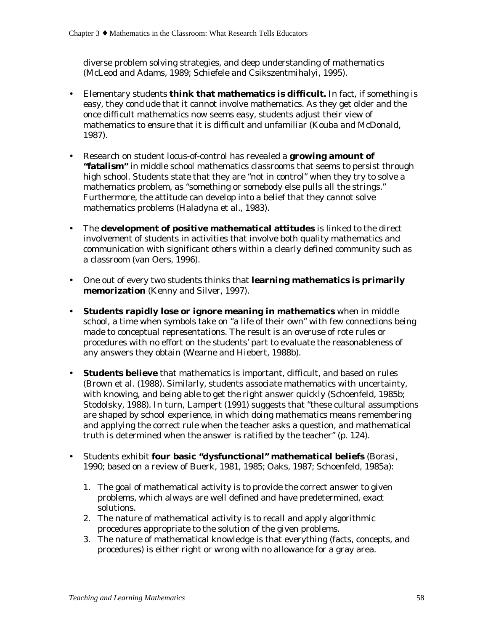diverse problem solving strategies, and deep understanding of mathematics (McLeod and Adams, 1989; Schiefele and Csikszentmihalyi, 1995).

- Elementary students **think that mathematics is difficult.** In fact, if something is easy, they conclude that it cannot involve mathematics. As they get older and the once difficult mathematics now seems easy, students adjust their view of mathematics to ensure that it is difficult and unfamiliar (Kouba and McDonald, 1987).
- Research on student locus-of-control has revealed a **growing amount of "fatalism"** in middle school mathematics classrooms that seems to persist through high school. Students state that they are "not in control" when they try to solve a mathematics problem, as "something or somebody else pulls all the strings." Furthermore, the attitude can develop into a belief that they cannot solve mathematics problems (Haladyna et al., 1983).
- The **development of positive mathematical attitudes** is linked to the direct involvement of students in activities that involve both quality mathematics and communication with significant others within a clearly defined community such as a classroom (van Oers, 1996).
- One out of every two students thinks that **learning mathematics is primarily memorization** (Kenny and Silver, 1997).
- **Students rapidly lose or ignore meaning in mathematics** when in middle school, a time when symbols take on "a life of their own" with few connections being made to conceptual representations. The result is an overuse of rote rules or procedures with no effort on the students' part to evaluate the reasonableness of any answers they obtain (Wearne and Hiebert, 1988b).
- **Students believe** that mathematics is important, difficult, and based on rules (Brown et al. (1988). Similarly, students associate mathematics with uncertainty, with knowing, and being able to get the right answer quickly (Schoenfeld, 1985b; Stodolsky, 1988). In turn, Lampert (1991) suggests that "these cultural assumptions are shaped by school experience, in which doing mathematics means remembering and applying the correct rule when the teacher asks a question, and mathematical truth is determined when the answer is ratified by the teacher" (p. 124).
- Students exhibit **four basic "dysfunctional" mathematical beliefs** (Borasi, 1990; based on a review of Buerk, 1981, 1985; Oaks, 1987; Schoenfeld, 1985a):
	- 1. The goal of mathematical activity is to provide the correct answer to given problems, which always are well defined and have predetermined, exact solutions.
	- 2. The nature of mathematical activity is to recall and apply algorithmic procedures appropriate to the solution of the given problems.
	- 3. The nature of mathematical knowledge is that everything (facts, concepts, and procedures) is either right or wrong with no allowance for a gray area.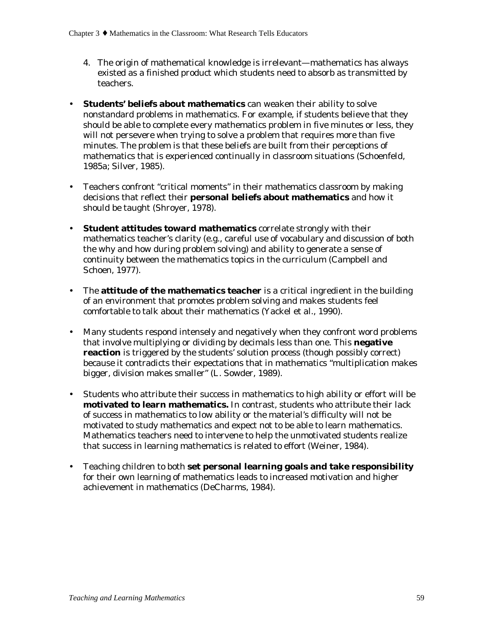- 4. The origin of mathematical knowledge is irrelevant—mathematics has always existed as a finished product which students need to absorb as transmitted by teachers.
- **Students' beliefs about mathematics** can weaken their ability to solve nonstandard problems in mathematics. For example, if students believe that they should be able to complete every mathematics problem in five minutes or less, they will not persevere when trying to solve a problem that requires more than five minutes. The problem is that these beliefs are built from their perceptions of mathematics that is experienced continually in classroom situations (Schoenfeld, 1985a; Silver, 1985).
- Teachers confront "critical moments" in their mathematics classroom by making decisions that reflect their **personal beliefs about mathematics** and how it should be taught (Shroyer, 1978).
- **Student attitudes toward mathematics** correlate strongly with their mathematics teacher's clarity (e.g., careful use of vocabulary and discussion of both the why and how during problem solving) and ability to generate a sense of continuity between the mathematics topics in the curriculum (Campbell and Schoen, 1977).
- The **attitude of the mathematics teacher** is a critical ingredient in the building of an environment that promotes problem solving and makes students feel comfortable to talk about their mathematics (Yackel et al., 1990).
- Many students respond intensely and negatively when they confront word problems that involve multiplying or dividing by decimals less than one. This **negative reaction** is triggered by the students' solution process (though possibly correct) because it contradicts their expectations that in mathematics "multiplication makes bigger, division makes smaller" (L. Sowder, 1989).
- Students who attribute their success in mathematics to high ability or effort will be **motivated to learn mathematics.** In contrast, students who attribute their lack of success in mathematics to low ability or the material's difficulty will not be motivated to study mathematics and expect not to be able to learn mathematics. Mathematics teachers need to intervene to help the unmotivated students realize that success in learning mathematics is related to effort (Weiner, 1984).
- Teaching children to both **set personal learning goals and take responsibility** for their own learning of mathematics leads to increased motivation and higher achievement in mathematics (DeCharms, 1984).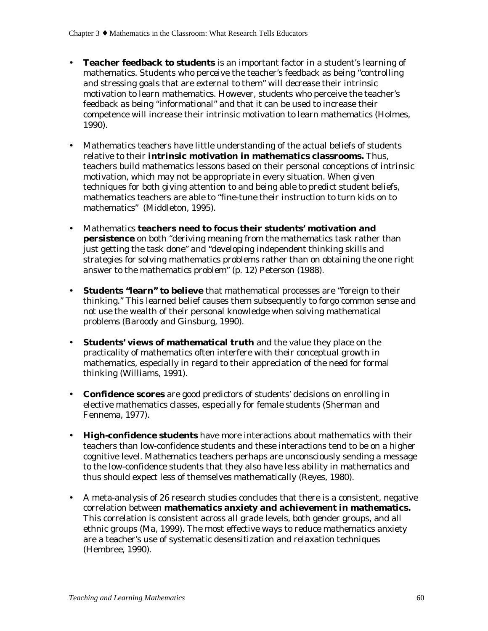- **Teacher feedback to students** is an important factor in a student's learning of mathematics. Students who perceive the teacher's feedback as being "controlling and stressing goals that are external to them" will decrease their intrinsic motivation to learn mathematics. However, students who perceive the teacher's feedback as being "informational" and that it can be used to increase their competence will increase their intrinsic motivation to learn mathematics (Holmes, 1990).
- Mathematics teachers have little understanding of the actual beliefs of students relative to their **intrinsic motivation in mathematics classrooms.** Thus, teachers build mathematics lessons based on their personal conceptions of intrinsic motivation, which may not be appropriate in every situation. When given techniques for both giving attention to and being able to predict student beliefs, mathematics teachers are able to "fine-tune their instruction to turn kids on to mathematics" (Middleton, 1995).
- Mathematics **teachers need to focus their students' motivation and persistence** on both "deriving meaning from the mathematics task rather than just getting the task done" and "developing independent thinking skills and strategies for solving mathematics problems rather than on obtaining the one right answer to the mathematics problem" (p. 12) Peterson (1988).
- **Students "learn" to believe** that mathematical processes are "foreign to their thinking." This learned belief causes them subsequently to forgo common sense and not use the wealth of their personal knowledge when solving mathematical problems (Baroody and Ginsburg, 1990).
- **Students' views of mathematical truth** and the value they place on the practicality of mathematics often interfere with their conceptual growth in mathematics, especially in regard to their appreciation of the need for formal thinking (Williams, 1991).
- **Confidence scores** are good predictors of students' decisions on enrolling in elective mathematics classes, especially for female students (Sherman and Fennema, 1977).
- **High-confidence students** have more interactions about mathematics with their teachers than low-confidence students and these interactions tend to be on a higher cognitive level. Mathematics teachers perhaps are unconsciously sending a message to the low-confidence students that they also have less ability in mathematics and thus should expect less of themselves mathematically (Reyes, 1980).
- A meta-analysis of 26 research studies concludes that there is a consistent, negative correlation between **mathematics anxiety and achievement in mathematics.** This correlation is consistent across all grade levels, both gender groups, and all ethnic groups (Ma, 1999). The most effective ways to reduce mathematics anxiety are a teacher's use of systematic desensitization and relaxation techniques (Hembree, 1990).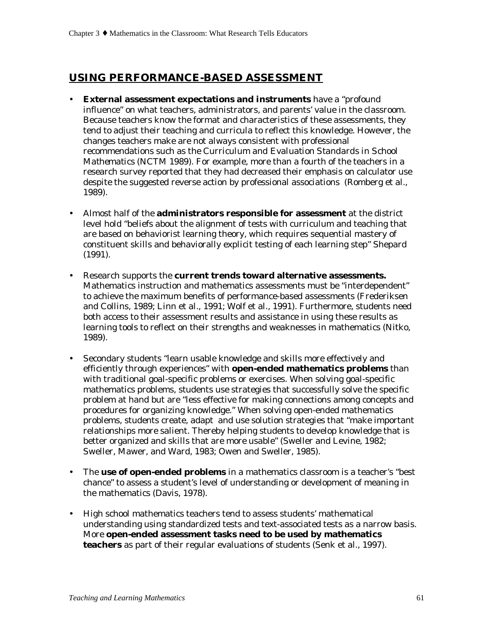#### **USING PERFORMANCE-BASED ASSESSMENT**

- **External assessment expectations and instruments** have a "profound influence" on what teachers, administrators, and parents' value in the classroom. Because teachers know the format and characteristics of these assessments, they tend to adjust their teaching and curricula to reflect this knowledge. However, the changes teachers make are not always consistent with professional recommendations such as the *Curriculum and Evaluation Standards in School Mathematics* (NCTM 1989). For example, more than a fourth of the teachers in a research survey reported that they had decreased their emphasis on calculator use despite the suggested reverse action by professional associations (Romberg et al., 1989).
- Almost half of the **administrators responsible for assessment** at the district level hold "beliefs about the alignment of tests with curriculum and teaching that are based on behaviorist learning theory, which requires sequential mastery of constituent skills and behaviorally explicit testing of each learning step" Shepard (1991).
- Research supports the **current trends toward alternative assessments.** Mathematics instruction and mathematics assessments must be "interdependent" to achieve the maximum benefits of performance-based assessments (Frederiksen and Collins, 1989; Linn et al., 1991; Wolf et al., 1991). Furthermore, students need both access to their assessment results and assistance in using these results as learning tools to reflect on their strengths and weaknesses in mathematics (Nitko, 1989).
- Secondary students "learn usable knowledge and skills more effectively and efficiently through experiences" with **open-ended mathematics problems** than with traditional goal-specific problems or exercises. When solving goal-specific mathematics problems, students use strategies that successfully solve the specific problem at hand but are "less effective for making connections among concepts and procedures for organizing knowledge." When solving open-ended mathematics problems, students create, adapt and use solution strategies that "make important relationships more salient. Thereby helping students to develop knowledge that is better organized and skills that are more usable" (Sweller and Levine, 1982; Sweller, Mawer, and Ward, 1983; Owen and Sweller, 1985).
- The **use of open-ended problems** in a mathematics classroom is a teacher's "best chance" to assess a student's level of understanding or development of meaning in the mathematics (Davis, 1978).
- High school mathematics teachers tend to assess students' mathematical understanding using standardized tests and text-associated tests as a narrow basis. More **open-ended assessment tasks need to be used by mathematics teachers** as part of their regular evaluations of students (Senk et al., 1997).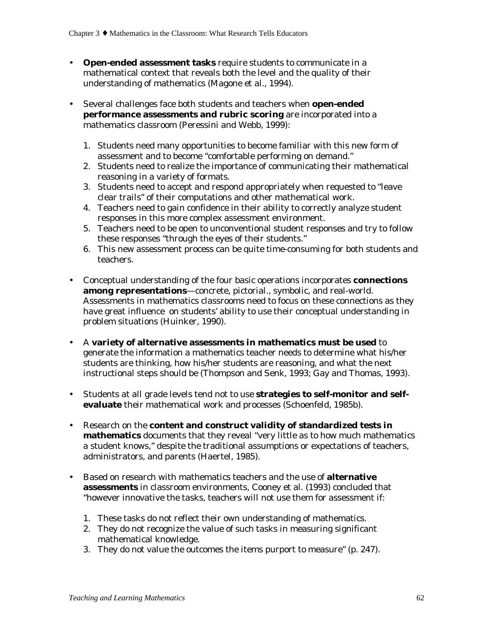- **Open-ended assessment tasks** require students to communicate in a mathematical context that reveals both the level and the quality of their understanding of mathematics (Magone et al., 1994).
- Several challenges face both students and teachers when **open-ended performance assessments and rubric scoring** are incorporated into a mathematics classroom (Peressini and Webb, 1999):
	- 1. Students need many opportunities to become familiar with this new form of assessment and to become "comfortable performing on demand."
	- 2. Students need to realize the importance of communicating their mathematical reasoning in a variety of formats.
	- 3. Students need to accept and respond appropriately when requested to "leave clear trails" of their computations and other mathematical work.
	- 4. Teachers need to gain confidence in their ability to correctly analyze student responses in this more complex assessment environment.
	- 5. Teachers need to be open to unconventional student responses and try to follow these responses "through the eyes of their students."
	- 6. This new assessment process can be quite time-consuming for both students and teachers.
- Conceptual understanding of the four basic operations incorporates **connections among representations**—concrete, pictorial., symbolic, and real-world. Assessments in mathematics classrooms need to focus on these connections as they have great influence on students' ability to use their conceptual understanding in problem situations (Huinker, 1990).
- A **variety of alternative assessments in mathematics must be used** to generate the information a mathematics teacher needs to determine what his/her students are thinking, how his/her students are reasoning, and what the next instructional steps should be (Thompson and Senk, 1993; Gay and Thomas, 1993).
- Students at all grade levels tend not to use **strategies to self-monitor and selfevaluate** their mathematical work and processes (Schoenfeld, 1985b).
- Research on the **content and construct validity of standardized tests in mathematics** documents that they reveal "very little as to how much mathematics a student knows," despite the traditional assumptions or expectations of teachers, administrators, and parents (Haertel, 1985).
- Based on research with mathematics teachers and the use of **alternative assessments** in classroom environments, Cooney et al. (1993) concluded that "however innovative the tasks, teachers will not use them for assessment if:
	- 1. These tasks do not reflect their own understanding of mathematics.
	- 2. They do not recognize the value of such tasks in measuring significant mathematical knowledge.
	- 3. They do not value the outcomes the items purport to measure" (p. 247).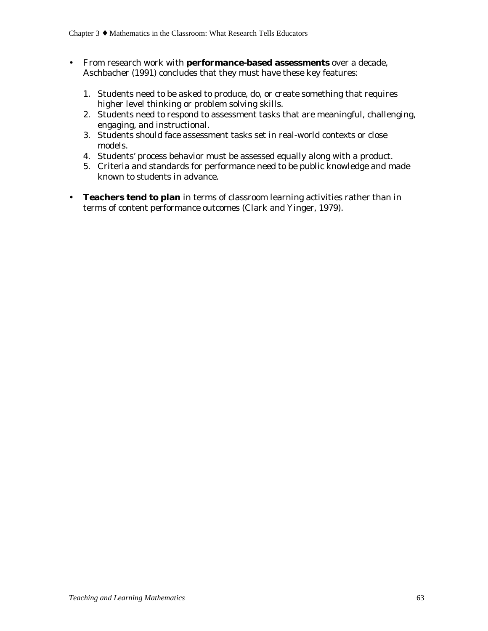- From research work with **performance-based assessments** over a decade, Aschbacher (1991) concludes that they must have these key features:
	- 1. Students need to be asked to produce, do, or create something that requires higher level thinking or problem solving skills.
	- 2. Students need to respond to assessment tasks that are meaningful, challenging, engaging, and instructional.
	- 3. Students should face assessment tasks set in real-world contexts or close models.
	- 4. Students' process behavior must be assessed equally along with a product.
	- 5. Criteria and standards for performance need to be public knowledge and made known to students in advance.
- **Teachers tend to plan** in terms of classroom learning activities rather than in terms of content performance outcomes (Clark and Yinger, 1979).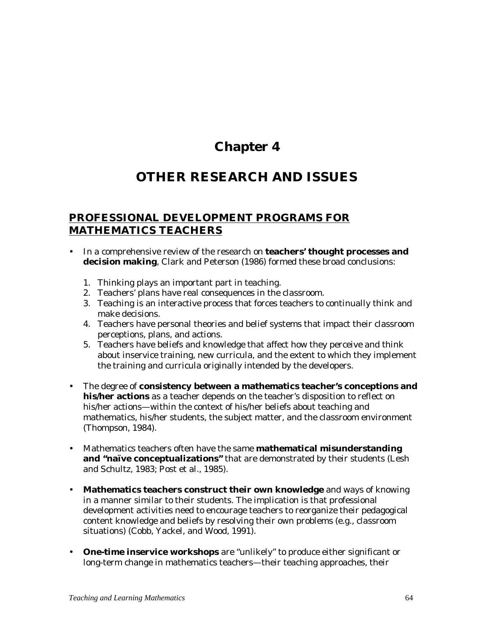# **Chapter 4**

# **OTHER RESEARCH AND ISSUES**

#### **PROFESSIONAL DEVELOPMENT PROGRAMS FOR MATHEMATICS TEACHERS**

- In a comprehensive review of the research on **teachers' thought processes and decision making**, Clark and Peterson (1986) formed these broad conclusions:
	- 1. Thinking plays an important part in teaching.
	- 2. Teachers' plans have real consequences in the classroom.
	- 3. Teaching is an interactive process that forces teachers to continually think and make decisions.
	- 4. Teachers have personal theories and belief systems that impact their classroom perceptions, plans, and actions.
	- 5. Teachers have beliefs and knowledge that affect how they perceive and think about inservice training, new curricula, and the extent to which they implement the training and curricula originally intended by the developers.
- The degree of **consistency between a mathematics teacher's conceptions and his/her actions** as a teacher depends on the teacher's disposition to reflect on his/her actions—within the context of his/her beliefs about teaching and mathematics, his/her students, the subject matter, and the classroom environment (Thompson, 1984).
- Mathematics teachers often have the same **mathematical misunderstanding and "naïve conceptualizations"** that are demonstrated by their students (Lesh and Schultz, 1983; Post et al., 1985).
- **Mathematics teachers construct their own knowledge** and ways of knowing in a manner similar to their students. The implication is that professional development activities need to encourage teachers to reorganize their pedagogical content knowledge and beliefs by resolving their own problems (e.g., classroom situations) (Cobb, Yackel, and Wood, 1991).
- **One-time inservice workshops** are "unlikely" to produce either significant or long-term change in mathematics teachers—their teaching approaches, their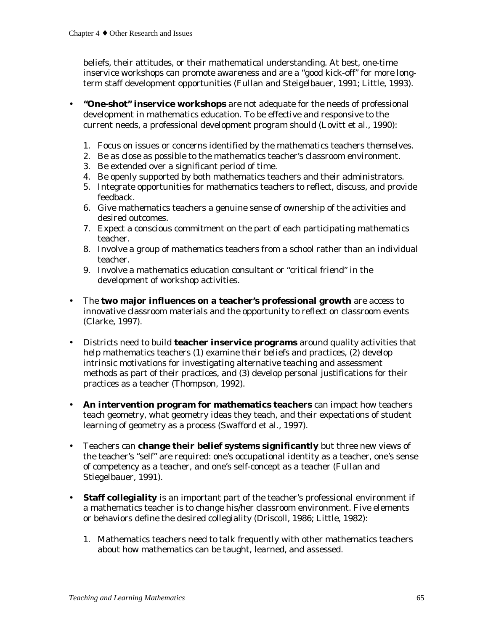beliefs, their attitudes, or their mathematical understanding. At best, one-time inservice workshops can promote awareness and are a "good kick-off" for more longterm staff development opportunities (Fullan and Steigelbauer, 1991; Little, 1993).

- **"One-shot" inservice workshops** are not adequate for the needs of professional development in mathematics education. To be effective and responsive to the current needs, a professional development program should (Lovitt et al., 1990):
	- 1. Focus on issues or concerns identified by the mathematics teachers themselves.
	- 2. Be as close as possible to the mathematics teacher's classroom environment.
	- 3. Be extended over a significant period of time.
	- 4. Be openly supported by both mathematics teachers and their administrators.
	- 5. Integrate opportunities for mathematics teachers to reflect, discuss, and provide feedback.
	- 6. Give mathematics teachers a genuine sense of ownership of the activities and desired outcomes.
	- 7. Expect a conscious commitment on the part of each participating mathematics teacher.
	- 8. Involve a group of mathematics teachers from a school rather than an individual teacher.
	- 9. Involve a mathematics education consultant or "critical friend" in the development of workshop activities.
- The **two major influences on a teacher's professional growth** are access to innovative classroom materials and the opportunity to reflect on classroom events (Clarke, 1997).
- Districts need to build **teacher inservice programs** around quality activities that help mathematics teachers (1) examine their beliefs and practices, (2) develop intrinsic motivations for investigating alternative teaching and assessment methods as part of their practices, and (3) develop personal justifications for their practices as a teacher (Thompson, 1992).
- **An intervention program for mathematics teachers** can impact how teachers teach geometry, what geometry ideas they teach, and their expectations of student learning of geometry as a process (Swafford et al., 1997).
- Teachers can **change their belief systems significantly** but three new views of the teacher's "self" are required: one's occupational identity as a teacher, one's sense of competency as a teacher, and one's self-concept as a teacher (Fullan and Stiegelbauer, 1991).
- **Staff collegiality** is an important part of the teacher's professional environment if a mathematics teacher is to change his/her classroom environment. Five elements or behaviors define the desired collegiality (Driscoll, 1986; Little, 1982):
	- 1. Mathematics teachers need to talk frequently with other mathematics teachers about how mathematics can be taught, learned, and assessed.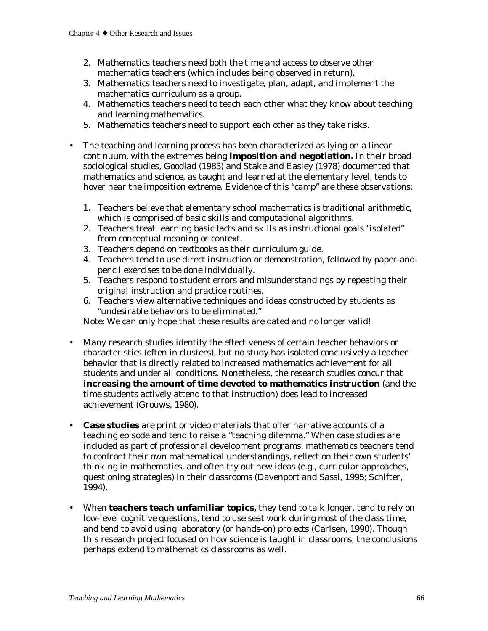- 2. Mathematics teachers need both the time and access to observe other mathematics teachers (which includes being observed in return).
- 3. Mathematics teachers need to investigate, plan, adapt, and implement the mathematics curriculum as a group.
- 4. Mathematics teachers need to teach each other what they know about teaching and learning mathematics.
- 5. Mathematics teachers need to support each other as they take risks.
- The teaching and learning process has been characterized as lying on a linear continuum, with the extremes being **imposition and negotiation.** In their broad sociological studies, Goodlad (1983) and Stake and Easley (1978) documented that mathematics and science, as taught and learned at the elementary level, tends to hover near the imposition extreme. Evidence of this "camp" are these observations:
	- 1. Teachers believe that elementary school mathematics is traditional arithmetic, which is comprised of basic skills and computational algorithms.
	- 2. Teachers treat learning basic facts and skills as instructional goals "isolated" from conceptual meaning or context.
	- 3. Teachers depend on textbooks as their curriculum guide.
	- 4. Teachers tend to use direct instruction or demonstration, followed by paper-andpencil exercises to be done individually.
	- 5. Teachers respond to student errors and misunderstandings by repeating their original instruction and practice routines.
	- 6. Teachers view alternative techniques and ideas constructed by students as "undesirable behaviors to be eliminated."

Note: We can only hope that these results are dated and no longer valid!

- Many research studies identify the effectiveness of certain teacher behaviors or characteristics (often in clusters), but no study has isolated conclusively a teacher behavior that is directly related to increased mathematics achievement for all students and under all conditions. Nonetheless, the research studies concur that **increasing the amount of time devoted to mathematics instruction** (and the time students actively attend to that instruction) does lead to increased achievement (Grouws, 1980).
- **Case studies** are print or video materials that offer narrative accounts of a teaching episode and tend to raise a "teaching dilemma." When case studies are included as part of professional development programs, mathematics teachers tend to confront their own mathematical understandings, reflect on their own students' thinking in mathematics, and often try out new ideas (e.g., curricular approaches, questioning strategies) in their classrooms (Davenport and Sassi, 1995; Schifter, 1994).
- When **teachers teach unfamiliar topics,** they tend to talk longer, tend to rely on low-level cognitive questions, tend to use seat work during most of the class time, and tend to avoid using laboratory (or hands-on) projects (Carlsen, 1990). Though this research project focused on how science is taught in classrooms, the conclusions perhaps extend to mathematics classrooms as well.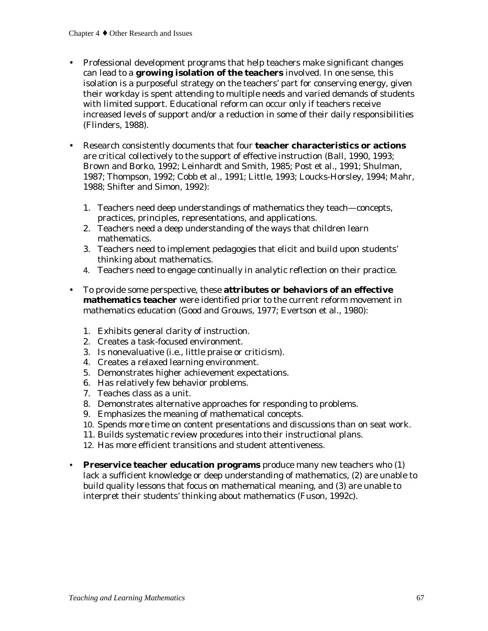- Professional development programs that help teachers make significant changes can lead to a **growing isolation of the teachers** involved. In one sense, this isolation is a purposeful strategy on the teachers' part for conserving energy, given their workday is spent attending to multiple needs and varied demands of students with limited support. Educational reform can occur only if teachers receive increased levels of support and/or a reduction in some of their daily responsibilities (Flinders, 1988).
- Research consistently documents that four **teacher characteristics or actions** are critical collectively to the support of effective instruction (Ball, 1990, 1993; Brown and Borko, 1992; Leinhardt and Smith, 1985; Post et al., 1991; Shulman, 1987; Thompson, 1992; Cobb et al., 1991; Little, 1993; Loucks-Horsley, 1994; Mahr, 1988; Shifter and Simon, 1992):
	- 1. Teachers need deep understandings of mathematics they teach—concepts, practices, principles, representations, and applications.
	- 2. Teachers need a deep understanding of the ways that children learn mathematics.
	- 3. Teachers need to implement pedagogies that elicit and build upon students' thinking about mathematics.
	- 4. Teachers need to engage continually in analytic reflection on their practice.
- To provide some perspective, these **attributes or behaviors of an effective mathematics teacher** were identified prior to the current reform movement in mathematics education (Good and Grouws, 1977; Evertson et al., 1980):
	- 1. Exhibits general clarity of instruction.
	- 2. Creates a task-focused environment.
	- 3. Is nonevaluative (i.e., little praise or criticism).
	- 4. Creates a relaxed learning environment.
	- 5. Demonstrates higher achievement expectations.
	- 6. Has relatively few behavior problems.
	- 7. Teaches class as a unit.
	- 8. Demonstrates alternative approaches for responding to problems.
	- 9. Emphasizes the meaning of mathematical concepts.
	- 10. Spends more time on content presentations and discussions than on seat work.
	- 11. Builds systematic review procedures into their instructional plans.
	- 12. Has more efficient transitions and student attentiveness.
- **Preservice teacher education programs** produce many new teachers who (1) lack a sufficient knowledge or deep understanding of mathematics, (2) are unable to build quality lessons that focus on mathematical meaning, and (3) are unable to interpret their students' thinking about mathematics (Fuson, 1992c).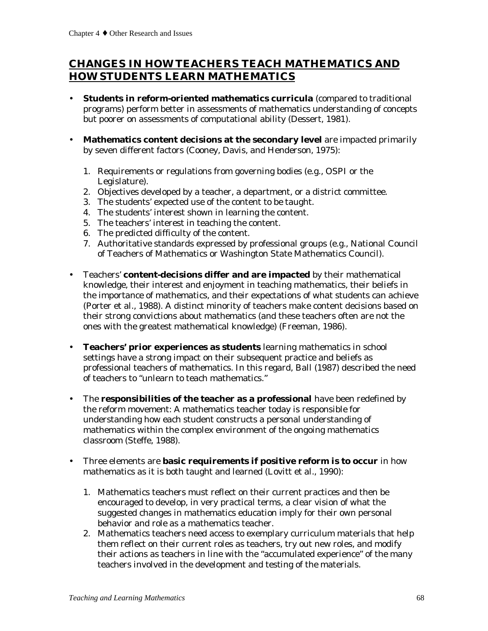### **CHANGES IN HOW TEACHERS TEACH MATHEMATICS AND HOW STUDENTS LEARN MATHEMATICS**

- **Students in reform-oriented mathematics curricula** (compared to traditional programs) perform better in assessments of mathematics understanding of concepts but poorer on assessments of computational ability (Dessert, 1981).
- **Mathematics content decisions at the secondary level** are impacted primarily by seven different factors (Cooney, Davis, and Henderson, 1975):
	- 1. Requirements or regulations from governing bodies (e.g., OSPI or the Legislature).
	- 2. Objectives developed by a teacher, a department, or a district committee.
	- 3. The students' expected use of the content to be taught.
	- 4. The students' interest shown in learning the content.
	- 5. The teachers' interest in teaching the content.
	- 6. The predicted difficulty of the content.
	- 7. Authoritative standards expressed by professional groups (e.g., National Council of Teachers of Mathematics or Washington State Mathematics Council).
- Teachers' **content-decisions differ and are impacted** by their mathematical knowledge, their interest and enjoyment in teaching mathematics, their beliefs in the importance of mathematics, and their expectations of what students can achieve (Porter et al., 1988). A distinct minority of teachers make content decisions based on their strong convictions about mathematics (and these teachers often are not the ones with the greatest mathematical knowledge) (Freeman, 1986).
- **Teachers' prior experiences as students** learning mathematics in school settings have a strong impact on their subsequent practice and beliefs as professional teachers of mathematics. In this regard, Ball (1987) described the need of teachers to "unlearn to teach mathematics."
- The **responsibilities of the teacher as a professional** have been redefined by the reform movement: A mathematics teacher today is responsible for understanding how each student constructs a personal understanding of mathematics within the complex environment of the ongoing mathematics classroom (Steffe, 1988).
- Three elements are **basic requirements if positive reform is to occur** in how mathematics as it is both taught and learned (Lovitt et al., 1990):
	- 1. Mathematics teachers must reflect on their current practices and then be encouraged to develop, in very practical terms, a clear vision of what the suggested changes in mathematics education imply for their own personal behavior and role as a mathematics teacher.
	- 2. Mathematics teachers need access to exemplary curriculum materials that help them reflect on their current roles as teachers, try out new roles, and modify their actions as teachers in line with the "accumulated experience" of the many teachers involved in the development and testing of the materials.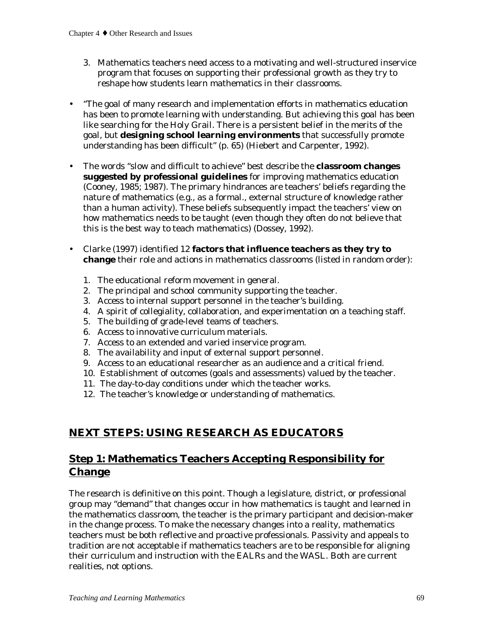- 3. Mathematics teachers need access to a motivating and well-structured inservice program that focuses on supporting their professional growth as they try to reshape how students learn mathematics in their classrooms.
- "The goal of many research and implementation efforts in mathematics education has been to promote learning with understanding. But achieving this goal has been like searching for the Holy Grail. There is a persistent belief in the merits of the goal, but **designing school learning environments** that successfully promote understanding has been difficult" (p. 65) (Hiebert and Carpenter, 1992).
- The words "slow and difficult to achieve" best describe the **classroom changes suggested by professional guidelines** for improving mathematics education (Cooney, 1985; 1987). The primary hindrances are teachers' beliefs regarding the nature of mathematics (e.g., as a formal., external structure of knowledge rather than a human activity). These beliefs subsequently impact the teachers' view on how mathematics needs to be taught (even though they often do not believe that this is the best way to teach mathematics) (Dossey, 1992).
- Clarke (1997) identified 12 **factors that influence teachers as they try to change** their role and actions in mathematics classrooms (listed in random order):
	- 1. The educational reform movement in general.
	- 2. The principal and school community supporting the teacher.
	- 3. Access to internal support personnel in the teacher's building.
	- 4. A spirit of collegiality, collaboration, and experimentation on a teaching staff.
	- 5. The building of grade-level teams of teachers.
	- 6. Access to innovative curriculum materials.
	- 7. Access to an extended and varied inservice program.
	- 8. The availability and input of external support personnel.
	- 9. Access to an educational researcher as an audience and a critical friend.
	- 10. Establishment of outcomes (goals and assessments) valued by the teacher.
	- 11. The day-to-day conditions under which the teacher works.
	- 12. The teacher's knowledge or understanding of mathematics.

### **NEXT STEPS: USING RESEARCH AS EDUCATORS**

### **Step 1: Mathematics Teachers Accepting Responsibility for Change**

The research is definitive on this point. Though a legislature, district, or professional group may "demand" that changes occur in how mathematics is taught and learned in the mathematics classroom, the teacher is the primary participant and decision-maker in the change process. To make the necessary changes into a reality, mathematics teachers must be both reflective and proactive professionals. Passivity and appeals to tradition are not acceptable if mathematics teachers are to be responsible for aligning their curriculum and instruction with the EALRs and the WASL. Both are current realities, not options.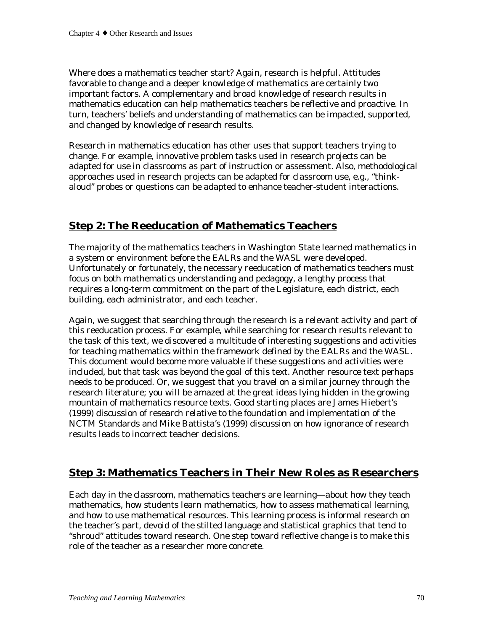Where does a mathematics teacher start? Again, research is helpful. Attitudes favorable to change and a deeper knowledge of mathematics are certainly two important factors. A complementary and broad knowledge of research results in mathematics education can help mathematics teachers be reflective and proactive. In turn, teachers' beliefs and understanding of mathematics can be impacted, supported, and changed by knowledge of research results.

Research in mathematics education has other uses that support teachers trying to change. For example, innovative problem tasks used in research projects can be adapted for use in classrooms as part of instruction or assessment. Also, methodological approaches used in research projects can be adapted for classroom use, e.g., "thinkaloud" probes or questions can be adapted to enhance teacher-student interactions.

## **Step 2: The Reeducation of Mathematics Teachers**

The majority of the mathematics teachers in Washington State learned mathematics in a system or environment before the EALRs and the WASL were developed. Unfortunately or fortunately, the necessary reeducation of mathematics teachers must focus on both mathematics understanding and pedagogy, a lengthy process that requires a long-term commitment on the part of the Legislature, each district, each building, each administrator, and each teacher.

Again, we suggest that searching through the research is a relevant activity and part of this reeducation process. For example, while searching for research results relevant to the task of this text, we discovered a multitude of interesting suggestions and activities for teaching mathematics within the framework defined by the EALRs and the WASL. This document would become more valuable if these suggestions and activities were included, but that task was beyond the goal of this text. Another resource text perhaps needs to be produced. Or, we suggest that you travel on a similar journey through the research literature; you will be amazed at the great ideas lying hidden in the growing mountain of mathematics resource texts. Good starting places are James Hiebert's (1999) discussion of research relative to the foundation and implementation of the NCTM Standards and Mike Battista's (1999) discussion on how ignorance of research results leads to incorrect teacher decisions.

### **Step 3: Mathematics Teachers in Their New Roles as Researchers**

Each day in the classroom, mathematics teachers are learning—about how they teach mathematics, how students learn mathematics, how to assess mathematical learning, and how to use mathematical resources. This learning process is informal research on the teacher's part, devoid of the stilted language and statistical graphics that tend to "shroud" attitudes toward research. One step toward reflective change is to make this role of the teacher as a researcher more concrete.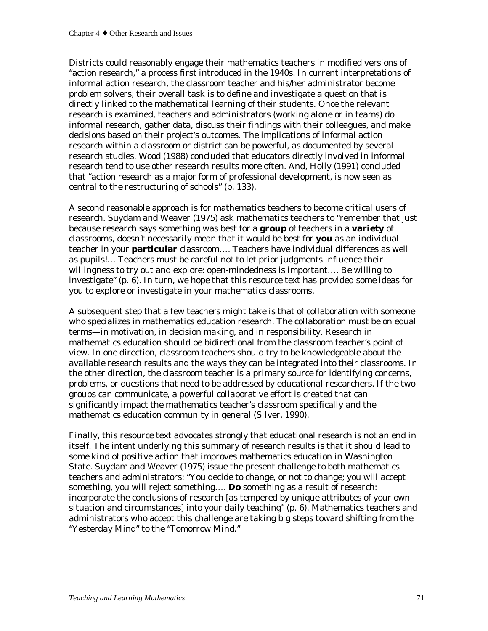Districts could reasonably engage their mathematics teachers in modified versions of "action research," a process first introduced in the 1940s. In current interpretations of informal action research, the classroom teacher and his/her administrator become problem solvers; their overall task is to define and investigate a question that is directly linked to the mathematical learning of their students. Once the relevant research is examined, teachers and administrators (working alone or in teams) do informal research, gather data, discuss their findings with their colleagues, and make decisions based on their project's outcomes. The implications of informal action research within a classroom or district can be powerful, as documented by several research studies. Wood (1988) concluded that educators directly involved in informal research tend to use other research results more often. And, Holly (1991) concluded that "action research as a major form of professional development, is now seen as central to the restructuring of schools" (p. 133).

A second reasonable approach is for mathematics teachers to become critical users of research. Suydam and Weaver (1975) ask mathematics teachers to "remember that just because research says something was best for a **group** of teachers in a **variety** of classrooms, doesn't necessarily mean that it would be best for **you** as an individual teacher in your **particular** classroom…. Teachers have individual differences as well as pupils!… Teachers must be careful not to let prior judgments influence their willingness to try out and explore: open-mindedness is important…. Be willing to investigate" (p. 6). In turn, we hope that this resource text has provided some ideas for you to explore or investigate in your mathematics classrooms.

A subsequent step that a few teachers might take is that of collaboration with someone who specializes in mathematics education research. The collaboration must be on equal terms—in motivation, in decision making, and in responsibility. Research in mathematics education should be bidirectional from the classroom teacher's point of view. In one direction, classroom teachers should try to be knowledgeable about the available research results and the ways they can be integrated into their classrooms. In the other direction, the classroom teacher is a primary source for identifying concerns, problems, or questions that need to be addressed by educational researchers. If the two groups can communicate, a powerful collaborative effort is created that can significantly impact the mathematics teacher's classroom specifically and the mathematics education community in general (Silver, 1990).

Finally, this resource text advocates strongly that educational research is not an end in itself. The intent underlying this summary of research results is that it should lead to some kind of positive action that improves mathematics education in Washington State. Suydam and Weaver (1975) issue the present challenge to both mathematics teachers and administrators: "You decide to change, or not to change; you will accept something, you will reject something…. **Do** something as a result of research: incorporate the conclusions of research [as tempered by unique attributes of your own situation and circumstances] into your daily teaching" (p. 6). Mathematics teachers and administrators who accept this challenge are taking big steps toward shifting from the "Yesterday Mind" to the "Tomorrow Mind."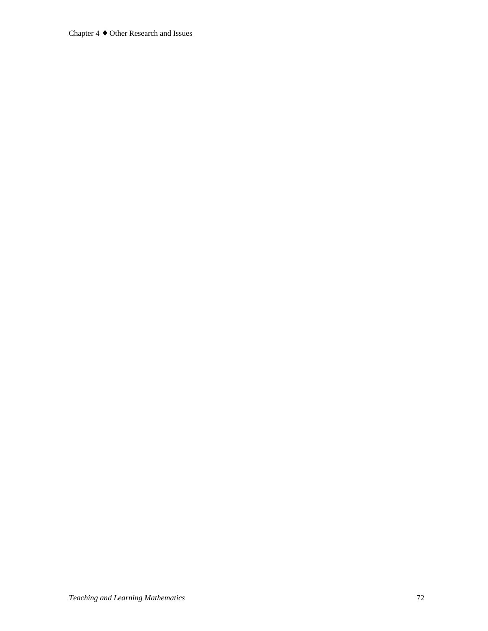Chapter 4 ♦ Other Research and Issues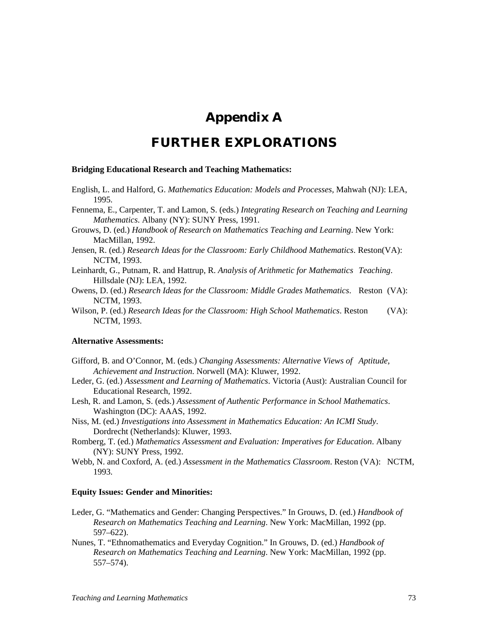# **Appendix A**

## **FURTHER EXPLORATIONS**

#### **Bridging Educational Research and Teaching Mathematics:**

- English, L. and Halford, G. *Mathematics Education: Models and Processes,* Mahwah (NJ): LEA, 1995.
- Fennema, E., Carpenter, T. and Lamon, S. (eds.) *Integrating Research on Teaching and Learning Mathematics*. Albany (NY): SUNY Press, 1991.
- Grouws, D. (ed.) *Handbook of Research on Mathematics Teaching and Learning*. New York: MacMillan, 1992.
- Jensen, R. (ed.) *Research Ideas for the Classroom: Early Childhood Mathematics*. Reston(VA): NCTM, 1993.
- Leinhardt, G., Putnam, R. and Hattrup, R. *Analysis of Arithmetic for Mathematics Teaching*. Hillsdale (NJ): LEA, 1992.
- Owens, D. (ed.) *Research Ideas for the Classroom: Middle Grades Mathematics*. Reston (VA): NCTM, 1993.
- Wilson, P. (ed.) *Research Ideas for the Classroom: High School Mathematics*. Reston (VA): NCTM, 1993.

#### **Alternative Assessments:**

- Gifford, B. and O'Connor, M. (eds.) *Changing Assessments: Alternative Views of Aptitude, Achievement and Instruction*. Norwell (MA): Kluwer, 1992.
- Leder, G. (ed.) *Assessment and Learning of Mathematics*. Victoria (Aust): Australian Council for Educational Research, 1992.
- Lesh, R. and Lamon, S. (eds.) *Assessment of Authentic Performance in School Mathematics*. Washington (DC): AAAS, 1992.
- Niss, M. (ed.) *Investigations into Assessment in Mathematics Education: An ICMI Study*. Dordrecht (Netherlands): Kluwer, 1993.
- Romberg, T. (ed.) *Mathematics Assessment and Evaluation: Imperatives for Education*. Albany (NY): SUNY Press, 1992.
- Webb, N. and Coxford, A. (ed.) *Assessment in the Mathematics Classroom*. Reston (VA): NCTM, 1993.

#### **Equity Issues: Gender and Minorities:**

- Leder, G. "Mathematics and Gender: Changing Perspectives." In Grouws, D. (ed.) *Handbook of Research on Mathematics Teaching and Learning*. New York: MacMillan, 1992 (pp. 597–622).
- Nunes, T. "Ethnomathematics and Everyday Cognition." In Grouws, D. (ed.) *Handbook of Research on Mathematics Teaching and Learning*. New York: MacMillan, 1992 (pp. 557–574).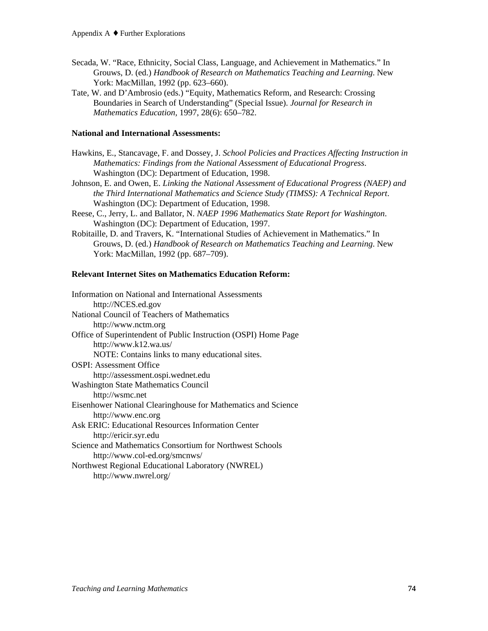- Secada, W. "Race, Ethnicity, Social Class, Language, and Achievement in Mathematics." In Grouws, D. (ed.) *Handbook of Research on Mathematics Teaching and Learning*. New York: MacMillan, 1992 (pp. 623–660).
- Tate, W. and D'Ambrosio (eds.) "Equity, Mathematics Reform, and Research: Crossing Boundaries in Search of Understanding" (Special Issue). *Journal for Research in Mathematics Education,* 1997, 28(6): 650–782.

### **National and International Assessments:**

- Hawkins, E., Stancavage, F. and Dossey, J. *School Policies and Practices Affecting Instruction in Mathematics: Findings from the National Assessment of Educational Progress*. Washington (DC): Department of Education, 1998.
- Johnson, E. and Owen, E. *Linking the National Assessment of Educational Progress (NAEP) and the Third International Mathematics and Science Study (TIMSS): A Technical Report*. Washington (DC): Department of Education, 1998.
- Reese, C., Jerry, L. and Ballator, N. *NAEP 1996 Mathematics State Report for Washington*. Washington (DC): Department of Education, 1997.
- Robitaille, D. and Travers, K. "International Studies of Achievement in Mathematics." In Grouws, D. (ed.) *Handbook of Research on Mathematics Teaching and Learning*. New York: MacMillan, 1992 (pp. 687–709).

### **Relevant Internet Sites on Mathematics Education Reform:**

| Information on National and International Assessments           |
|-----------------------------------------------------------------|
| http://NCES.ed.gov                                              |
| National Council of Teachers of Mathematics                     |
| http://www.nctm.org                                             |
| Office of Superintendent of Public Instruction (OSPI) Home Page |
| http://www.k12.wa.us/                                           |
| NOTE: Contains links to many educational sites.                 |
| <b>OSPI:</b> Assessment Office                                  |
| http://assessment.ospi.wednet.edu                               |
| <b>Washington State Mathematics Council</b>                     |
| http://wsmc.net                                                 |
| Eisenhower National Clearinghouse for Mathematics and Science   |
| http://www.enc.org                                              |
| <b>Ask ERIC: Educational Resources Information Center</b>       |
| http://ericir.syr.edu                                           |
| Science and Mathematics Consortium for Northwest Schools        |
| http://www.col-ed.org/smcnws/                                   |
| Northwest Regional Educational Laboratory (NWREL)               |

http://www.nwrel.org/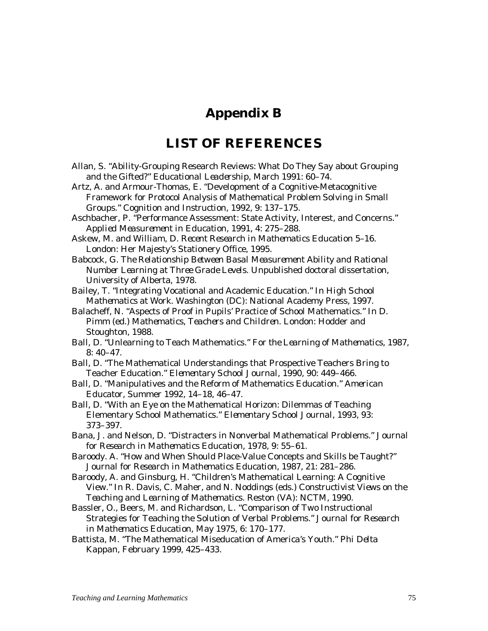# **Appendix B**

### **LIST OF REFERENCES**

Allan, S. "Ability-Grouping Research Reviews: What Do They Say about Grouping and the Gifted?" *Educational Leadership,* March 1991: 60–74.

Artz, A. and Armour-Thomas, E. "Development of a Cognitive-Metacognitive Framework for Protocol Analysis of Mathematical Problem Solving in Small Groups." *Cognition and Instruction,* 1992, 9: 137–175.

Aschbacher, P. "Performance Assessment: State Activity, Interest, and Concerns." *Applied Measurement in Education,* 1991, 4: 275–288.

Askew, M. and William, D. *Recent Research in Mathematics Education 5–16*. London: Her Majesty's Stationery Office, 1995.

Babcock, G. *The Relationship Between Basal Measurement Ability and Rational Number Learning at Three Grade Levels*. Unpublished doctoral dissertation, University of Alberta, 1978.

Bailey, T. "Integrating Vocational and Academic Education." In *High School Mathematics at Work*. Washington (DC): National Academy Press, 1997.

- Balacheff, N. "Aspects of Proof in Pupils' Practice of School Mathematics." In D. Pimm (ed.) *Mathematics, Teachers and Children*. London: Hodder and Stoughton, 1988.
- Ball, D. "Unlearning to Teach Mathematics." *For the Learning of Mathematics,* 1987, 8: 40–47.
- Ball, D. "The Mathematical Understandings that Prospective Teachers Bring to Teacher Education." *Elementary School Journal,* 1990, 90: 449–466.
- Ball, D. "Manipulatives and the Reform of Mathematics Education." *American Educator,* Summer 1992, 14–18, 46–47.
- Ball, D. "With an Eye on the Mathematical Horizon: Dilemmas of Teaching Elementary School Mathematics." *Elementary School Journal,* 1993, 93: 373–397.
- Bana, J. and Nelson, D. "Distracters in Nonverbal Mathematical Problems." *Journal for Research in Mathematics Education,* 1978, 9: 55–61.
- Baroody. A. "How and When Should Place-Value Concepts and Skills be Taught?" *Journal for Research in Mathematics Education,* 1987, 21: 281–286.
- Baroody, A. and Ginsburg, H. "Children's Mathematical Learning: A Cognitive View." In R. Davis, C. Maher, and N. Noddings (eds.) *Constructivist Views on the Teaching and Learning of Mathematics*. Reston (VA): NCTM, 1990.

Bassler, O., Beers, M. and Richardson, L. "Comparison of Two Instructional Strategies for Teaching the Solution of Verbal Problems." *Journal for Research in Mathematics Education,* May 1975, 6: 170–177.

Battista, M. "The Mathematical Miseducation of America's Youth." *Phi Delta Kappan,* February 1999, 425–433.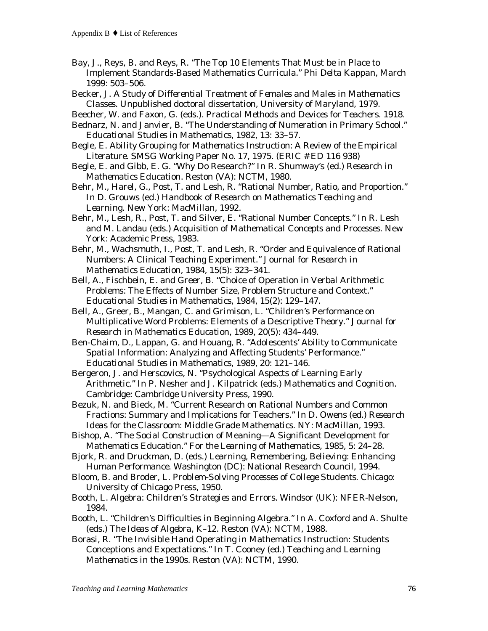- Bay, J., Reys, B. and Reys, R. "The Top 10 Elements That Must be in Place to Implement Standards-Based Mathematics Curricula." *Phi Delta Kappan,* March 1999: 503–506.
- Becker, J. *A Study of Differential Treatment of Females and Males in Mathematics Classes*. Unpublished doctoral dissertation, University of Maryland, 1979.
- Beecher, W. and Faxon, G. (eds.). *Practical Methods and Devices for Teachers.* 1918.
- Bednarz, N. and Janvier, B. "The Understanding of Numeration in Primary School." *Educational Studies in Mathematics,* 1982, 13: 33–57.
- Begle, E. *Ability Grouping for Mathematics Instruction: A Review of the Empirical Literature*. SMSG Working Paper No. 17, 1975. (ERIC # ED 116 938)
- Begle, E. and Gibb, E. G. "Why Do Research?" In R. Shumway's (ed.) *Research in Mathematics Education*. Reston (VA): NCTM, 1980.
- Behr, M., Harel, G., Post, T. and Lesh, R. "Rational Number, Ratio, and Proportion." In D. Grouws (ed.) *Handbook of Research on Mathematics Teaching and Learning*. New York: MacMillan, 1992.
- Behr, M., Lesh, R., Post, T. and Silver, E. "Rational Number Concepts." In R. Lesh and M. Landau (eds.) *Acquisition of Mathematical Concepts and Processes*. New York: Academic Press, 1983.
- Behr, M., Wachsmuth, I., Post, T. and Lesh, R. "Order and Equivalence of Rational Numbers: A Clinical Teaching Experiment." *Journal for Research in Mathematics Education,* 1984, 15(5): 323–341.
- Bell, A., Fischbein, E. and Greer, B. "Choice of Operation in Verbal Arithmetic Problems: The Effects of Number Size, Problem Structure and Context." *Educational Studies in Mathematics,* 1984, 15(2): 129–147.
- Bell, A., Greer, B., Mangan, C. and Grimison, L. "Children's Performance on Multiplicative Word Problems: Elements of a Descriptive Theory." *Journal for Research in Mathematics Education,* 1989, 20(5): 434–449.
- Ben-Chaim, D., Lappan, G. and Houang, R. "Adolescents' Ability to Communicate Spatial Information: Analyzing and Affecting Students' Performance." *Educational Studies in Mathematics,* 1989, 20: 121–146.
- Bergeron, J. and Herscovics, N. "Psychological Aspects of Learning Early Arithmetic." In P. Nesher and J. Kilpatrick (eds.) *Mathematics and Cognition*. Cambridge: Cambridge University Press, 1990.
- Bezuk, N. and Bieck, M. "Current Research on Rational Numbers and Common Fractions: Summary and Implications for Teachers." In D. Owens (ed.) *Research Ideas for the Classroom: Middle Grade Mathematics*. NY: MacMillan, 1993.
- Bishop, A. "The Social Construction of Meaning—A Significant Development for Mathematics Education." *For the Learning of Mathematics,* 1985, 5: 24–28.
- Bjork, R. and Druckman, D. (eds.) *Learning, Remembering, Believing: Enhancing Human Performance*. Washington (DC): National Research Council, 1994.
- Bloom, B. and Broder, L. *Problem-Solving Processes of College Students*. Chicago: University of Chicago Press, 1950.
- Booth, L. *Algebra: Children's Strategies and Errors*. Windsor (UK): NFER-Nelson, 1984.
- Booth, L. "Children's Difficulties in Beginning Algebra." In A. Coxford and A. Shulte (eds.) *The Ideas of Algebra, K–12*. Reston (VA): NCTM, 1988.
- Borasi, R. "The Invisible Hand Operating in Mathematics Instruction: Students Conceptions and Expectations." In T. Cooney (ed.) *Teaching and Learning Mathematics in the 1990s*. Reston (VA): NCTM, 1990.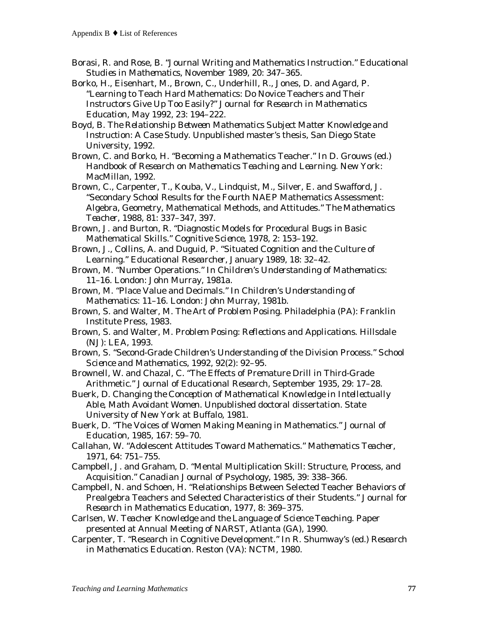- Borasi, R. and Rose, B. "Journal Writing and Mathematics Instruction." *Educational Studies in Mathematics,* November 1989, 20: 347–365.
- Borko, H., Eisenhart, M., Brown, C., Underhill, R., Jones, D. and Agard, P. "Learning to Teach Hard Mathematics: Do Novice Teachers and Their Instructors Give Up Too Easily?" *Journal for Research in Mathematics Education,* May 1992, 23: 194–222.
- Boyd, B. *The Relationship Between Mathematics Subject Matter Knowledge and Instruction: A Case Study*. Unpublished master's thesis, San Diego State University, 1992.
- Brown, C. and Borko, H. "Becoming a Mathematics Teacher." In D. Grouws (ed.) *Handbook of Research on Mathematics Teaching and Learning.* New York: MacMillan, 1992.
- Brown, C., Carpenter, T., Kouba, V., Lindquist, M., Silver, E. and Swafford, J. "Secondary School Results for the Fourth NAEP Mathematics Assessment: Algebra, Geometry, Mathematical Methods, and Attitudes." *The Mathematics Teacher,* 1988, 81: 337–347, 397.
- Brown, J. and Burton, R. "Diagnostic Models for Procedural Bugs in Basic Mathematical Skills." *Cognitive Science,* 1978, 2: 153–192.
- Brown, J., Collins, A. and Duguid, P. "Situated Cognition and the Culture of Learning." *Educational Researcher,* January 1989, 18: 32–42.
- Brown, M. "Number Operations." In *Children's Understanding of Mathematics: 11–16*. London: John Murray, 1981a.
- Brown, M. "Place Value and Decimals." In *Children's Understanding of Mathematics: 11–16*. London: John Murray, 1981b.
- Brown, S. and Walter, M. *The Art of Problem Posing*. Philadelphia (PA): Franklin Institute Press, 1983.
- Brown, S. and Walter, M. *Problem Posing: Reflections and Applications*. Hillsdale (NJ): LEA, 1993.
- Brown, S. "Second-Grade Children's Understanding of the Division Process." *School Science and Mathematics,* 1992, 92(2): 92–95.
- Brownell, W. and Chazal, C. "The Effects of Premature Drill in Third-Grade Arithmetic." *Journal of Educational Research,* September 1935, 29: 17–28.
- Buerk, D. *Changing the Conception of Mathematical Knowledge in Intellectually Able, Math Avoidant Women*. Unpublished doctoral dissertation. State University of New York at Buffalo, 1981.
- Buerk, D. "The Voices of Women Making Meaning in Mathematics." *Journal of Education,* 1985, 167: 59–70.
- Callahan, W. "Adolescent Attitudes Toward Mathematics." *Mathematics Teacher,* 1971, 64: 751–755.
- Campbell, J. and Graham, D. "Mental Multiplication Skill: Structure, Process, and Acquisition." *Canadian Journal of Psychology,* 1985, 39: 338–366.
- Campbell, N. and Schoen, H. "Relationships Between Selected Teacher Behaviors of Prealgebra Teachers and Selected Characteristics of their Students." *Journal for Research in Mathematics Education,* 1977, 8: 369–375.
- Carlsen, W. *Teacher Knowledge and the Language of Science Teaching*. Paper presented at Annual Meeting of NARST, Atlanta (GA), 1990.
- Carpenter, T. "Research in Cognitive Development." In R. Shumway's (ed.) *Research in Mathematics Education*. Reston (VA): NCTM, 1980.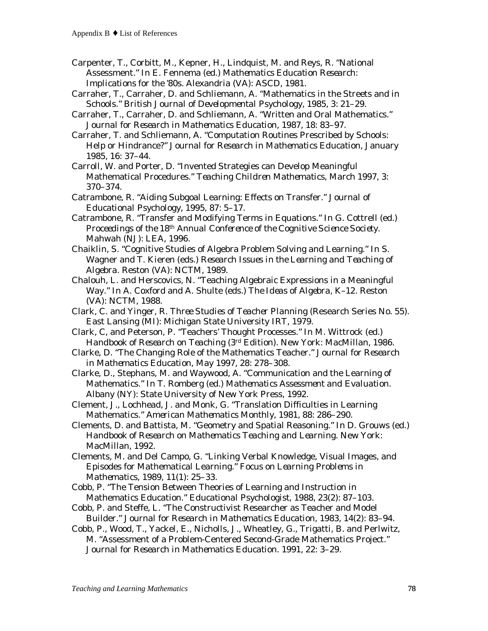- Carpenter, T., Corbitt, M., Kepner, H., Lindquist, M. and Reys, R. "National Assessment." In E. Fennema (ed.) *Mathematics Education Research: Implications for the '80s*. Alexandria (VA): ASCD, 1981.
- Carraher, T., Carraher, D. and Schliemann, A. "Mathematics in the Streets and in Schools." *British Journal of Developmental Psychology,* 1985, 3: 21–29.
- Carraher, T., Carraher, D. and Schliemann, A. "Written and Oral Mathematics." *Journal for Research in Mathematics Education,* 1987, 18: 83–97.
- Carraher, T. and Schliemann, A. "Computation Routines Prescribed by Schools: Help or Hindrance?" *Journal for Research in Mathematics Education,* January 1985, 16: 37–44.
- Carroll, W. and Porter, D. "Invented Strategies can Develop Meaningful Mathematical Procedures." *Teaching Children Mathematics,* March 1997, 3: 370–374.
- Catrambone, R. "Aiding Subgoal Learning: Effects on Transfer." *Journal of Educational Psychology,* 1995, 87: 5–17.
- Catrambone, R. "Transfer and Modifying Terms in Equations." In G. Cottrell (ed.) *Proceedings of the 18th Annual Conference of the Cognitive Science Society*. Mahwah (NJ): LEA, 1996.
- Chaiklin, S. "Cognitive Studies of Algebra Problem Solving and Learning." In S. Wagner and T. Kieren (eds.) *Research Issues in the Learning and Teaching of Algebra*. Reston (VA): NCTM, 1989.
- Chalouh, L. and Herscovics, N. "Teaching Algebraic Expressions in a Meaningful Way." In A. Coxford and A. Shulte (eds.) *The Ideas of Algebra, K–12*. Reston (VA): NCTM, 1988.
- Clark, C. and Yinger, R. *Three Studies of Teacher Planning* (Research Series No. 55). East Lansing (MI): Michigan State University IRT, 1979.
- Clark, C, and Peterson, P. "Teachers' Thought Processes." In M. Wittrock (ed.) *Handbook of Research on Teaching* (3<sup>rd</sup> Edition). New York: MacMillan, 1986.
- Clarke, D. "The Changing Role of the Mathematics Teacher." *Journal for Research in Mathematics Education,* May 1997, 28: 278–308.
- Clarke, D., Stephans, M. and Waywood, A. "Communication and the Learning of Mathematics." In T. Romberg (ed.) *Mathematics Assessment and Evaluation*. Albany (NY): State University of New York Press, 1992.
- Clement, J., Lochhead, J. and Monk, G. "Translation Difficulties in Learning Mathematics." *American Mathematics Monthly,* 1981, 88: 286–290.
- Clements, D. and Battista, M. "Geometry and Spatial Reasoning." In D. Grouws (ed.) *Handbook of Research on Mathematics Teaching and Learning*. New York: MacMillan, 1992.
- Clements, M. and Del Campo, G. "Linking Verbal Knowledge, Visual Images, and Episodes for Mathematical Learning." *Focus on Learning Problems in Mathematics,* 1989, 11(1): 25–33.
- Cobb, P. "The Tension Between Theories of Learning and Instruction in Mathematics Education." *Educational Psychologist,* 1988, 23(2): 87–103.
- Cobb, P. and Steffe, L. "The Constructivist Researcher as Teacher and Model Builder." *Journal for Research in Mathematics Education,* 1983, 14(2): 83–94.
- Cobb, P., Wood, T., Yackel, E., Nicholls, J., Wheatley, G., Trigatti, B. and Perlwitz, M. "Assessment of a Problem-Centered Second-Grade Mathematics Project." *Journal for Research in Mathematics Education.* 1991, 22: 3–29.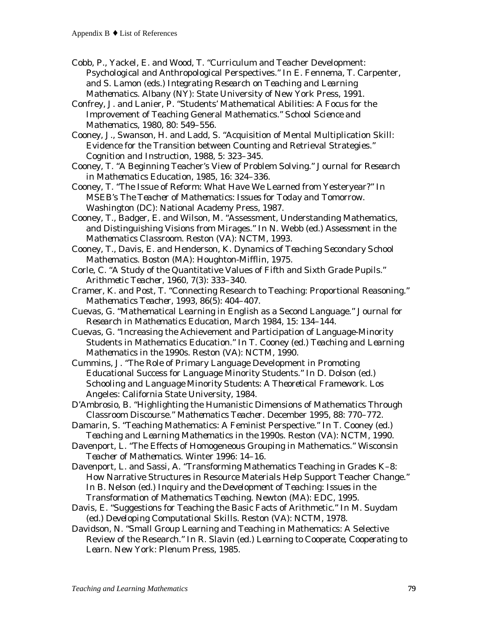Cobb, P., Yackel, E. and Wood, T. "Curriculum and Teacher Development: Psychological and Anthropological Perspectives." In E. Fennema, T. Carpenter, and S. Lamon (eds.) *Integrating Research on Teaching and Learning Mathematics*. Albany (NY): State University of New York Press, 1991.

Confrey, J. and Lanier, P. "Students' Mathematical Abilities: A Focus for the Improvement of Teaching General Mathematics." *School Science and Mathematics,* 1980, 80: 549–556.

Cooney, J., Swanson, H. and Ladd, S. "Acquisition of Mental Multiplication Skill: Evidence for the Transition between Counting and Retrieval Strategies." *Cognition and Instruction,* 1988, 5: 323–345.

Cooney, T. "A Beginning Teacher's View of Problem Solving." *Journal for Research in Mathematics Education,* 1985, 16: 324–336.

Cooney, T. "The Issue of Reform: What Have We Learned from Yesteryear?" In MSEB's *The Teacher of Mathematics: Issues for Today and Tomorrow*. Washington (DC): National Academy Press, 1987.

Cooney, T., Badger, E. and Wilson, M. "Assessment, Understanding Mathematics, and Distinguishing Visions from Mirages." In N. Webb (ed.) *Assessment in the Mathematics Classroom*. Reston (VA): NCTM, 1993.

Cooney, T., Davis, E. and Henderson, K. *Dynamics of Teaching Secondary School Mathematics*. Boston (MA): Houghton-Mifflin, 1975.

Corle, C. "A Study of the Quantitative Values of Fifth and Sixth Grade Pupils." *Arithmetic Teacher,* 1960, 7(3): 333–340.

Cramer, K. and Post, T. "Connecting Research to Teaching: Proportional Reasoning." *Mathematics Teacher,* 1993, 86(5): 404–407.

Cuevas, G. "Mathematical Learning in English as a Second Language." *Journal for Research in Mathematics Education,* March 1984, 15: 134–144.

Cuevas, G. "Increasing the Achievement and Participation of Language-Minority Students in Mathematics Education." In T. Cooney (ed.) *Teaching and Learning Mathematics in the 1990s*. Reston (VA): NCTM, 1990.

Cummins, J. "The Role of Primary Language Development in Promoting Educational Success for Language Minority Students." In D. Dolson (ed.) *Schooling and Language Minority Students: A Theoretical Framework*. Los Angeles: California State University, 1984.

D'Ambrosio, B. "Highlighting the Humanistic Dimensions of Mathematics Through Classroom Discourse." *Mathematics Teacher*. December 1995, 88: 770–772.

Damarin, S. "Teaching Mathematics: A Feminist Perspective." In T. Cooney (ed.) *Teaching and Learning Mathematics in the 1990s*. Reston (VA): NCTM, 1990.

Davenport, L. "The Effects of Homogeneous Grouping in Mathematics." *Wisconsin Teacher of Mathematics.* Winter 1996: 14–16.

Davenport, L. and Sassi, A. "Transforming Mathematics Teaching in Grades K–8: How Narrative Structures in Resource Materials Help Support Teacher Change." In B. Nelson (ed.) *Inquiry and the Development of Teaching: Issues in the Transformation of Mathematics Teaching*. Newton (MA): EDC, 1995.

Davis, E. "Suggestions for Teaching the Basic Facts of Arithmetic." In M. Suydam (ed.) *Developing Computational Skills.* Reston (VA): NCTM, 1978.

Davidson, N. "Small Group Learning and Teaching in Mathematics: A Selective Review of the Research." In R. Slavin (ed.) *Learning to Cooperate, Cooperating to Learn*. New York: Plenum Press, 1985.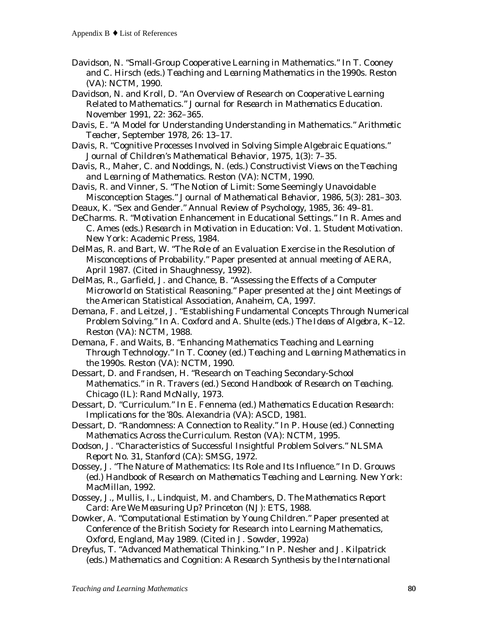- Davidson, N. "Small-Group Cooperative Learning in Mathematics." In T. Cooney and C. Hirsch (eds.) *Teaching and Learning Mathematics in the 1990s*. Reston (VA): NCTM, 1990.
- Davidson, N. and Kroll, D. "An Overview of Research on Cooperative Learning Related to Mathematics." *Journal for Research in Mathematics Education.* November 1991, 22: 362–365.
- Davis, E. "A Model for Understanding Understanding in Mathematics." *Arithmetic Teacher,* September 1978, 26: 13–17.
- Davis, R. "Cognitive Processes Involved in Solving Simple Algebraic Equations." *Journal of Children's Mathematical Behavior,* 1975, 1(3): 7–35.
- Davis, R., Maher, C. and Noddings, N. (eds.) *Constructivist Views on the Teaching and Learning of Mathematics*. Reston (VA): NCTM, 1990.
- Davis, R. and Vinner, S. "The Notion of Limit: Some Seemingly Unavoidable Misconception Stages." *Journal of Mathematical Behavior,* 1986, 5(3): 281–303.
- Deaux, K. "Sex and Gender." *Annual Review of Psychology,* 1985, 36: 49–81.
- DeCharms. R. "Motivation Enhancement in Educational Settings." In R. Ames and C. Ames (eds.) *Research in Motivation in Education: Vol. 1. Student Motivation*. New York: Academic Press, 1984.
- DelMas, R. and Bart, W. "The Role of an Evaluation Exercise in the Resolution of Misconceptions of Probability." Paper presented at annual meeting of AERA, April 1987. (Cited in Shaughnessy, 1992).
- DelMas, R., Garfield, J. and Chance, B. "Assessing the Effects of a Computer Microworld on Statistical Reasoning." Paper presented at the Joint Meetings of the American Statistical Association, Anaheim, CA, 1997.
- Demana, F. and Leitzel, J. "Establishing Fundamental Concepts Through Numerical Problem Solving." In A. Coxford and A. Shulte (eds.) *The Ideas of Algebra, K–12*. Reston (VA): NCTM, 1988.
- Demana, F. and Waits, B. "Enhancing Mathematics Teaching and Learning Through Technology." In T. Cooney (ed.) *Teaching and Learning Mathematics in the 1990s*. Reston (VA): NCTM, 1990.
- Dessart, D. and Frandsen, H. "Research on Teaching Secondary-School Mathematics." in R. Travers (ed.) *Second Handbook of Research on Teaching*. Chicago (IL): Rand McNally, 1973.
- Dessart, D. "Curriculum." In E. Fennema (ed.) *Mathematics Education Research: Implications for the '80s*. Alexandria (VA): ASCD, 1981.
- Dessart, D. "Randomness: A Connection to Reality." In P. House (ed.) *Connecting Mathematics Across the Curriculum*. Reston (VA): NCTM, 1995.
- Dodson, J. "Characteristics of Successful Insightful Problem Solvers." *NLSMA Report No. 31,* Stanford (CA): SMSG, 1972.
- Dossey, J. "The Nature of Mathematics: Its Role and Its Influence." In D. Grouws (ed.) *Handbook of Research on Mathematics Teaching and Learning*. New York: MacMillan, 1992.
- Dossey, J., Mullis, I., Lindquist, M. and Chambers, D. *The Mathematics Report Card: Are We Measuring Up?* Princeton (NJ): ETS, 1988.
- Dowker, A. "Computational Estimation by Young Children." Paper presented at Conference of the British Society for Research into Learning Mathematics, Oxford, England, May 1989. (Cited in J. Sowder, 1992a)
- Dreyfus, T. "Advanced Mathematical Thinking." In P. Nesher and J. Kilpatrick (eds.) *Mathematics and Cognition*: *A Research Synthesis by the International*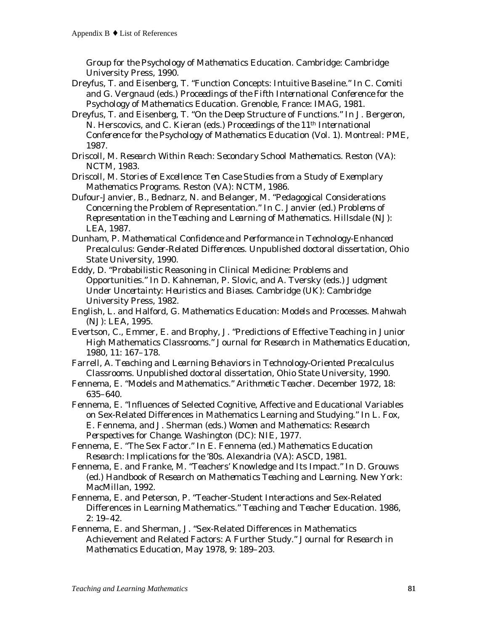*Group for the Psychology of Mathematics Education*. Cambridge: Cambridge University Press, 1990.

- Dreyfus, T. and Eisenberg, T. "Function Concepts: Intuitive Baseline." In C. Comiti and G. Vergnaud (eds.) *Proceedings of the Fifth International Conference for the Psychology of Mathematics Education*. Grenoble, France: IMAG, 1981.
- Dreyfus, T. and Eisenberg, T. "On the Deep Structure of Functions." In J. Bergeron, N. Herscovics, and C. Kieran (eds.) *Proceedings of the 11th International Conference for the Psychology of Mathematics Education* (Vol. 1). Montreal: PME, 1987.
- Driscoll, M*. Research Within Reach: Secondary School Mathematics*. Reston (VA): NCTM, 1983.
- Driscoll, M. *Stories of Excellence: Ten Case Studies from a Study of Exemplary Mathematics Programs*. Reston (VA): NCTM, 1986.
- Dufour-Janvier, B., Bednarz, N. and Belanger, M. "Pedagogical Considerations Concerning the Problem of Representation." In C. Janvier (ed.) *Problems of Representation in the Teaching and Learning of Mathematics*. Hillsdale (NJ): LEA, 1987.
- Dunham, P. *Mathematical Confidence and Performance in Technology-Enhanced Precalculus: Gender-Related Differences*. Unpublished doctoral dissertation, Ohio State University, 1990.
- Eddy, D. "Probabilistic Reasoning in Clinical Medicine: Problems and Opportunities." In D. Kahneman, P. Slovic, and A. Tversky (eds.) *Judgment Under Uncertainty: Heuristics and Biases*. Cambridge (UK): Cambridge University Press, 1982.
- English, L. and Halford, G. *Mathematics Education: Models and Processes*. Mahwah (NJ): LEA, 1995.
- Evertson, C., Emmer, E. and Brophy, J. "Predictions of Effective Teaching in Junior High Mathematics Classrooms." *Journal for Research in Mathematics Education,* 1980, 11: 167–178.
- Farrell, A. *Teaching and Learning Behaviors in Technology-Oriented Precalculus Classrooms*. Unpublished doctoral dissertation, Ohio State University, 1990.
- Fennema, E. "Models and Mathematics." *Arithmetic Teacher.* December 1972, 18: 635–640.
- Fennema, E. "Influences of Selected Cognitive, Affective and Educational Variables on Sex-Related Differences in Mathematics Learning and Studying." In L. Fox, E. Fennema, and J. Sherman (eds.) *Women and Mathematics: Research Perspectives for Change*. Washington (DC): NIE, 1977.
- Fennema, E. "The Sex Factor." In E. Fennema (ed.) *Mathematics Education Research: Implications for the '80s*. Alexandria (VA): ASCD, 1981.
- Fennema, E. and Franke, M. "Teachers' Knowledge and Its Impact." In D. Grouws (ed.) *Handbook of Research on Mathematics Teaching and Learning*. New York: MacMillan, 1992.
- Fennema, E. and Peterson, P. "Teacher-Student Interactions and Sex-Related Differences in Learning Mathematics." *Teaching and Teacher Education*. 1986,  $2: 19-42.$
- Fennema, E. and Sherman, J. "Sex-Related Differences in Mathematics Achievement and Related Factors: A Further Study." *Journal for Research in Mathematics Education*, May 1978, 9: 189–203.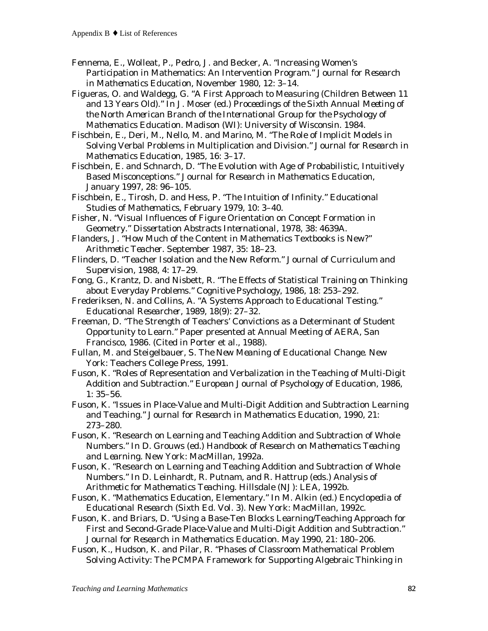- Fennema, E., Wolleat, P., Pedro, J. and Becker, A. "Increasing Women's Participation in Mathematics: An Intervention Program." *Journal for Research in Mathematics Education,* November 1980, 12: 3–14.
- Figueras, O. and Waldegg, G. "A First Approach to Measuring (Children Between 11 and 13 Years Old)." In J. Moser (ed.) *Proceedings of the Sixth Annual Meeting of the North American Branch of the International Group for the Psychology of Mathematics Education*. Madison (WI): University of Wisconsin. 1984.

Fischbein, E., Deri, M., Nello, M. and Marino, M. "The Role of Implicit Models in Solving Verbal Problems in Multiplication and Division." *Journal for Research in Mathematics Education,* 1985, 16: 3–17.

Fischbein, E. and Schnarch, D. "The Evolution with Age of Probabilistic, Intuitively Based Misconceptions." *Journal for Research in Mathematics Education,* January 1997, 28: 96–105.

- Fischbein, E., Tirosh, D. and Hess, P. "The Intuition of Infinity." *Educational Studies of Mathematics,* February 1979, 10: 3–40.
- Fisher, N. "Visual Influences of Figure Orientation on Concept Formation in Geometry." *Dissertation Abstracts International,* 1978, 38: 4639A.
- Flanders, J. "How Much of the Content in Mathematics Textbooks is New?" *Arithmetic Teacher*. September 1987, 35: 18–23.
- Flinders, D. "Teacher Isolation and the New Reform." *Journal of Curriculum and Supervision,* 1988, 4: 17–29.
- Fong, G., Krantz, D. and Nisbett, R. "The Effects of Statistical Training on Thinking about Everyday Problems." *Cognitive Psychology,* 1986, 18: 253–292.
- Frederiksen, N. and Collins, A. "A Systems Approach to Educational Testing." *Educational Researcher,* 1989, 18(9): 27–32.
- Freeman, D. "The Strength of Teachers' Convictions as a Determinant of Student Opportunity to Learn." Paper presented at Annual Meeting of AERA, San Francisco, 1986. (Cited in Porter et al., 1988).
- Fullan, M. and Steigelbauer, S. *The New Meaning of Educational Change*. New York: Teachers College Press, 1991.
- Fuson, K. "Roles of Representation and Verbalization in the Teaching of Multi-Digit Addition and Subtraction." *European Journal of Psychology of Education,* 1986, 1: 35–56.
- Fuson, K. "Issues in Place-Value and Multi-Digit Addition and Subtraction Learning and Teaching." *Journal for Research in Mathematics Education,* 1990, 21: 273–280.
- Fuson, K. "Research on Learning and Teaching Addition and Subtraction of Whole Numbers." In D. Grouws (ed.) *Handbook of Research on Mathematics Teaching and Learning*. New York: MacMillan, 1992a.
- Fuson, K. "Research on Learning and Teaching Addition and Subtraction of Whole Numbers." In D. Leinhardt, R. Putnam, and R. Hattrup (eds.) *Analysis of Arithmetic for Mathematics Teaching*. Hillsdale (NJ): LEA, 1992b.
- Fuson, K. "Mathematics Education, Elementary." In M. Alkin (ed.) *Encyclopedia of Educational Research* (Sixth Ed. Vol. 3). New York: MacMillan, 1992c.
- Fuson, K. and Briars, D. "Using a Base-Ten Blocks Learning/Teaching Approach for First and Second-Grade Place-Value and Multi-Digit Addition and Subtraction." *Journal for Research in Mathematics Education.* May 1990, 21: 180–206.
- Fuson, K., Hudson, K. and Pilar, R. "Phases of Classroom Mathematical Problem Solving Activity: The PCMPA Framework for Supporting Algebraic Thinking in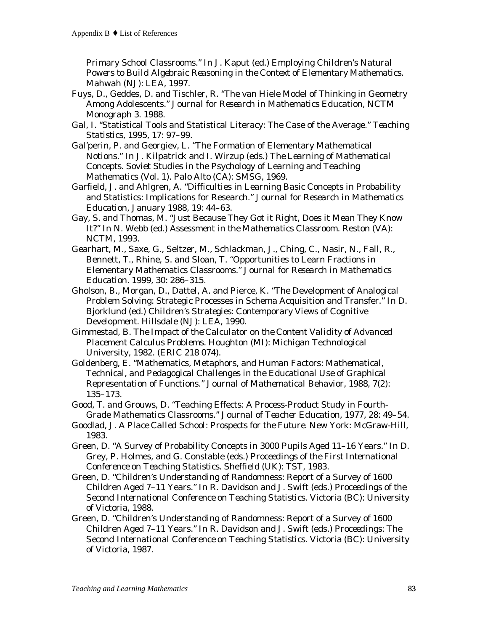Primary School Classrooms." In J. Kaput (ed.) *Employing Children's Natural Powers to Build Algebraic Reasoning in the Context of Elementary Mathematics*. Mahwah (NJ): LEA, 1997.

- Fuys, D., Geddes, D. and Tischler, R. "The van Hiele Model of Thinking in Geometry Among Adolescents." *Journal for Research in Mathematics Education, NCTM Monograph* 3. 1988.
- Gal, I. "Statistical Tools and Statistical Literacy: The Case of the Average." *Teaching Statistics*, 1995, 17: 97–99.
- Gal'perin, P. and Georgiev, L. "The Formation of Elementary Mathematical Notions." In J. Kilpatrick and I. Wirzup (eds.) *The Learning of Mathematical Concepts*. Soviet Studies in the Psychology of Learning and Teaching Mathematics (Vol. 1). Palo Alto (CA): SMSG, 1969.
- Garfield, J. and Ahlgren, A. "Difficulties in Learning Basic Concepts in Probability and Statistics: Implications for Research." *Journal for Research in Mathematics Education,* January 1988, 19: 44–63.
- Gay, S. and Thomas, M. "Just Because They Got it Right, Does it Mean They Know It?" In N. Webb (ed.) *Assessment in the Mathematics Classroom*. Reston (VA): NCTM, 1993.
- Gearhart, M., Saxe, G., Seltzer, M., Schlackman, J., Ching, C., Nasir, N., Fall, R., Bennett, T., Rhine, S. and Sloan, T. "Opportunities to Learn Fractions in Elementary Mathematics Classrooms." *Journal for Research in Mathematics Education*. 1999, 30: 286–315.
- Gholson, B., Morgan, D., Dattel, A. and Pierce, K. "The Development of Analogical Problem Solving: Strategic Processes in Schema Acquisition and Transfer." In D. Bjorklund (ed.) *Children's Strategies: Contemporary Views of Cognitive Development*. Hillsdale (NJ): LEA, 1990.
- Gimmestad, B. *The Impact of the Calculator on the Content Validity of Advanced Placement Calculus Problems*. Houghton (MI): Michigan Technological University, 1982. (ERIC 218 074).
- Goldenberg, E. "Mathematics, Metaphors, and Human Factors: Mathematical, Technical, and Pedagogical Challenges in the Educational Use of Graphical Representation of Functions." *Journal of Mathematical Behavior,* 1988, 7(2): 135–173.

Good, T. and Grouws, D. "Teaching Effects: A Process-Product Study in Fourth-Grade Mathematics Classrooms." *Journal of Teacher Education,* 1977, 28: 49–54.

- Goodlad, J. *A Place Called School: Prospects for the Future*. New York: McGraw-Hill, 1983.
- Green, D. "A Survey of Probability Concepts in 3000 Pupils Aged 11–16 Years." In D. Grey, P. Holmes, and G. Constable (eds.) *Proceedings of the First International Conference on Teaching Statistics*. Sheffield (UK): TST, 1983.
- Green, D. "Children's Understanding of Randomness: Report of a Survey of 1600 Children Aged 7–11 Years." In R. Davidson and J. Swift (eds.) *Proceedings of the Second International Conference on Teaching Statistics*. Victoria (BC): University of Victoria, 1988.
- Green, D. "Children's Understanding of Randomness: Report of a Survey of 1600 Children Aged 7–11 Years." In R. Davidson and J. Swift (eds.) *Proceedings: The Second International Conference on Teaching Statistics*. Victoria (BC): University of Victoria, 1987.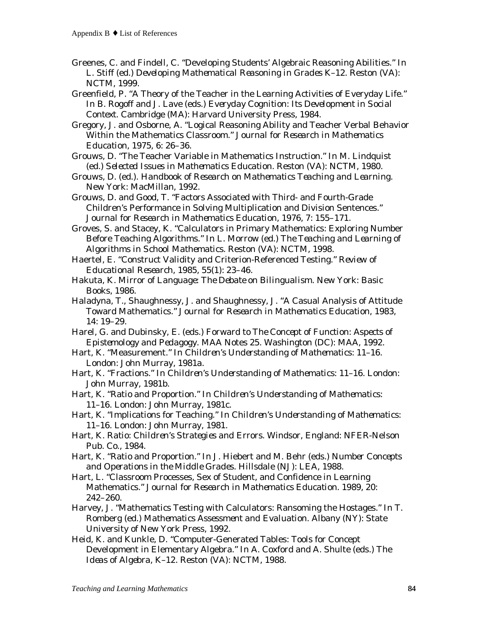- Greenes, C. and Findell, C. "Developing Students' Algebraic Reasoning Abilities." In L. Stiff (ed.) *Developing Mathematical Reasoning in Grades K–12*. Reston (VA): NCTM, 1999.
- Greenfield, P. "A Theory of the Teacher in the Learning Activities of Everyday Life." In B. Rogoff and J. Lave (eds.) *Everyday Cognition: Its Development in Social Context*. Cambridge (MA): Harvard University Press, 1984.
- Gregory, J. and Osborne, A. "Logical Reasoning Ability and Teacher Verbal Behavior Within the Mathematics Classroom." *Journal for Research in Mathematics Education,* 1975, 6: 26–36.
- Grouws, D. "The Teacher Variable in Mathematics Instruction." In M. Lindquist (ed.) *Selected Issues in Mathematics Education*. Reston (VA): NCTM, 1980.
- Grouws, D. (ed.). *Handbook of Research on Mathematics Teaching and Learning*. New York: MacMillan, 1992.
- Grouws, D. and Good, T. "Factors Associated with Third- and Fourth-Grade Children's Performance in Solving Multiplication and Division Sentences." *Journal for Research in Mathematics Education,* 1976, 7: 155–171.
- Groves, S. and Stacey, K. "Calculators in Primary Mathematics: Exploring Number Before Teaching Algorithms." In L. Morrow (ed.) *The Teaching and Learning of Algorithms in School Mathematics*. Reston (VA): NCTM, 1998.
- Haertel, E. "Construct Validity and Criterion-Referenced Testing." *Review of Educational Research,* 1985, 55(1): 23–46.

Hakuta, K. *Mirror of Language: The Debate on Bilingualism*. New York: Basic Books, 1986.

- Haladyna, T., Shaughnessy, J. and Shaughnessy, J. "A Casual Analysis of Attitude Toward Mathematics." *Journal for Research in Mathematics Education,* 1983, 14: 19–29.
- Harel, G. and Dubinsky, E. (eds.) Forward to *The Concept of Function: Aspects of Epistemology and Pedagogy*. MAA Notes 25. Washington (DC): MAA, 1992.
- Hart, K. "Measurement." In *Children's Understanding of Mathematics: 11–16*. London: John Murray, 1981a.
- Hart, K. "Fractions." In *Children's Understanding of Mathematics: 11–16*. London: John Murray, 1981b.
- Hart, K. "Ratio and Proportion." In *Children's Understanding of Mathematics: 11–16*. London: John Murray, 1981c.
- Hart, K. "Implications for Teaching." In *Children's Understanding of Mathematics: 11–16*. London: John Murray, 1981.
- Hart, K. *Ratio: Children's Strategies and Errors*. Windsor, England: NFER-Nelson Pub. Co., 1984.
- Hart, K. "Ratio and Proportion." In J. Hiebert and M. Behr (eds.) *Number Concepts and Operations in the Middle Grades*. Hillsdale (NJ): LEA, 1988.
- Hart, L. "Classroom Processes, Sex of Student, and Confidence in Learning Mathematics." *Journal for Research in Mathematics Education*. 1989, 20: 242–260.
- Harvey, J. "Mathematics Testing with Calculators: Ransoming the Hostages." In T. Romberg (ed.) *Mathematics Assessment and Evaluation*. Albany (NY): State University of New York Press, 1992.
- Heid, K. and Kunkle, D. "Computer-Generated Tables: Tools for Concept Development in Elementary Algebra." In A. Coxford and A. Shulte (eds.) *The Ideas of Algebra, K–12*. Reston (VA): NCTM, 1988.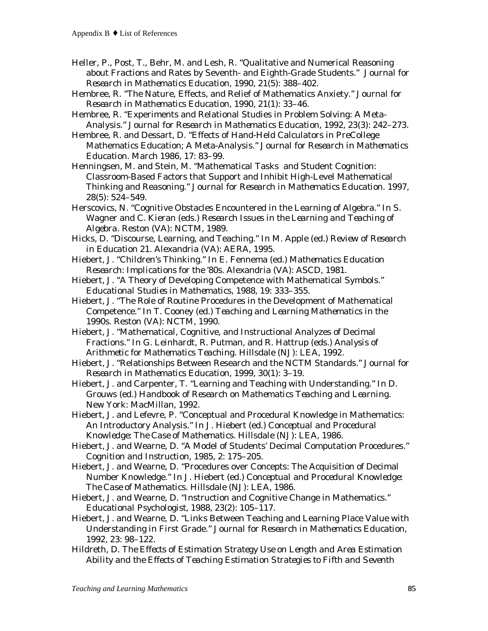- Heller, P., Post, T., Behr, M. and Lesh, R. "Qualitative and Numerical Reasoning about Fractions and Rates by Seventh- and Eighth-Grade Students." *Journal for Research in Mathematics Education,* 1990, 21(5): 388–402.
- Hembree, R. "The Nature, Effects, and Relief of Mathematics Anxiety." *Journal for Research in Mathematics Education,* 1990, 21(1): 33–46.
- Hembree, R. "Experiments and Relational Studies in Problem Solving: A Meta-Analysis." *Journal for Research in Mathematics Education,* 1992, 23(3): 242–273.
- Hembree, R. and Dessart, D. "Effects of Hand-Held Calculators in PreCollege Mathematics Education; A Meta-Analysis." *Journal for Research in Mathematics Education*. March 1986, 17: 83–99.
- Henningsen, M. and Stein, M. "Mathematical Tasks and Student Cognition: Classroom-Based Factors that Support and Inhibit High-Level Mathematical Thinking and Reasoning." *Journal for Research in Mathematics Education*. 1997, 28(5): 524–549.
- Herscovics, N. "Cognitive Obstacles Encountered in the Learning of Algebra." In S. Wagner and C. Kieran (eds.) *Research Issues in the Learning and Teaching of Algebra*. Reston (VA): NCTM, 1989.
- Hicks, D. "Discourse, Learning, and Teaching." In M. Apple (ed.) *Review of Research in Education 21*. Alexandria (VA): AERA, 1995.
- Hiebert, J. "Children's Thinking." In E. Fennema (ed.) *Mathematics Education Research: Implications for the '80s*. Alexandria (VA): ASCD, 1981.
- Hiebert, J. "A Theory of Developing Competence with Mathematical Symbols." *Educational Studies in Mathematics,* 1988, 19: 333–355.
- Hiebert, J. "The Role of Routine Procedures in the Development of Mathematical Competence." In T. Cooney (ed.) *Teaching and Learning Mathematics in the 1990s*. Reston (VA): NCTM, 1990.
- Hiebert, J. "Mathematical, Cognitive, and Instructional Analyzes of Decimal Fractions." In G. Leinhardt, R. Putman, and R. Hattrup (eds.) *Analysis of Arithmetic for Mathematics Teaching*. Hillsdale (NJ): LEA, 1992.
- Hiebert, J. "Relationships Between Research and the NCTM Standards." *Journal for Research in Mathematics Education,* 1999, 30(1): 3–19.
- Hiebert, J. and Carpenter, T. "Learning and Teaching with Understanding." In D. Grouws (ed.) *Handbook of Research on Mathematics Teaching and Learning*. New York: MacMillan, 1992.
- Hiebert, J. and Lefevre, P. "Conceptual and Procedural Knowledge in Mathematics: An Introductory Analysis." In J. Hiebert (ed.) *Conceptual and Procedural Knowledge: The Case of Mathematics*. Hillsdale (NJ): LEA, 1986.
- Hiebert, J. and Wearne, D. "A Model of Students' Decimal Computation Procedures." *Cognition and Instruction,* 1985, 2: 175–205.
- Hiebert, J. and Wearne, D. "Procedures over Concepts: The Acquisition of Decimal Number Knowledge." In J. Hiebert (ed.) *Conceptual and Procedural Knowledge: The Case of Mathematics*. Hillsdale (NJ): LEA, 1986.
- Hiebert, J. and Wearne, D. "Instruction and Cognitive Change in Mathematics." *Educational Psychologist,* 1988, 23(2): 105–117.
- Hiebert, J. and Wearne, D. "Links Between Teaching and Learning Place Value with Understanding in First Grade." *Journal for Research in Mathematics Education,* 1992, 23: 98–122.
- Hildreth, D. *The Effects of Estimation Strategy Use on Length and Area Estimation Ability and the Effects of Teaching Estimation Strategies to Fifth and Seventh*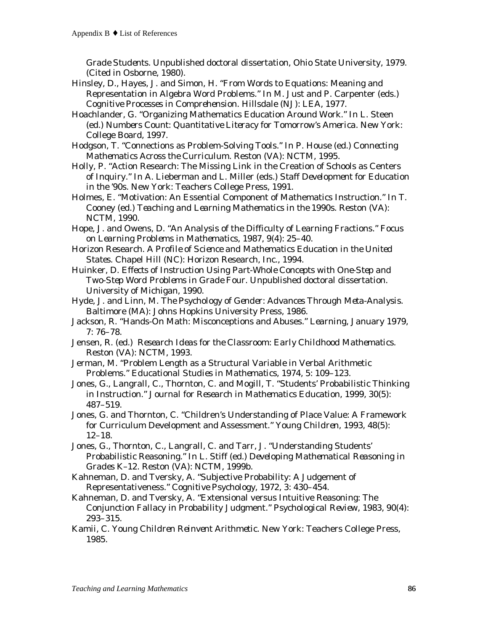*Grade Students*. Unpublished doctoral dissertation, Ohio State University, 1979. (Cited in Osborne, 1980).

- Hinsley, D., Hayes, J. and Simon, H. "From Words to Equations: Meaning and Representation in Algebra Word Problems." In M. Just and P. Carpenter (eds.) *Cognitive Processes in Comprehension*. Hillsdale (NJ): LEA, 1977.
- Hoachlander, G. "Organizing Mathematics Education Around Work." In L. Steen (ed.) *Numbers Count: Quantitative Literacy for Tomorrow's America*. New York: College Board, 1997.
- Hodgson, T. "Connections as Problem-Solving Tools." In P. House (ed.) *Connecting Mathematics Across the Curriculum*. Reston (VA): NCTM, 1995.
- Holly, P. "Action Research: The Missing Link in the Creation of Schools as Centers of Inquiry." In A. Lieberman and L. Miller (eds.) *Staff Development for Education in the '90s*. New York: Teachers College Press, 1991.
- Holmes, E. "Motivation: An Essential Component of Mathematics Instruction." In T. Cooney (ed.) *Teaching and Learning Mathematics in the 1990s*. Reston (VA): NCTM, 1990.
- Hope, J. and Owens, D. "An Analysis of the Difficulty of Learning Fractions." *Focus on Learning Problems in Mathematics,* 1987, 9(4): 25–40.
- Horizon Research. *A Profile of Science and Mathematics Education in the United States*. Chapel Hill (NC): Horizon Research, Inc., 1994.
- Huinker, D. *Effects of Instruction Using Part-Whole Concepts with One-Step and Two-Step Word Problems in Grade Four*. Unpublished doctoral dissertation. University of Michigan, 1990.
- Hyde, J. and Linn, M. *The Psychology of Gender: Advances Through Meta-Analysis*. Baltimore (MA): Johns Hopkins University Press, 1986.
- Jackson, R. "Hands-On Math: Misconceptions and Abuses." *Learning,* January 1979, 7: 76–78.
- Jensen, R. (ed.) *Research Ideas for the Classroom: Early Childhood Mathematics*. Reston (VA): NCTM, 1993.
- Jerman, M. "Problem Length as a Structural Variable in Verbal Arithmetic Problems." *Educational Studies in Mathematics,* 1974, 5: 109–123.
- Jones, G., Langrall, C., Thornton, C. and Mogill, T. "Students' Probabilistic Thinking in Instruction." *Journal for Research in Mathematics Education,* 1999, 30(5): 487–519.
- Jones, G. and Thornton, C. "Children's Understanding of Place Value: A Framework for Curriculum Development and Assessment." *Young Children,* 1993, 48(5): 12–18.
- Jones, G., Thornton, C., Langrall, C. and Tarr, J. "Understanding Students' Probabilistic Reasoning." In L. Stiff (ed.) *Developing Mathematical Reasoning in Grades K–12*. Reston (VA): NCTM, 1999b.
- Kahneman, D. and Tversky, A. "Subjective Probability: A Judgement of Representativeness." *Cognitive Psychology,* 1972, 3: 430–454.
- Kahneman, D. and Tversky, A. "Extensional versus Intuitive Reasoning: The Conjunction Fallacy in Probability Judgment." *Psychological Review,* 1983, 90(4): 293–315.
- Kamii, C. *Young Children Reinvent Arithmetic*. New York: Teachers College Press, 1985.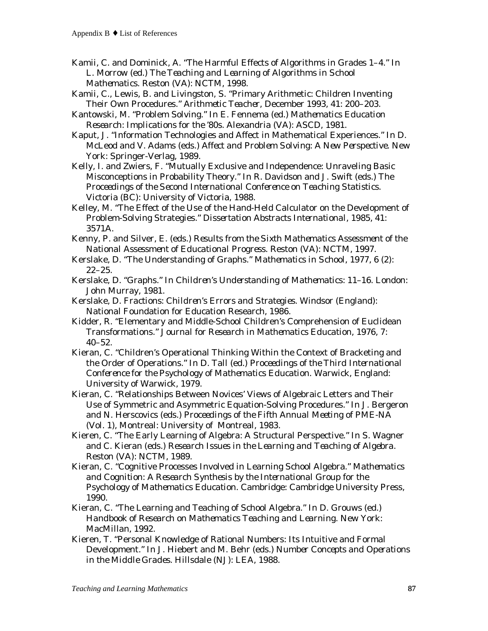- Kamii, C. and Dominick, A. "The Harmful Effects of Algorithms in Grades 1–4." In L. Morrow (ed.) *The Teaching and Learning of Algorithms in School Mathematics*. Reston (VA): NCTM, 1998.
- Kamii, C., Lewis, B. and Livingston, S. "Primary Arithmetic: Children Inventing Their Own Procedures." *Arithmetic Teacher,* December 1993, 41: 200–203.
- Kantowski, M. "Problem Solving." In E. Fennema (ed.) *Mathematics Education Research: Implications for the '80s*. Alexandria (VA): ASCD, 1981.
- Kaput, J. "Information Technologies and Affect in Mathematical Experiences." In D. McLeod and V. Adams (eds.) *Affect and Problem Solving: A New Perspective*. New York: Springer-Verlag, 1989.
- Kelly, I. and Zwiers, F. "Mutually Exclusive and Independence: Unraveling Basic Misconceptions in Probability Theory." In R. Davidson and J. Swift (eds.) *The Proceedings of the Second International Conference on Teaching Statistics*. Victoria (BC): University of Victoria, 1988.
- Kelley, M. "The Effect of the Use of the Hand-Held Calculator on the Development of Problem-Solving Strategies." *Dissertation Abstracts International,* 1985, 41: 3571A.
- Kenny, P. and Silver, E. (eds.) *Results from the Sixth Mathematics Assessment of the National Assessment of Educational Progress*. Reston (VA): NCTM, 1997.
- Kerslake, D. "The Understanding of Graphs." *Mathematics in School,* 1977, 6 (2):  $22 - 25.$
- Kerslake, D. "Graphs." In *Children's Understanding of Mathematics: 11–16*. London: John Murray, 1981.
- Kerslake, D. *Fractions: Children's Errors and Strategies*. Windsor (England): National Foundation for Education Research, 1986.
- Kidder, R. "Elementary and Middle-School Children's Comprehension of Euclidean Transformations." *Journal for Research in Mathematics Education,* 1976, 7: 40–52.
- Kieran, C. "Children's Operational Thinking Within the Context of Bracketing and the Order of Operations." In D. Tall (ed.) *Proceedings of the Third International Conference for the Psychology of Mathematics Education*. Warwick, England: University of Warwick, 1979.
- Kieran, C. "Relationships Between Novices' Views of Algebraic Letters and Their Use of Symmetric and Asymmetric Equation-Solving Procedures." In J. Bergeron and N. Herscovics (eds.) *Proceedings of the Fifth Annual Meeting of PME-NA* (Vol. 1), Montreal: University of Montreal, 1983.
- Kieren, C. "The Early Learning of Algebra: A Structural Perspective." In S. Wagner and C. Kieran (eds.) *Research Issues in the Learning and Teaching of Algebra*. Reston (VA): NCTM, 1989.
- Kieran, C. "Cognitive Processes Involved in Learning School Algebra." *Mathematics and Cognition: A Research Synthesis by the International Group for the Psychology of Mathematics Education*. Cambridge: Cambridge University Press, 1990.
- Kieran, C. "The Learning and Teaching of School Algebra." In D. Grouws (ed.) *Handbook of Research on Mathematics Teaching and Learning*. New York: MacMillan, 1992.
- Kieren, T. "Personal Knowledge of Rational Numbers: Its Intuitive and Formal Development." In J. Hiebert and M. Behr (eds.) *Number Concepts and Operations in the Middle Grades*. Hillsdale (NJ): LEA, 1988.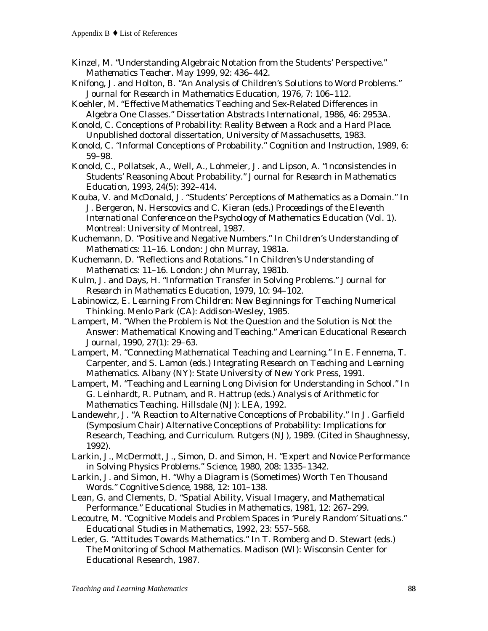- Kinzel, M. "Understanding Algebraic Notation from the Students' Perspective." *Mathematics Teacher*. May 1999, 92: 436–442.
- Knifong, J. and Holton, B. "An Analysis of Children's Solutions to Word Problems." *Journal for Research in Mathematics Education,* 1976, 7: 106–112.
- Koehler, M. "Effective Mathematics Teaching and Sex-Related Differences in Algebra One Classes." *Dissertation Abstracts International,* 1986, 46: 2953A.
- Konold, C. *Conceptions of Probability: Reality Between a Rock and a Hard Place*. Unpublished doctoral dissertation, University of Massachusetts, 1983.
- Konold, C. "Informal Conceptions of Probability." *Cognition and Instruction,* 1989, 6: 59–98.
- Konold, C., Pollatsek, A., Well, A., Lohmeier, J. and Lipson, A. "Inconsistencies in Students' Reasoning About Probability." *Journal for Research in Mathematics Education,* 1993, 24(5): 392–414.
- Kouba, V. and McDonald, J. "Students' Perceptions of Mathematics as a Domain." In J. Bergeron, N. Herscovics and C. Kieran (eds.) *Proceedings of the Eleventh International Conference on the Psychology of Mathematics Education* (Vol. 1). Montreal: University of Montreal, 1987.
- Kuchemann, D. "Positive and Negative Numbers." In *Children's Understanding of Mathematics: 11–16*. London: John Murray, 1981a.
- Kuchemann, D. "Reflections and Rotations." In *Children's Understanding of Mathematics: 11–16*. London: John Murray, 1981b.
- Kulm, J. and Days, H. "Information Transfer in Solving Problems." *Journal for Research in Mathematics Education,* 1979, 10: 94–102.
- Labinowicz, E. *Learning From Children: New Beginnings for Teaching Numerical Thinking*. Menlo Park (CA): Addison-Wesley, 1985.
- Lampert, M. "When the Problem is Not the Question and the Solution is Not the Answer: Mathematical Knowing and Teaching." *American Educational Research Journal,* 1990, 27(1): 29–63.
- Lampert, M. "Connecting Mathematical Teaching and Learning." In E. Fennema, T. Carpenter, and S. Lamon (eds.) *Integrating Research on Teaching and Learning Mathematics*. Albany (NY): State University of New York Press, 1991.
- Lampert, M. "Teaching and Learning Long Division for Understanding in School." In G. Leinhardt, R. Putnam, and R. Hattrup (eds.) *Analysis of Arithmetic for Mathematics Teaching*. Hillsdale (NJ): LEA, 1992.
- Landewehr, J. "A Reaction to Alternative Conceptions of Probability." In J. Garfield (Symposium Chair) Alternative Conceptions of Probability: Implications for Research, Teaching, and Curriculum. Rutgers (NJ), 1989. (Cited in Shaughnessy, 1992).
- Larkin, J., McDermott, J., Simon, D. and Simon, H. "Expert and Novice Performance in Solving Physics Problems." *Science,* 1980, 208: 1335–1342.
- Larkin, J. and Simon, H. "Why a Diagram is (Sometimes) Worth Ten Thousand Words." *Cognitive Science,* 1988, 12: 101–138.
- Lean, G. and Clements, D. "Spatial Ability, Visual Imagery, and Mathematical Performance." *Educational Studies in Mathematics,* 1981, 12: 267–299.
- Lecoutre, M. "Cognitive Models and Problem Spaces in 'Purely Random' Situations." *Educational Studies in Mathematics,* 1992, 23: 557–568.
- Leder, G. "Attitudes Towards Mathematics." In T. Romberg and D. Stewart (eds.) *The Monitoring of School Mathematics*. Madison (WI): Wisconsin Center for Educational Research, 1987.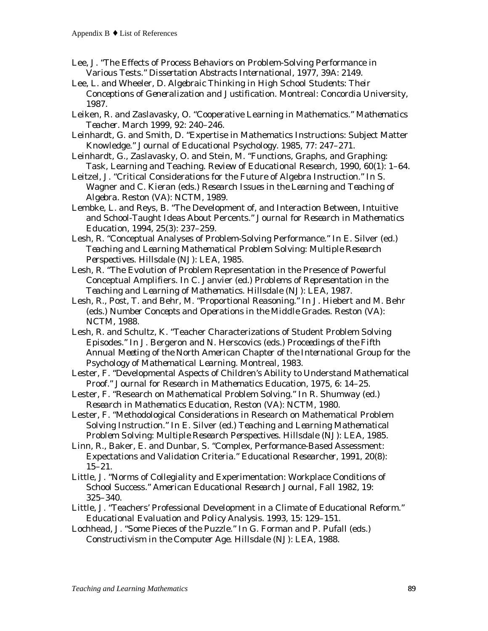- Lee, J. "The Effects of Process Behaviors on Problem-Solving Performance in Various Tests." *Dissertation Abstracts International,* 1977, 39A: 2149.
- Lee, L. and Wheeler, D. *Algebraic Thinking in High School Students: Their Conceptions of Generalization and Justification*. Montreal: Concordia University, 1987.
- Leiken, R. and Zaslavasky, O. "Cooperative Learning in Mathematics." *Mathematics Teacher*. March 1999, 92: 240–246.
- Leinhardt, G. and Smith, D. "Expertise in Mathematics Instructions: Subject Matter Knowledge." *Journal of Educational Psychology.* 1985, 77: 247–271.
- Leinhardt, G., Zaslavasky, O. and Stein, M. "Functions, Graphs, and Graphing: Task, Learning and Teaching. *Review of Educational Research,* 1990, 60(1): 1–64.
- Leitzel, J. "Critical Considerations for the Future of Algebra Instruction." In S. Wagner and C. Kieran (eds.) *Research Issues in the Learning and Teaching of Algebra*. Reston (VA): NCTM, 1989.
- Lembke, L. and Reys, B. "The Development of, and Interaction Between, Intuitive and School-Taught Ideas About Percents." *Journal for Research in Mathematics Education,* 1994, 25(3): 237–259.
- Lesh, R. "Conceptual Analyses of Problem-Solving Performance." In E. Silver (ed.) *Teaching and Learning Mathematical Problem Solving: Multiple Research Perspectives*. Hillsdale (NJ): LEA, 1985.
- Lesh, R. "The Evolution of Problem Representation in the Presence of Powerful Conceptual Amplifiers. In C. Janvier (ed.) *Problems of Representation in the Teaching and Learning of Mathematics*. Hillsdale (NJ): LEA, 1987.
- Lesh, R., Post, T. and Behr, M. "Proportional Reasoning." In J. Hiebert and M. Behr (eds.) *Number Concepts and Operations in the Middle Grades*. Reston (VA): NCTM, 1988.
- Lesh, R. and Schultz, K. "Teacher Characterizations of Student Problem Solving Episodes." In J. Bergeron and N. Herscovics (eds.) *Proceedings of the Fifth Annual Meeting of the North American Chapter of the International Group for the Psychology of Mathematical Learning*. Montreal, 1983.
- Lester, F. "Developmental Aspects of Children's Ability to Understand Mathematical Proof." *Journal for Research in Mathematics Education,* 1975, 6: 14–25.
- Lester, F. "Research on Mathematical Problem Solving." In R. Shumway (ed.) *Research in Mathematics Education,* Reston (VA): NCTM, 1980.
- Lester, F. "Methodological Considerations in Research on Mathematical Problem Solving Instruction." In E. Silver (ed.) *Teaching and Learning Mathematical Problem Solving: Multiple Research Perspectives*. Hillsdale (NJ): LEA, 1985.
- Linn, R., Baker, E. and Dunbar, S. "Complex, Performance-Based Assessment: Expectations and Validation Criteria." *Educational Researcher,* 1991, 20(8): 15–21.
- Little, J. "Norms of Collegiality and Experimentation: Workplace Conditions of School Success." *American Educational Research Journal,* Fall 1982, 19: 325–340.
- Little, J. "Teachers' Professional Development in a Climate of Educational Reform." *Educational Evaluation and Policy Analysis.* 1993, 15: 129–151.
- Lochhead, J. "Some Pieces of the Puzzle." In G. Forman and P. Pufall (eds.) *Constructivism in the Computer Age*. Hillsdale (NJ): LEA, 1988.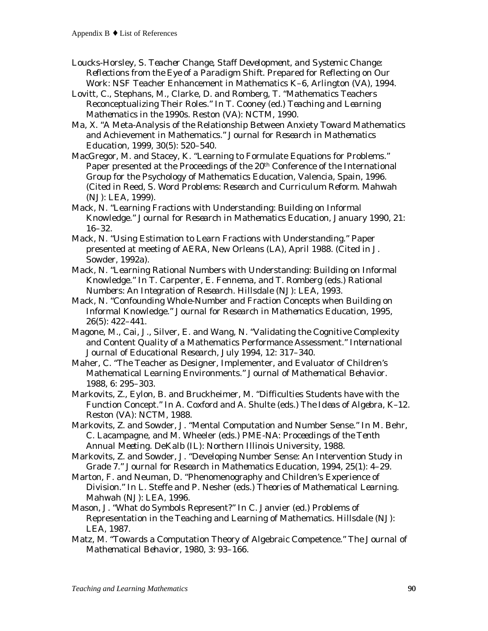- Loucks-Horsley, S. *Teacher Change, Staff Development, and Systemic Change: Reflections from the Eye of a Paradigm Shift*. Prepared for Reflecting on Our Work: NSF Teacher Enhancement in Mathematics K–6, Arlington (VA), 1994.
- Lovitt, C., Stephans, M., Clarke, D. and Romberg, T. "Mathematics Teachers Reconceptualizing Their Roles." In T. Cooney (ed.) *Teaching and Learning Mathematics in the 1990s*. Reston (VA): NCTM, 1990.
- Ma, X. "A Meta-Analysis of the Relationship Between Anxiety Toward Mathematics and Achievement in Mathematics." *Journal for Research in Mathematics Education,* 1999, 30(5): 520–540.
- MacGregor, M. and Stacey, K. "Learning to Formulate Equations for Problems." Paper presented at the Proceedings of the 20<sup>th</sup> Conference of the International Group for the Psychology of Mathematics Education, Valencia, Spain, 1996. (Cited in Reed, S. *Word Problems: Research and Curriculum Reform*. Mahwah (NJ): LEA, 1999).
- Mack, N. "Learning Fractions with Understanding: Building on Informal Knowledge." *Journal for Research in Mathematics Education,* January 1990, 21: 16–32.
- Mack, N. "Using Estimation to Learn Fractions with Understanding." Paper presented at meeting of AERA, New Orleans (LA), April 1988. (Cited in J. Sowder, 1992a).
- Mack, N. "Learning Rational Numbers with Understanding: Building on Informal Knowledge." In T. Carpenter, E. Fennema, and T. Romberg (eds.) *Rational Numbers: An Integration of Research*. Hillsdale (NJ): LEA, 1993.
- Mack, N. "Confounding Whole-Number and Fraction Concepts when Building on Informal Knowledge." *Journal for Research in Mathematics Education,* 1995, 26(5): 422–441.
- Magone, M., Cai, J., Silver, E. and Wang, N. "Validating the Cognitive Complexity and Content Quality of a Mathematics Performance Assessment." *International Journal of Educational Research,* July 1994, 12: 317–340.
- Maher, C. "The Teacher as Designer, Implementer, and Evaluator of Children's Mathematical Learning Environments." *Journal of Mathematical Behavior.* 1988, 6: 295–303.
- Markovits, Z., Eylon, B. and Bruckheimer, M. "Difficulties Students have with the Function Concept." In A. Coxford and A. Shulte (eds.) *The Ideas of Algebra, K–12*. Reston (VA): NCTM, 1988.
- Markovits, Z. and Sowder, J. "Mental Computation and Number Sense." In M. Behr, C. Lacampagne, and M. Wheeler (eds.) *PME-NA: Proceedings of the Tenth Annual Meeting*. DeKalb (IL): Northern Illinois University, 1988.
- Markovits, Z. and Sowder, J. "Developing Number Sense: An Intervention Study in Grade 7." *Journal for Research in Mathematics Education,* 1994, 25(1): 4–29.
- Marton, F. and Neuman, D. "Phenomenography and Children's Experience of Division." In L. Steffe and P. Nesher (eds.) *Theories of Mathematical Learning*. Mahwah (NJ): LEA, 1996.
- Mason, J. "What do Symbols Represent?" In C. Janvier (ed.) Problems of Representation in the Teaching and Learning of Mathematics. Hillsdale (NJ): LEA, 1987.
- Matz, M. "Towards a Computation Theory of Algebraic Competence." *The Journal of Mathematical Behavior,* 1980, 3: 93–166.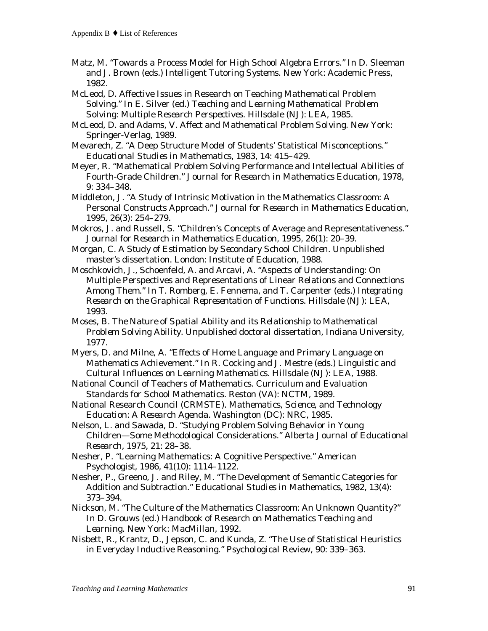- Matz, M. "Towards a Process Model for High School Algebra Errors." In D. Sleeman and J. Brown (eds.) *Intelligent Tutoring Systems*. New York: Academic Press, 1982.
- McLeod, D. Affective Issues in Research on Teaching Mathematical Problem Solving." In E. Silver (ed.) *Teaching and Learning Mathematical Problem Solving: Multiple Research Perspectives*. Hillsdale (NJ): LEA, 1985.
- McLeod, D. and Adams, V. *Affect and Mathematical Problem Solving*. New York: Springer-Verlag, 1989.
- Mevarech, Z. "A Deep Structure Model of Students' Statistical Misconceptions." *Educational Studies in Mathematics,* 1983, 14: 415–429.
- Meyer, R. "Mathematical Problem Solving Performance and Intellectual Abilities of Fourth-Grade Children." *Journal for Research in Mathematics Education,* 1978, 9: 334–348.
- Middleton, J. "A Study of Intrinsic Motivation in the Mathematics Classroom: A Personal Constructs Approach." *Journal for Research in Mathematics Education,* 1995, 26(3): 254–279.
- Mokros, J. and Russell, S. "Children's Concepts of Average and Representativeness." *Journal for Research in Mathematics Education,* 1995, 26(1): 20–39.
- Morgan, C. *A Study of Estimation by Secondary School Children*. Unpublished master's dissertation. London: Institute of Education, 1988.
- Moschkovich, J., Schoenfeld, A. and Arcavi, A. "Aspects of Understanding: On Multiple Perspectives and Representations of Linear Relations and Connections Among Them." In T. Romberg, E. Fennema, and T. Carpenter (eds.) *Integrating Research on the Graphical Representation of Functions*. Hillsdale (NJ): LEA, 1993.
- Moses, B. *The Nature of Spatial Ability and its Relationship to Mathematical Problem Solving Ability*. Unpublished doctoral dissertation, Indiana University, 1977.
- Myers, D. and Milne, A. "Effects of Home Language and Primary Language on Mathematics Achievement." In R. Cocking and J. Mestre (eds.) *Linguistic and Cultural Influences on Learning Mathematics*. Hillsdale (NJ): LEA, 1988.
- National Council of Teachers of Mathematics. *Curriculum and Evaluation Standards for School Mathematics*. Reston (VA): NCTM, 1989.
- National Research Council (CRMSTE). *Mathematics, Science, and Technology Education: A Research Agenda*. Washington (DC): NRC, 1985.
- Nelson, L. and Sawada, D. "Studying Problem Solving Behavior in Young Children—Some Methodological Considerations." *Alberta Journal of Educational Research,* 1975, 21: 28–38.
- Nesher, P. "Learning Mathematics: A Cognitive Perspective." *American Psychologist,* 1986, 41(10): 1114–1122.
- Nesher, P., Greeno, J. and Riley, M. "The Development of Semantic Categories for Addition and Subtraction." *Educational Studies in Mathematics,* 1982, 13(4): 373–394.
- Nickson, M. "The Culture of the Mathematics Classroom: An Unknown Quantity?" In D. Grouws (ed.) *Handbook of Research on Mathematics Teaching and Learning*. New York: MacMillan, 1992.
- Nisbett, R., Krantz, D., Jepson, C. and Kunda, Z. "The Use of Statistical Heuristics in Everyday Inductive Reasoning." *Psychological Review,* 90: 339–363.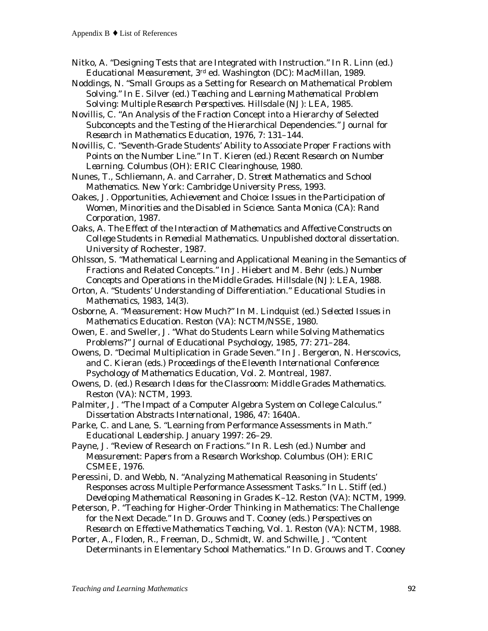- Nitko, A. "Designing Tests that are Integrated with Instruction." In R. Linn (ed.) *Educational Measurement,* 3rd ed. Washington (DC): MacMillan, 1989.
- Noddings, N. "Small Groups as a Setting for Research on Mathematical Problem Solving." In E. Silver (ed.) *Teaching and Learning Mathematical Problem Solving: Multiple Research Perspectives*. Hillsdale (NJ): LEA, 1985.
- Novillis, C. "An Analysis of the Fraction Concept into a Hierarchy of Selected Subconcepts and the Testing of the Hierarchical Dependencies." *Journal for Research in Mathematics Education,* 1976, 7: 131–144.
- Novillis, C. "Seventh-Grade Students' Ability to Associate Proper Fractions with Points on the Number Line." In T. Kieren (ed.) *Recent Research on Number Learning*. Columbus (OH): ERIC Clearinghouse, 1980.
- Nunes, T., Schliemann, A. and Carraher, D. *Street Mathematics and School Mathematics*. New York: Cambridge University Press, 1993.
- Oakes, J. *Opportunities, Achievement and Choice: Issues in the Participation of Women, Minorities and the Disabled in Science*. Santa Monica (CA): Rand Corporation, 1987.
- Oaks, A. *The Effect of the Interaction of Mathematics and Affective Constructs on College Students in Remedial Mathematics*. Unpublished doctoral dissertation. University of Rochester, 1987.
- Ohlsson, S. "Mathematical Learning and Applicational Meaning in the Semantics of Fractions and Related Concepts." In J. Hiebert and M. Behr (eds.) *Number Concepts and Operations in the Middle Grades*. Hillsdale (NJ): LEA, 1988.
- Orton, A. "Students' Understanding of Differentiation." *Educational Studies in Mathematics,* 1983, 14(3).
- Osborne, A. "Measurement: How Much?" In M. Lindquist (ed.) *Selected Issues in Mathematics Education*. Reston (VA): NCTM/NSSE, 1980.
- Owen, E. and Sweller, J. "What do Students Learn while Solving Mathematics Problems?" *Journal of Educational Psychology,* 1985, 77: 271–284.
- Owens, D. "Decimal Multiplication in Grade Seven." In J. Bergeron, N. Herscovics, and C. Kieran (eds.) *Proceedings of the Eleventh International Conference: Psychology of Mathematics Education,* Vol. 2. Montreal, 1987.
- Owens, D. (ed.) *Research Ideas for the Classroom: Middle Grades Mathematics*. Reston (VA): NCTM, 1993.
- Palmiter, J. "The Impact of a Computer Algebra System on College Calculus." *Dissertation Abstracts International,* 1986, 47: 1640A.
- Parke, C. and Lane, S. "Learning from Performance Assessments in Math." *Educational Leadership*. January 1997: 26–29.
- Payne, J. "Review of Research on Fractions." In R. Lesh (ed.) *Number and Measurement: Papers from a Research Workshop*. Columbus (OH): ERIC CSMEE, 1976.
- Peressini, D. and Webb, N. "Analyzing Mathematical Reasoning in Students' Responses across Multiple Performance Assessment Tasks." In L. Stiff (ed.) *Developing Mathematical Reasoning in Grades K–12*. Reston (VA): NCTM, 1999.
- Peterson, P. "Teaching for Higher-Order Thinking in Mathematics: The Challenge for the Next Decade." In D. Grouws and T. Cooney (eds.) *Perspectives on Research on Effective Mathematics Teaching,* Vol. 1. Reston (VA): NCTM, 1988.
- Porter, A., Floden, R., Freeman, D., Schmidt, W. and Schwille, J. "Content Determinants in Elementary School Mathematics." In D. Grouws and T. Cooney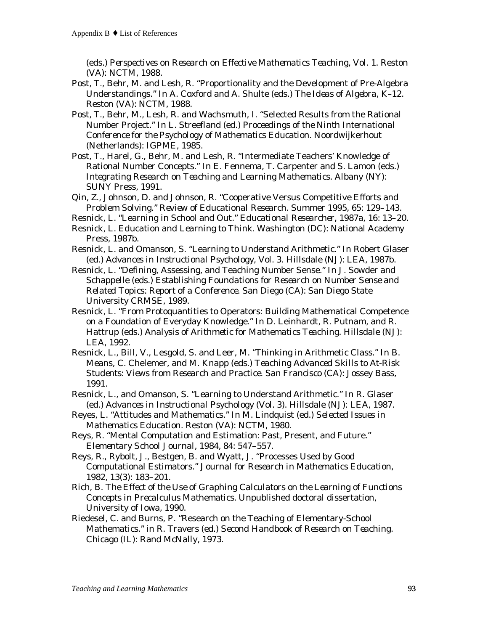(eds.) *Perspectives on Research on Effective Mathematics Teaching,* Vol. 1. Reston (VA): NCTM, 1988.

- Post, T., Behr, M. and Lesh, R. "Proportionality and the Development of Pre-Algebra Understandings." In A. Coxford and A. Shulte (eds.) *The Ideas of Algebra, K–12*. Reston (VA): NCTM, 1988.
- Post, T., Behr, M., Lesh, R. and Wachsmuth, I. "Selected Results from the Rational Number Project." In L. Streefland (ed.) *Proceedings of the Ninth International Conference for the Psychology of Mathematics Education*. Noordwijkerhout (Netherlands): IGPME, 1985.
- Post, T., Harel, G., Behr, M. and Lesh, R. "Intermediate Teachers' Knowledge of Rational Number Concepts." In E. Fennema, T. Carpenter and S. Lamon (eds.) *Integrating Research on Teaching and Learning Mathematics.* Albany (NY): SUNY Press, 1991.
- Qin, Z., Johnson, D. and Johnson, R. "Cooperative Versus Competitive Efforts and Problem Solving." *Review of Educational Research*. Summer 1995, 65: 129–143.
- Resnick, L. "Learning in School and Out." *Educational Researcher,* 1987a, 16: 13–20.
- Resnick, L. *Education and Learning to Think*. Washington (DC): National Academy Press, 1987b.
- Resnick, L. and Omanson, S. "Learning to Understand Arithmetic." In Robert Glaser (ed.) *Advances in Instructional Psychology,* Vol. 3. Hillsdale (NJ): LEA, 1987b.
- Resnick, L. "Defining, Assessing, and Teaching Number Sense." In J. Sowder and Schappelle (eds.) *Establishing Foundations for Research on Number Sense and Related Topics: Report of a Conference*. San Diego (CA): San Diego State University CRMSE, 1989.
- Resnick, L. "From Protoquantities to Operators: Building Mathematical Competence on a Foundation of Everyday Knowledge." In D. Leinhardt, R. Putnam, and R. Hattrup (eds.) *Analysis of Arithmetic for Mathematics Teaching*. Hillsdale (NJ): LEA, 1992.
- Resnick, L., Bill, V., Lesgold, S. and Leer, M. "Thinking in Arithmetic Class." In B. Means, C. Chelemer, and M. Knapp (eds.) *Teaching Advanced Skills to At-Risk Students: Views from Research and Practice*. San Francisco (CA): Jossey Bass, 1991.
- Resnick, L., and Omanson, S. "Learning to Understand Arithmetic." In R. Glaser (ed.) *Advances in Instructional Psychology* (Vol. 3). Hillsdale (NJ): LEA, 1987.
- Reyes, L. "Attitudes and Mathematics." In M. Lindquist (ed.) *Selected Issues in Mathematics Education*. Reston (VA): NCTM, 1980.
- Reys, R. "Mental Computation and Estimation: Past, Present, and Future." *Elementary School Journal,* 1984, 84: 547–557.
- Reys, R., Rybolt, J., Bestgen, B. and Wyatt, J. "Processes Used by Good Computational Estimators." *Journal for Research in Mathematics Education,* 1982, 13(3): 183–201.
- Rich, B. *The Effect of the Use of Graphing Calculators on the Learning of Functions Concepts in Precalculus Mathematics*. Unpublished doctoral dissertation, University of Iowa, 1990.
- Riedesel, C. and Burns, P. "Research on the Teaching of Elementary-School Mathematics." in R. Travers (ed.) *Second Handbook of Research on Teaching*. Chicago (IL): Rand McNally, 1973.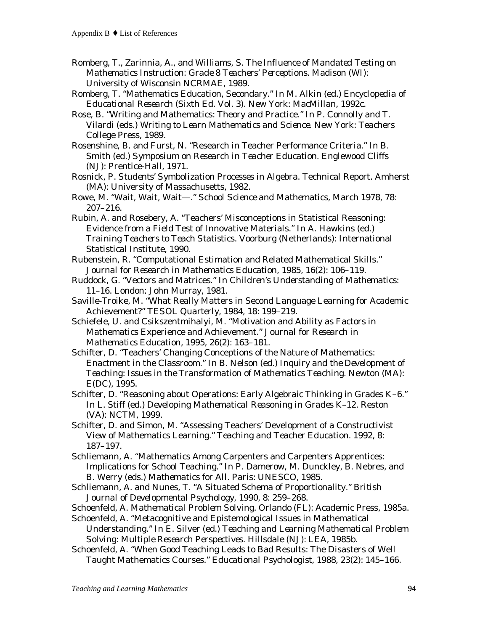- Romberg, T., Zarinnia, A., and Williams, S. *The Influence of Mandated Testing on Mathematics Instruction: Grade 8 Teachers' Perceptions*. Madison (WI): University of Wisconsin NCRMAE, 1989.
- Romberg, T. "Mathematics Education, Secondary." In M. Alkin (ed.) *Encyclopedia of Educational Research* (Sixth Ed. Vol. 3). New York: MacMillan, 1992c.
- Rose, B. "Writing and Mathematics: Theory and Practice." In P. Connolly and T. Vilardi (eds.) *Writing to Learn Mathematics and Science*. New York: Teachers College Press, 1989.
- Rosenshine, B. and Furst, N. "Research in Teacher Performance Criteria." In B. Smith (ed.) *Symposium on Research in Teacher Education*. Englewood Cliffs (NJ): Prentice-Hall, 1971.
- Rosnick, P. *Students' Symbolization Processes in Algebra*. Technical Report. Amherst (MA): University of Massachusetts, 1982.
- Rowe, M. "Wait, Wait, Wait—." *School Science and Mathematics,* March 1978, 78: 207–216.
- Rubin, A. and Rosebery, A. "Teachers' Misconceptions in Statistical Reasoning: Evidence from a Field Test of Innovative Materials." In A. Hawkins (ed.) *Training Teachers to Teach Statistics*. Voorburg (Netherlands): International Statistical Institute, 1990.
- Rubenstein, R. "Computational Estimation and Related Mathematical Skills." *Journal for Research in Mathematics Education,* 1985, 16(2): 106–119.
- Ruddock, G. "Vectors and Matrices." In *Children's Understanding of Mathematics: 11–16*. London: John Murray, 1981.
- Saville-Troike, M. "What Really Matters in Second Language Learning for Academic Achievement?" *TESOL Quarterly,* 1984, 18: 199–219.
- Schiefele, U. and Csikszentmihalyi, M. "Motivation and Ability as Factors in Mathematics Experience and Achievement." *Journal for Research in Mathematics Education*, 1995, 26(2): 163–181.
- Schifter, D. "Teachers' Changing Conceptions of the Nature of Mathematics: Enactment in the Classroom." In B. Nelson (ed.) *Inquiry and the Development of Teaching: Issues in the Transformation of Mathematics Teaching*. Newton (MA): E(DC), 1995.
- Schifter, D. "Reasoning about Operations: Early Algebraic Thinking in Grades K–6." In L. Stiff (ed.) *Developing Mathematical Reasoning in Grades K–12*. Reston (VA): NCTM, 1999.
- Schifter, D. and Simon, M. "Assessing Teachers' Development of a Constructivist View of Mathematics Learning." *Teaching and Teacher Education*. 1992, 8: 187–197.
- Schliemann, A. "Mathematics Among Carpenters and Carpenters Apprentices: Implications for School Teaching." In P. Damerow, M. Dunckley, B. Nebres, and B. Werry (eds.) *Mathematics for All*. Paris: UNESCO, 1985.
- Schliemann, A. and Nunes, T. "A Situated Schema of Proportionality." *British Journal of Developmental Psychology,* 1990, 8: 259–268.
- Schoenfeld, A. *Mathematical Problem Solving*. Orlando (FL): Academic Press, 1985a.
- Schoenfeld, A. "Metacognitive and Epistemological Issues in Mathematical Understanding." In E. Silver (ed.) *Teaching and Learning Mathematical Problem Solving: Multiple Research Perspectives*. Hillsdale (NJ): LEA, 1985b.
- Schoenfeld, A. "When Good Teaching Leads to Bad Results: The Disasters of Well Taught Mathematics Courses." *Educational Psychologist,* 1988, 23(2): 145–166.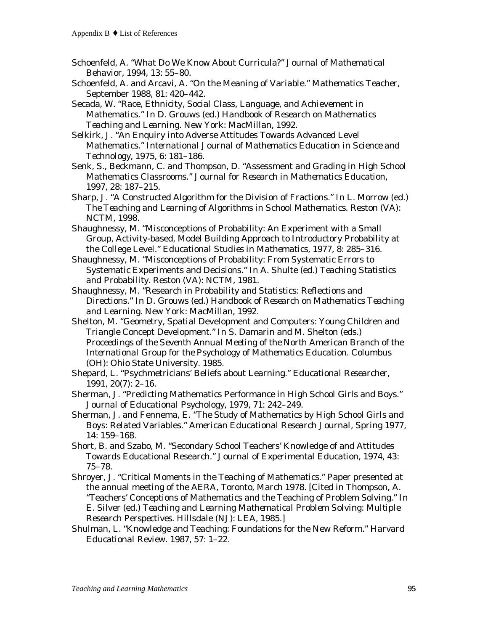- Schoenfeld, A. "What Do We Know About Curricula?" *Journal of Mathematical Behavior,* 1994, 13: 55–80.
- Schoenfeld, A. and Arcavi, A. "On the Meaning of Variable." *Mathematics Teacher,* September 1988, 81: 420–442.
- Secada, W. "Race, Ethnicity, Social Class, Language, and Achievement in Mathematics." In D. Grouws (ed.) *Handbook of Research on Mathematics Teaching and Learning*. New York: MacMillan, 1992.
- Selkirk, J. "An Enquiry into Adverse Attitudes Towards Advanced Level Mathematics." *International Journal of Mathematics Education in Science and Technology,* 1975, 6: 181–186.
- Senk, S., Beckmann, C. and Thompson, D. "Assessment and Grading in High School Mathematics Classrooms." *Journal for Research in Mathematics Education,* 1997, 28: 187–215.
- Sharp, J. "A Constructed Algorithm for the Division of Fractions." In L. Morrow (ed.) *The Teaching and Learning of Algorithms in School Mathematics*. Reston (VA): NCTM, 1998.
- Shaughnessy, M. "Misconceptions of Probability: An Experiment with a Small Group, Activity-based, Model Building Approach to Introductory Probability at the College Level." *Educational Studies in Mathematics,* 1977, 8: 285–316.
- Shaughnessy, M. "Misconceptions of Probability: From Systematic Errors to Systematic Experiments and Decisions." In A. Shulte (ed.) *Teaching Statistics and Probability*. Reston (VA): NCTM, 1981.
- Shaughnessy, M. "Research in Probability and Statistics: Reflections and Directions." In D. Grouws (ed.) *Handbook of Research on Mathematics Teaching and Learning*. New York: MacMillan, 1992.
- Shelton, M. "Geometry, Spatial Development and Computers: Young Children and Triangle Concept Development." In S. Damarin and M. Shelton (eds.) *Proceedings of the Seventh Annual Meeting of the North American Branch of the International Group for the Psychology of Mathematics Education*. Columbus (OH): Ohio State University. 1985.
- Shepard, L. "Psychmetricians' Beliefs about Learning." *Educational Researcher,* 1991, 20(7): 2–16.
- Sherman, J. "Predicting Mathematics Performance in High School Girls and Boys." *Journal of Educational Psychology,* 1979, 71: 242–249.
- Sherman, J. and Fennema, E. "The Study of Mathematics by High School Girls and Boys: Related Variables." *American Educational Research Journal,* Spring 1977, 14: 159–168.
- Short, B. and Szabo, M. "Secondary School Teachers' Knowledge of and Attitudes Towards Educational Research." *Journal of Experimental Education,* 1974, 43: 75–78.
- Shroyer, J. "Critical Moments in the Teaching of Mathematics." Paper presented at the annual meeting of the AERA, Toronto, March 1978. [Cited in Thompson, A. "Teachers' Conceptions of Mathematics and the Teaching of Problem Solving." In E. Silver (ed.) *Teaching and Learning Mathematical Problem Solving: Multiple Research Perspectives*. Hillsdale (NJ): LEA, 1985.]
- Shulman, L. "Knowledge and Teaching: Foundations for the New Reform." *Harvard Educational Review*. 1987, 57: 1–22.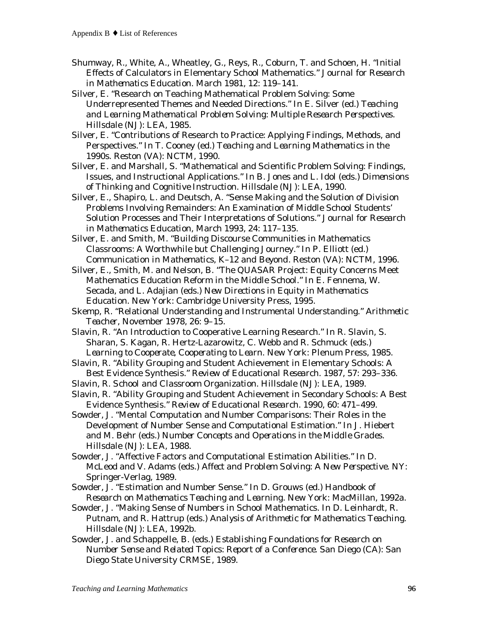- Shumway, R., White, A., Wheatley, G., Reys, R., Coburn, T. and Schoen, H. "Initial Effects of Calculators in Elementary School Mathematics." *Journal for Research in Mathematics Education.* March 1981, 12: 119–141.
- Silver, E. "Research on Teaching Mathematical Problem Solving: Some Underrepresented Themes and Needed Directions." In E. Silver (ed.) *Teaching and Learning Mathematical Problem Solving: Multiple Research Perspectives*. Hillsdale (NJ): LEA, 1985.
- Silver, E. "Contributions of Research to Practice: Applying Findings, Methods, and Perspectives." In T. Cooney (ed.) *Teaching and Learning Mathematics in the 1990s*. Reston (VA): NCTM, 1990.
- Silver, E. and Marshall, S. "Mathematical and Scientific Problem Solving: Findings, Issues, and Instructional Applications." In B. Jones and L. Idol (eds.) *Dimensions of Thinking and Cognitive Instruction*. Hillsdale (NJ): LEA, 1990.
- Silver, E., Shapiro, L. and Deutsch, A. "Sense Making and the Solution of Division Problems Involving Remainders: An Examination of Middle School Students' Solution Processes and Their Interpretations of Solutions." *Journal for Research in Mathematics Education,* March 1993, 24: 117–135.
- Silver, E. and Smith, M. "Building Discourse Communities in Mathematics Classrooms: A Worthwhile but Challenging Journey." In P. Elliott (ed.) *Communication in Mathematics, K–12 and Beyond*. Reston (VA): NCTM, 1996.
- Silver, E., Smith, M. and Nelson, B. "The QUASAR Project: Equity Concerns Meet Mathematics Education Reform in the Middle School." In E. Fennema, W. Secada, and L. Adajian (eds.) *New Directions in Equity in Mathematics Education*. New York: Cambridge University Press, 1995.
- Skemp, R. "Relational Understanding and Instrumental Understanding." *Arithmetic Teacher,* November 1978, 26: 9–15.
- Slavin, R. "An Introduction to Cooperative Learning Research." In R. Slavin, S. Sharan, S. Kagan, R. Hertz-Lazarowitz, C. Webb and R. Schmuck (eds.) *Learning to Cooperate, Cooperating to Learn*. New York: Plenum Press, 1985.
- Slavin, R. "Ability Grouping and Student Achievement in Elementary Schools: A Best Evidence Synthesis." *Review of Educational Research.* 1987, 57: 293–336.
- Slavin, R. *School and Classroom Organization*. Hillsdale (NJ): LEA, 1989.
- Slavin, R. "Ability Grouping and Student Achievement in Secondary Schools: A Best Evidence Synthesis." *Review of Educational Research.* 1990, 60: 471–499.
- Sowder, J. "Mental Computation and Number Comparisons: Their Roles in the Development of Number Sense and Computational Estimation." In J. Hiebert and M. Behr (eds.) *Number Concepts and Operations in the Middle Grades*. Hillsdale (NJ): LEA, 1988.
- Sowder, J. "Affective Factors and Computational Estimation Abilities." In D. McLeod and V. Adams (eds.) *Affect and Problem Solving: A New Perspective*. NY: Springer-Verlag, 1989.
- Sowder, J. "Estimation and Number Sense." In D. Grouws (ed.) *Handbook of Research on Mathematics Teaching and Learning*. New York: MacMillan, 1992a.
- Sowder, J. "Making Sense of Numbers in School Mathematics. In D. Leinhardt, R. Putnam, and R. Hattrup (eds.) *Analysis of Arithmetic for Mathematics Teaching*. Hillsdale (NJ): LEA, 1992b.
- Sowder, J. and Schappelle, B. (eds.) *Establishing Foundations for Research on Number Sense and Related Topics: Report of a Conference*. San Diego (CA): San Diego State University CRMSE, 1989.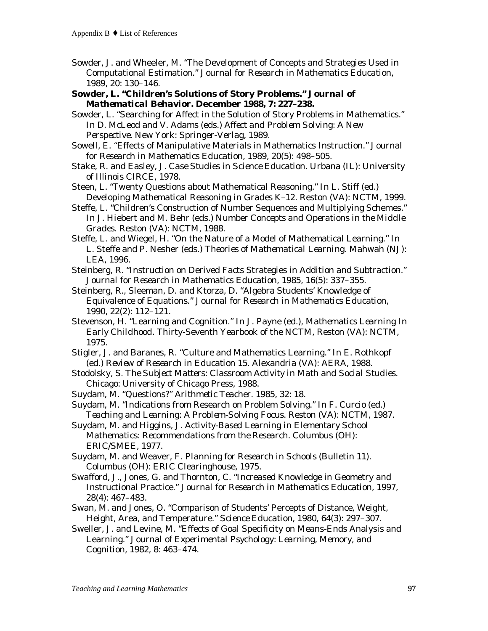- Sowder, J. and Wheeler, M. "The Development of Concepts and Strategies Used in Computational Estimation." *Journal for Research in Mathematics Education,* 1989, 20: 130–146.
- **Sowder, L. "Children's Solutions of Story Problems."** *Journal of Mathematical Behavior.* **December 1988, 7: 227–238.**
- Sowder, L. "Searching for Affect in the Solution of Story Problems in Mathematics." In D. McLeod and V. Adams (eds.) *Affect and Problem Solving: A New Perspective*. New York: Springer-Verlag, 1989.
- Sowell, E. "Effects of Manipulative Materials in Mathematics Instruction." *Journal for Research in Mathematics Education,* 1989, 20(5): 498–505.
- Stake, R. and Easley, J. *Case Studies in Science Education*. Urbana (IL): University of Illinois CIRCE, 1978.
- Steen, L. "Twenty Questions about Mathematical Reasoning." In L. Stiff (ed.) *Developing Mathematical Reasoning in Grades K–12*. Reston (VA): NCTM, 1999.
- Steffe, L. "Children's Construction of Number Sequences and Multiplying Schemes." In J. Hiebert and M. Behr (eds.) *Number Concepts and Operations in the Middle Grades*. Reston (VA): NCTM, 1988.
- Steffe, L. and Wiegel, H. "On the Nature of a Model of Mathematical Learning." In L. Steffe and P. Nesher (eds.) *Theories of Mathematical Learning*. Mahwah (NJ): LEA, 1996.
- Steinberg, R. "Instruction on Derived Facts Strategies in Addition and Subtraction." *Journal for Research in Mathematics Education,* 1985, 16(5): 337–355.
- Steinberg, R., Sleeman, D. and Ktorza, D. "Algebra Students' Knowledge of Equivalence of Equations." *Journal for Research in Mathematics Education,* 1990, 22(2): 112–121.
- Stevenson, H. "Learning and Cognition." In J. Payne (ed.), *Mathematics Learning In Early Childhood*. Thirty-Seventh Yearbook of the NCTM, Reston (VA): NCTM, 1975.
- Stigler, J. and Baranes, R. "Culture and Mathematics Learning." In E. Rothkopf (ed.) *Review of Research in Education 15*. Alexandria (VA): AERA, 1988.
- Stodolsky, S. *The Subject Matters: Classroom Activity in Math and Social Studies*. Chicago: University of Chicago Press, 1988.
- Suydam, M. "Questions?" *Arithmetic Teacher*. 1985, 32: 18.
- Suydam, M. "Indications from Research on Problem Solving." In F. Curcio (ed.) *Teaching and Learning: A Problem-Solving Focus*. Reston (VA): NCTM, 1987.
- Suydam, M. and Higgins, J. *Activity-Based Learning in Elementary School Mathematics: Recommendations from the Research*. Columbus (OH): ERIC/SMEE, 1977.
- Suydam, M. and Weaver, F. *Planning for Research in Schools* (Bulletin 11). Columbus (OH): ERIC Clearinghouse, 1975.
- Swafford, J., Jones, G. and Thornton, C. "Increased Knowledge in Geometry and Instructional Practice." *Journal for Research in Mathematics Education,* 1997, 28(4): 467–483.
- Swan, M. and Jones, O. "Comparison of Students' Percepts of Distance, Weight, Height, Area, and Temperature." *Science Education,* 1980, 64(3): 297–307.
- Sweller, J. and Levine, M. "Effects of Goal Specificity on Means-Ends Analysis and Learning." *Journal of Experimental Psychology: Learning, Memory, and Cognition,* 1982, 8: 463–474.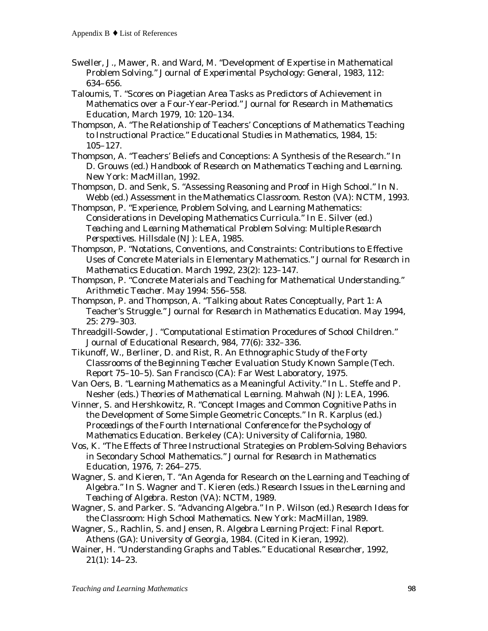- Sweller, J., Mawer, R. and Ward, M. "Development of Expertise in Mathematical Problem Solving." *Journal of Experimental Psychology: General,* 1983, 112: 634–656.
- Taloumis, T. "Scores on Piagetian Area Tasks as Predictors of Achievement in Mathematics over a Four-Year-Period." *Journal for Research in Mathematics Education,* March 1979, 10: 120–134.
- Thompson, A. "The Relationship of Teachers' Conceptions of Mathematics Teaching to Instructional Practice." *Educational Studies in Mathematics,* 1984, 15: 105–127.
- Thompson, A. "Teachers' Beliefs and Conceptions: A Synthesis of the Research." In D. Grouws (ed.) *Handbook of Research on Mathematics Teaching and Learning.* New York: MacMillan, 1992.
- Thompson, D. and Senk, S. "Assessing Reasoning and Proof in High School." In N. Webb (ed.) *Assessment in the Mathematics Classroom*. Reston (VA): NCTM, 1993.
- Thompson, P. "Experience, Problem Solving, and Learning Mathematics: Considerations in Developing Mathematics Curricula." In E. Silver (ed.) *Teaching and Learning Mathematical Problem Solving: Multiple Research Perspectives*. Hillsdale (NJ): LEA, 1985.
- Thompson, P. "Notations, Conventions, and Constraints: Contributions to Effective Uses of Concrete Materials in Elementary Mathematics." *Journal for Research in Mathematics Education.* March 1992, 23(2): 123–147.
- Thompson, P. "Concrete Materials and Teaching for Mathematical Understanding." *Arithmetic Teacher.* May 1994: 556–558.
- Thompson, P. and Thompson, A. "Talking about Rates Conceptually, Part 1: A Teacher's Struggle." *Journal for Research in Mathematics Education.* May 1994, 25: 279–303.
- Threadgill-Sowder, J. "Computational Estimation Procedures of School Children." *Journal of Educational Research,* 984, 77(6): 332–336.
- Tikunoff, W., Berliner, D. and Rist, R. *An Ethnographic Study of the Forty Classrooms of the Beginning Teacher Evaluation Study Known Sample* (Tech. Report 75–10–5). San Francisco (CA): Far West Laboratory, 1975.
- Van Oers, B. "Learning Mathematics as a Meaningful Activity." In L. Steffe and P. Nesher (eds.) *Theories of Mathematical Learning*. Mahwah (NJ): LEA, 1996.
- Vinner, S. and Hershkowitz, R. "Concept Images and Common Cognitive Paths in the Development of Some Simple Geometric Concepts." In R. Karplus (ed.) *Proceedings of the Fourth International Conference for the Psychology of Mathematics Education*. Berkeley (CA): University of California, 1980.
- Vos, K. "The Effects of Three Instructional Strategies on Problem-Solving Behaviors in Secondary School Mathematics." *Journal for Research in Mathematics Education,* 1976, 7: 264–275.
- Wagner, S. and Kieren, T. "An Agenda for Research on the Learning and Teaching of Algebra." In S. Wagner and T. Kieren (eds.) *Research Issues in the Learning and Teaching of Algebra*. Reston (VA): NCTM, 1989.
- Wagner, S. and Parker. S. "Advancing Algebra." In P. Wilson (ed.) *Research Ideas for the Classroom: High School Mathematics*. New York: MacMillan, 1989.
- Wagner, S., Rachlin, S. and Jensen, R. *Algebra Learning Project: Final Report*. Athens (GA): University of Georgia, 1984. (Cited in Kieran, 1992).
- Wainer, H. "Understanding Graphs and Tables." *Educational Researcher,* 1992, 21(1): 14–23.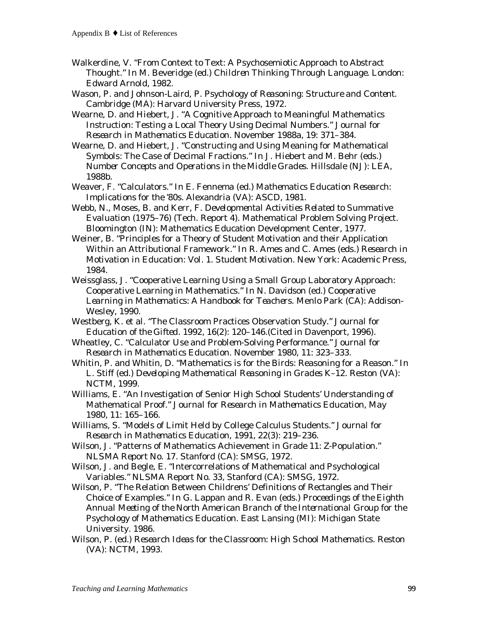- Walkerdine, V. "From Context to Text: A Psychosemiotic Approach to Abstract Thought." In M. Beveridge (ed.) *Children Thinking Through Language*. London: Edward Arnold, 1982.
- Wason, P. and Johnson-Laird, P. *Psychology of Reasoning: Structure and Content*. Cambridge (MA): Harvard University Press, 1972.
- Wearne, D. and Hiebert, J. "A Cognitive Approach to Meaningful Mathematics Instruction: Testing a Local Theory Using Decimal Numbers." *Journal for Research in Mathematics Education.* November 1988a, 19: 371–384.
- Wearne, D. and Hiebert, J. "Constructing and Using Meaning for Mathematical Symbols: The Case of Decimal Fractions." In J. Hiebert and M. Behr (eds.) *Number Concepts and Operations in the Middle Grades*. Hillsdale (NJ): LEA, 1988b.
- Weaver, F. "Calculators." In E. Fennema (ed.) *Mathematics Education Research: Implications for the '80s*. Alexandria (VA): ASCD, 1981.
- Webb, N., Moses, B. and Kerr, F. *Developmental Activities Related to Summative Evaluation (1975–76)* (Tech. Report 4). Mathematical Problem Solving Project. Bloomington (IN): Mathematics Education Development Center, 1977.
- Weiner, B. "Principles for a Theory of Student Motivation and their Application Within an Attributional Framework." In R. Ames and C. Ames (eds.) *Research in Motivation in Education: Vol. 1. Student Motivation*. New York: Academic Press, 1984.
- Weissglass, J. "Cooperative Learning Using a Small Group Laboratory Approach: Cooperative Learning in Mathematics." In N. Davidson (ed.) *Cooperative Learning in Mathematics: A Handbook for Teachers*. Menlo Park (CA): Addison-Wesley, 1990.
- Westberg, K. et al. "The Classroom Practices Observation Study." *Journal for Education of the Gifted*. 1992, 16(2): 120–146.(Cited in Davenport, 1996).
- Wheatley, C. "Calculator Use and Problem-Solving Performance." *Journal for Research in Mathematics Education.* November 1980, 11: 323–333.
- Whitin, P. and Whitin, D. "Mathematics is for the Birds: Reasoning for a Reason." In L. Stiff (ed.) *Developing Mathematical Reasoning in Grades K–12*. Reston (VA): NCTM, 1999.
- Williams, E. "An Investigation of Senior High School Students' Understanding of Mathematical Proof." *Journal for Research in Mathematics Education,* May 1980, 11: 165–166.
- Williams, S. "Models of Limit Held by College Calculus Students." *Journal for Research in Mathematics Education,* 1991, 22(3): 219–236.
- Wilson, J. "Patterns of Mathematics Achievement in Grade 11: Z-Population." *NLSMA Report No. 17*. Stanford (CA): SMSG, 1972.
- Wilson, J. and Begle, E. "Intercorrelations of Mathematical and Psychological Variables." NLSMA Report No. 33, Stanford (CA): SMSG, 1972.
- Wilson, P. "The Relation Between Childrens' Definitions of Rectangles and Their Choice of Examples." In G. Lappan and R. Evan (eds.) *Proceedings of the Eighth Annual Meeting of the North American Branch of the International Group for the Psychology of Mathematics Education*. East Lansing (MI): Michigan State University. 1986.
- Wilson, P. (ed.) *Research Ideas for the Classroom: High School Mathematics*. Reston (VA): NCTM, 1993.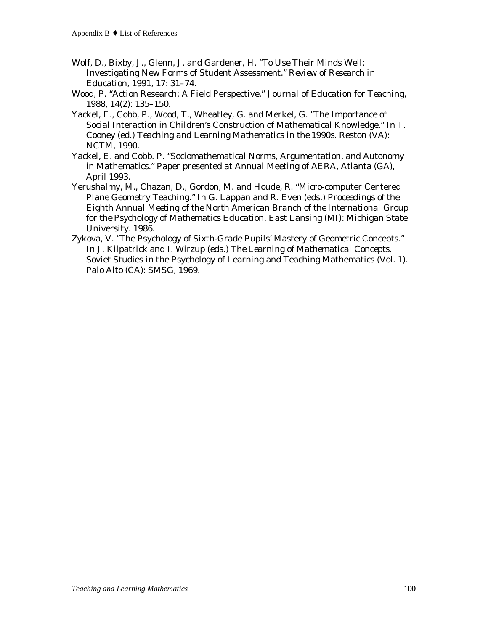- Wolf, D., Bixby, J., Glenn, J. and Gardener, H. "To Use Their Minds Well: Investigating New Forms of Student Assessment." *Review of Research in Education,* 1991, 17: 31–74.
- Wood, P. "Action Research: A Field Perspective." *Journal of Education for Teaching,* 1988, 14(2): 135–150.
- Yackel, E., Cobb, P., Wood, T., Wheatley, G. and Merkel, G. "The Importance of Social Interaction in Children's Construction of Mathematical Knowledge." In T. Cooney (ed.) *Teaching and Learning Mathematics in the 1990s*. Reston (VA): NCTM, 1990.
- Yackel, E. and Cobb. P. "Sociomathematical Norms, Argumentation, and Autonomy in Mathematics." Paper presented at Annual Meeting of AERA, Atlanta (GA), April 1993.
- Yerushalmy, M., Chazan, D., Gordon, M. and Houde, R. "Micro-computer Centered Plane Geometry Teaching." In G. Lappan and R. Even (eds.) *Proceedings of the Eighth Annual Meeting of the North American Branch of the International Group for the Psychology of Mathematics Education*. East Lansing (MI): Michigan State University. 1986.
- Zykova, V. "The Psychology of Sixth-Grade Pupils' Mastery of Geometric Concepts." In J. Kilpatrick and I. Wirzup (eds.) *The Learning of Mathematical Concepts*. Soviet Studies in the Psychology of Learning and Teaching Mathematics (Vol. 1). Palo Alto (CA): SMSG, 1969.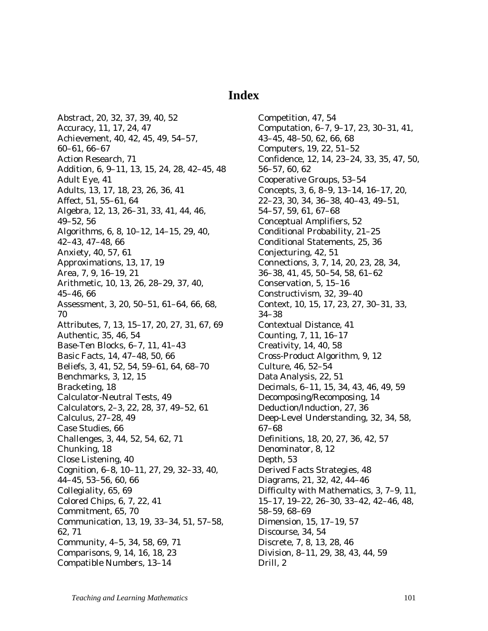### **Index**

Abstract, 20, 32, 37, 39, 40, 52 Accuracy, 11, 17, 24, 47 Achievement, 40, 42, 45, 49, 54–57, 60–61, 66–67 Action Research, 71 Addition, 6, 9–11, 13, 15, 24, 28, 42–45, 48 Adult Eye, 41 Adults, 13, 17, 18, 23, 26, 36, 41 Affect, 51, 55–61, 64 Algebra, 12, 13, 26–31, 33, 41, 44, 46, 49–52, 56 Algorithms, 6, 8, 10–12, 14–15, 29, 40, 42–43, 47–48, 66 Anxiety, 40, 57, 61 Approximations, 13, 17, 19 Area, 7, 9, 16–19, 21 Arithmetic, 10, 13, 26, 28–29, 37, 40, 45–46, 66 Assessment, 3, 20, 50–51, 61–64, 66, 68, 70 Attributes, 7, 13, 15–17, 20, 27, 31, 67, 69 Authentic, 35, 46, 54 Base-Ten Blocks, 6–7, 11, 41–43 Basic Facts, 14, 47–48, 50, 66 Beliefs, 3, 41, 52, 54, 59–61, 64, 68–70 Benchmarks, 3, 12, 15 Bracketing, 18 Calculator-Neutral Tests, 49 Calculators, 2–3, 22, 28, 37, 49–52, 61 Calculus, 27–28, 49 Case Studies, 66 Challenges, 3, 44, 52, 54, 62, 71 Chunking, 18 Close Listening, 40 Cognition, 6–8, 10–11, 27, 29, 32–33, 40, 44–45, 53–56, 60, 66 Collegiality, 65, 69 Colored Chips, 6, 7, 22, 41 Commitment, 65, 70 Communication, 13, 19, 33–34, 51, 57–58, 62, 71 Community, 4–5, 34, 58, 69, 71 Comparisons, 9, 14, 16, 18, 23 Compatible Numbers, 13–14

Competition, 47, 54 Computation, 6–7, 9–17, 23, 30–31, 41, 43–45, 48–50, 62, 66, 68 Computers, 19, 22, 51–52 Confidence, 12, 14, 23–24, 33, 35, 47, 50, 56–57, 60, 62 Cooperative Groups, 53–54 Concepts, 3, 6, 8–9, 13–14, 16–17, 20, 22–23, 30, 34, 36–38, 40–43, 49–51, 54–57, 59, 61, 67–68 Conceptual Amplifiers, 52 Conditional Probability, 21–25 Conditional Statements, 25, 36 Conjecturing, 42, 51 Connections, 3, 7, 14, 20, 23, 28, 34, 36–38, 41, 45, 50–54, 58, 61–62 Conservation, 5, 15–16 Constructivism, 32, 39–40 Context, 10, 15, 17, 23, 27, 30–31, 33, 34–38 Contextual Distance, 41 Counting, 7, 11, 16–17 Creativity, 14, 40, 58 Cross-Product Algorithm, 9, 12 Culture, 46, 52–54 Data Analysis, 22, 51 Decimals, 6–11, 15, 34, 43, 46, 49, 59 Decomposing/Recomposing, 14 Deduction/Induction, 27, 36 Deep-Level Understanding, 32, 34, 58, 67–68 Definitions, 18, 20, 27, 36, 42, 57 Denominator, 8, 12 Depth, 53 Derived Facts Strategies, 48 Diagrams, 21, 32, 42, 44–46 Difficulty with Mathematics, 3, 7–9, 11, 15–17, 19–22, 26–30, 33–42, 42–46, 48, 58–59, 68–69 Dimension, 15, 17–19, 57 Discourse, 34, 54 Discrete, 7, 8, 13, 28, 46 Division, 8–11, 29, 38, 43, 44, 59 Drill, 2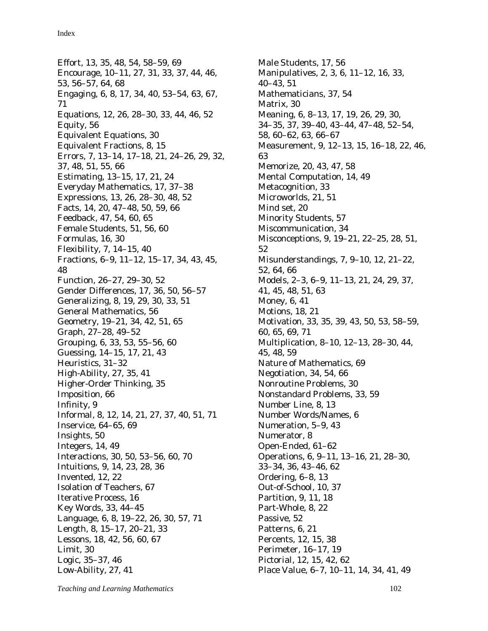Effort, 13, 35, 48, 54, 58–59, 69 Encourage, 10–11, 27, 31, 33, 37, 44, 46, 53, 56–57, 64, 68 Engaging, 6, 8, 17, 34, 40, 53–54, 63, 67, 71 Equations, 12, 26, 28–30, 33, 44, 46, 52 Equity, 56 Equivalent Equations, 30 Equivalent Fractions, 8, 15 Errors, 7, 13–14, 17–18, 21, 24–26, 29, 32, 37, 48, 51, 55, 66 Estimating, 13–15, 17, 21, 24 Everyday Mathematics, 17, 37–38 Expressions, 13, 26, 28–30, 48, 52 Facts, 14, 20, 47–48, 50, 59, 66 Feedback, 47, 54, 60, 65 Female Students, 51, 56, 60 Formulas, 16, 30 Flexibility, 7, 14–15, 40 Fractions, 6–9, 11–12, 15–17, 34, 43, 45, 48 Function, 26–27, 29–30, 52 Gender Differences, 17, 36, 50, 56–57 Generalizing, 8, 19, 29, 30, 33, 51 General Mathematics, 56 Geometry, 19–21, 34, 42, 51, 65 Graph, 27–28, 49–52 Grouping, 6, 33, 53, 55–56, 60 Guessing, 14–15, 17, 21, 43 Heuristics, 31–32 High-Ability, 27, 35, 41 Higher-Order Thinking, 35 Imposition, 66 Infinity, 9 Informal, 8, 12, 14, 21, 27, 37, 40, 51, 71 Inservice, 64–65, 69 Insights, 50 Integers, 14, 49 Interactions, 30, 50, 53–56, 60, 70 Intuitions, 9, 14, 23, 28, 36 Invented, 12, 22 Isolation of Teachers, 67 Iterative Process, 16 Key Words, 33, 44–45 Language, 6, 8, 19–22, 26, 30, 57, 71 Length, 8, 15–17, 20–21, 33 Lessons, 18, 42, 56, 60, 67 Limit, 30 Logic, 35–37, 46 Low-Ability, 27, 41

Male Students, 17, 56 Manipulatives, 2, 3, 6, 11–12, 16, 33, 40–43, 51 Mathematicians, 37, 54 Matrix, 30 Meaning, 6, 8–13, 17, 19, 26, 29, 30, 34–35, 37, 39–40, 43–44, 47–48, 52–54, 58, 60–62, 63, 66–67 Measurement, 9, 12–13, 15, 16–18, 22, 46, 63 Memorize, 20, 43, 47, 58 Mental Computation, 14, 49 Metacognition, 33 Microworlds, 21, 51 Mind set, 20 Minority Students, 57 Miscommunication, 34 Misconceptions, 9, 19–21, 22–25, 28, 51, 52 Misunderstandings, 7, 9–10, 12, 21–22, 52, 64, 66 Models, 2–3, 6–9, 11–13, 21, 24, 29, 37, 41, 45, 48, 51, 63 Money, 6, 41 Motions, 18, 21 Motivation, 33, 35, 39, 43, 50, 53, 58–59, 60, 65, 69, 71 Multiplication, 8–10, 12–13, 28–30, 44, 45, 48, 59 Nature of Mathematics, 69 Negotiation, 34, 54, 66 Nonroutine Problems, 30 Nonstandard Problems, 33, 59 Number Line, 8, 13 Number Words/Names, 6 Numeration, 5–9, 43 Numerator, 8 Open-Ended, 61–62 Operations, 6, 9–11, 13–16, 21, 28–30, 33–34, 36, 43–46, 62 Ordering, 6–8, 13 Out-of-School, 10, 37 Partition, 9, 11, 18 Part-Whole, 8, 22 Passive, 52 Patterns, 6, 21 Percents, 12, 15, 38 Perimeter, 16–17, 19 Pictorial, 12, 15, 42, 62 Place Value, 6–7, 10–11, 14, 34, 41, 49

*Teaching and Learning Mathematics* 102